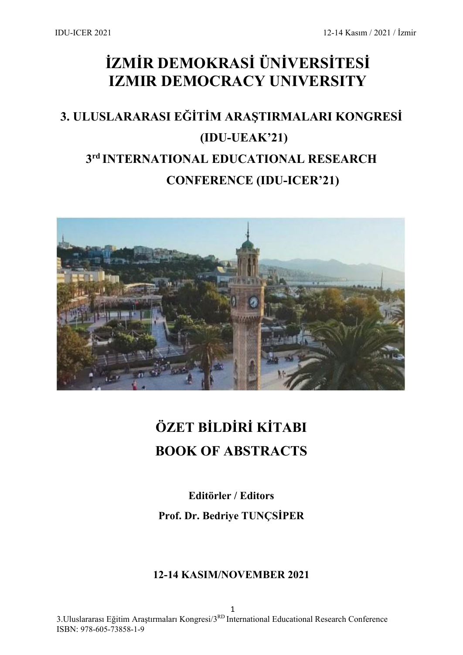## **İZMİR DEMOKRASİ ÜNİVERSİTESİ IZMIR DEMOCRACY UNIVERSITY**

## **3. ULUSLARARASI EĞİTİM ARAŞTIRMALARI KONGRESİ (IDU-UEAK'21) 3rd INTERNATIONAL EDUCATIONAL RESEARCH CONFERENCE (IDU-ICER'21)**



## **ÖZET BİLDİRİ KİTABI BOOK OF ABSTRACTS**

**Editörler / Editors Prof. Dr. Bedriye TUNÇSİPER**

### **12-14 KASIM/NOVEMBER 2021**

1 3.Uluslararası Eğitim Araştırmaları Kongresi/3RD International Educational Research Conference ISBN: [978-605-73858-1-9](callto:978-605-73858-1-9)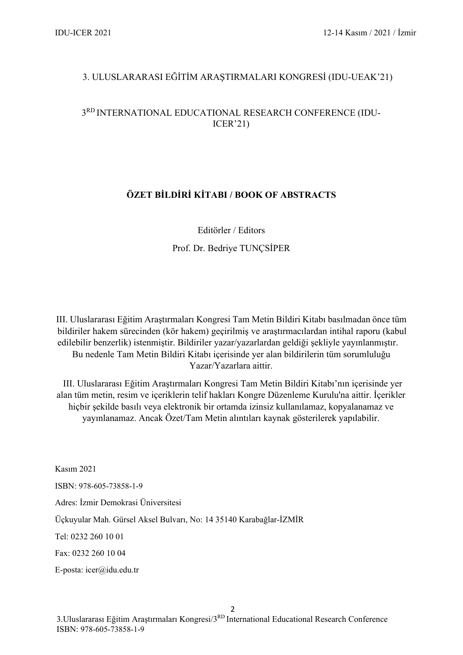#### 3. ULUSLARARASI EĞİTİM ARAŞTIRMALARI KONGRESİ (IDU-UEAK'21)

#### 3RD INTERNATIONAL EDUCATIONAL RESEARCH CONFERENCE (IDU-ICER'21)

#### **ÖZET BİLDİRİ KİTABI / BOOK OF ABSTRACTS**

Editörler / Editors

Prof. Dr. Bedriye TUNÇSİPER

III. Uluslararası Eğitim Araştırmaları Kongresi Tam Metin Bildiri Kitabı basılmadan önce tüm bildiriler hakem sürecinden (kör hakem) geçirilmiş ve araştırmacılardan intihal raporu (kabul edilebilir benzerlik) istenmiştir. Bildiriler yazar/yazarlardan geldiği şekliyle yayınlanmıştır. Bu nedenle Tam Metin Bildiri Kitabı içerisinde yer alan bildirilerin tüm sorumluluğu Yazar/Yazarlara aittir.

III. Uluslararası Eğitim Araştırmaları Kongresi Tam Metin Bildiri Kitabı'nın içerisinde yer alan tüm metin, resim ve içeriklerin telif hakları Kongre Düzenleme Kurulu'na aittir. İçerikler hiçbir şekilde basılı veya elektronik bir ortamda izinsiz kullanılamaz, kopyalanamaz ve yayınlanamaz. Ancak Özet/Tam Metin alıntıları kaynak gösterilerek yapılabilir.

Kasım 2021 ISBN: [978-605-73858-1-9](callto:978-605-73858-1-9) Adres: İzmir Demokrasi Üniversitesi Üçkuyular Mah. Gürsel Aksel Bulvarı, No: 14 35140 Karabağlar-İZMİR Tel: 0232 260 10 01 Fax: 0232 260 10 04 E-posta: [icer@idu.edu.tr](mailto:icer@idu.edu.tr)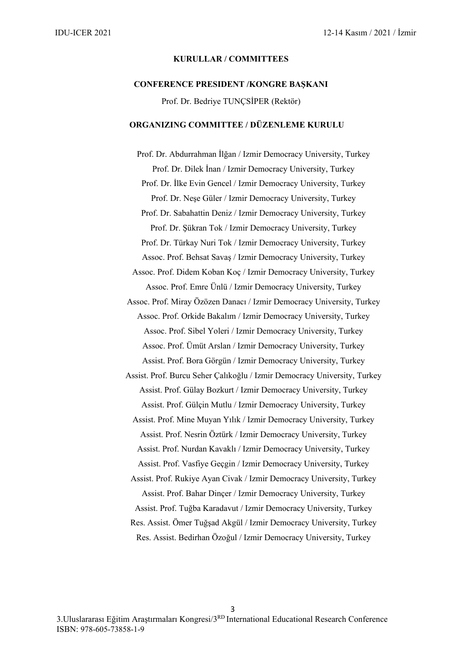#### **KURULLAR / COMMITTEES**

#### **CONFERENCE PRESIDENT /KONGRE BAŞKANI**

Prof. Dr. Bedriye TUNÇSİPER (Rektör)

#### **ORGANIZING COMMITTEE / DÜZENLEME KURULU**

Prof. Dr. Abdurrahman İlğan / Izmir Democracy University, Turkey Prof. Dr. Dilek İnan / Izmir Democracy University, Turkey Prof. Dr. İlke Evin Gencel / Izmir Democracy University, Turkey Prof. Dr. Neşe Güler / Izmir Democracy University, Turkey Prof. Dr. Sabahattin Deniz / Izmir Democracy University, Turkey Prof. Dr. Şükran Tok / Izmir Democracy University, Turkey Prof. Dr. Türkay Nuri Tok / Izmir Democracy University, Turkey Assoc. Prof. Behsat Savaş / Izmir Democracy University, Turkey Assoc. Prof. Didem Koban Koç / Izmir Democracy University, Turkey Assoc. Prof. Emre Ünlü / Izmir Democracy University, Turkey Assoc. Prof. Miray Özözen Danacı / Izmir Democracy University, Turkey Assoc. Prof. Orkide Bakalım / Izmir Democracy University, Turkey Assoc. Prof. Sibel Yoleri / Izmir Democracy University, Turkey Assoc. Prof. Ümüt Arslan / Izmir Democracy University, Turkey Assist. Prof. Bora Görgün / Izmir Democracy University, Turkey Assist. Prof. Burcu Seher Çalıkoğlu / Izmir Democracy University, Turkey Assist. Prof. Gülay Bozkurt / Izmir Democracy University, Turkey Assist. Prof. Gülçin Mutlu / Izmir Democracy University, Turkey Assist. Prof. Mine Muyan Yılık / Izmir Democracy University, Turkey Assist. Prof. Nesrin Öztürk / Izmir Democracy University, Turkey Assist. Prof. Nurdan Kavaklı / Izmir Democracy University, Turkey Assist. Prof. Vasfiye Geçgin / Izmir Democracy University, Turkey Assist. Prof. Rukiye Ayan Civak / Izmir Democracy University, Turkey Assist. Prof. Bahar Dinçer / Izmir Democracy University, Turkey Assist. Prof. Tuğba Karadavut / Izmir Democracy University, Turkey Res. Assist. Ömer Tuğşad Akgül / Izmir Democracy University, Turkey Res. Assist. Bedirhan Özoğul / Izmir Democracy University, Turkey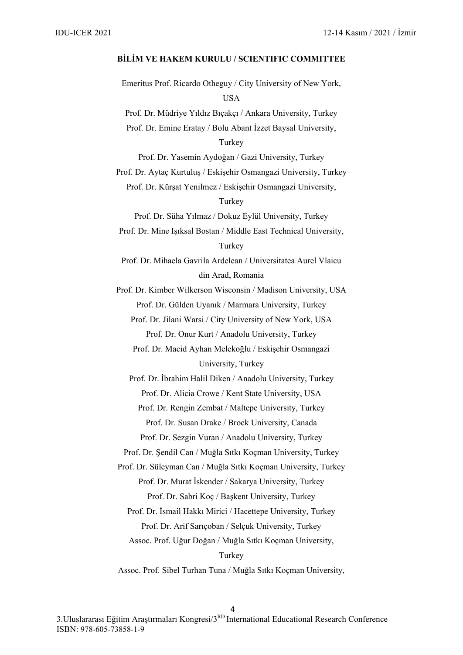#### **BİLİM VE HAKEM KURULU / SCIENTIFIC COMMITTEE**

Emeritus Prof. Ricardo Otheguy / City University of New York, **USA** Prof. Dr. Müdriye Yıldız Bıçakçı / Ankara University, Turkey Prof. Dr. Emine Eratay / Bolu Abant İzzet Baysal University, Turkey Prof. Dr. Yasemin Aydoğan / Gazi University, Turkey Prof. Dr. Aytaç Kurtuluş / Eskişehir Osmangazi University, Turkey Prof. Dr. Kürşat Yenilmez / Eskişehir Osmangazi University, Turkey Prof. Dr. Süha Yılmaz / Dokuz Eylül University, Turkey Prof. Dr. Mine Işıksal Bostan / Middle East Technical University, Turkey Prof. Dr. Mihaela Gavrila Ardelean / Universitatea Aurel Vlaicu din Arad, Romania Prof. Dr. Kimber Wilkerson Wisconsin / Madison University, USA Prof. Dr. Gülden Uyanık / Marmara University, Turkey Prof. Dr. Jilani Warsi / City University of New York, USA Prof. Dr. Onur Kurt / Anadolu University, Turkey Prof. Dr. Macid Ayhan Melekoğlu / Eskişehir Osmangazi University, Turkey Prof. Dr. İbrahim Halil Diken / Anadolu University, Turkey Prof. Dr. Alicia Crowe / Kent State University, USA Prof. Dr. Rengin Zembat / Maltepe University, Turkey Prof. Dr. Susan Drake / Brock University, Canada Prof. Dr. Sezgin Vuran / Anadolu University, Turkey Prof. Dr. Şendil Can / Muğla Sıtkı Koçman University, Turkey Prof. Dr. Süleyman Can / Muğla Sıtkı Koçman University, Turkey Prof. Dr. Murat İskender / Sakarya University, Turkey Prof. Dr. Sabri Koç / Başkent University, Turkey Prof. Dr. İsmail Hakkı Mirici / Hacettepe University, Turkey Prof. Dr. Arif Sarıçoban / Selçuk University, Turkey Assoc. Prof. Uğur Doğan / Muğla Sıtkı Koçman University, Turkey Assoc. Prof. Sibel Turhan Tuna / Muğla Sıtkı Koçman University,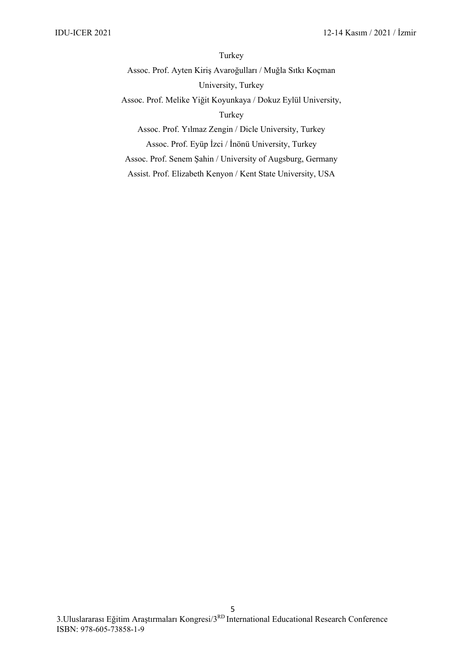Turkey

Assoc. Prof. Ayten Kiriş Avaroğulları / Muğla Sıtkı Koçman University, Turkey

Assoc. Prof. Melike Yiğit Koyunkaya / Dokuz Eylül University,

Turkey

Assoc. Prof. Yılmaz Zengin / Dicle University, Turkey Assoc. Prof. Eyüp İzci / İnönü University, Turkey

Assoc. Prof. Senem Şahin / University of Augsburg, Germany

Assist. Prof. Elizabeth Kenyon / Kent State University, USA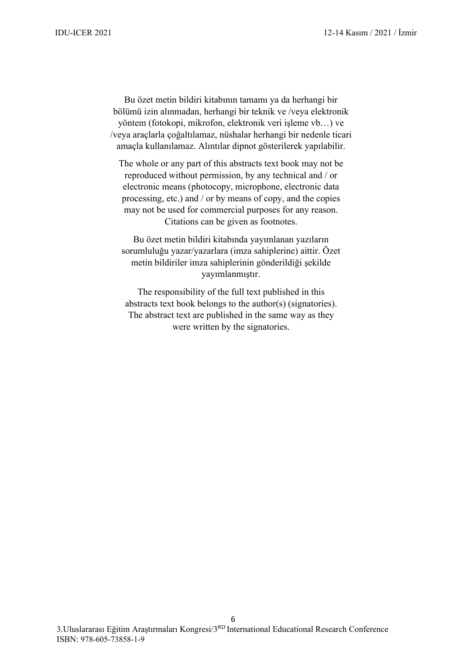Bu özet metin bildiri kitabının tamamı ya da herhangi bir bölümü izin alınmadan, herhangi bir teknik ve /veya elektronik yöntem (fotokopi, mikrofon, elektronik veri işleme vb…) ve /veya araçlarla çoğaltılamaz, nüshalar herhangi bir nedenle ticari amaçla kullanılamaz. Alıntılar dipnot gösterilerek yapılabilir.

The whole or any part of this abstracts text book may not be reproduced without permission, by any technical and / or electronic means (photocopy, microphone, electronic data processing, etc.) and / or by means of copy, and the copies may not be used for commercial purposes for any reason. Citations can be given as footnotes.

Bu özet metin bildiri kitabında yayımlanan yazıların sorumluluğu yazar/yazarlara (imza sahiplerine) aittir. Özet metin bildiriler imza sahiplerinin gönderildiği şekilde yayımlanmıştır.

The responsibility of the full text published in this abstracts text book belongs to the author(s) (signatories). The abstract text are published in the same way as they were written by the signatories.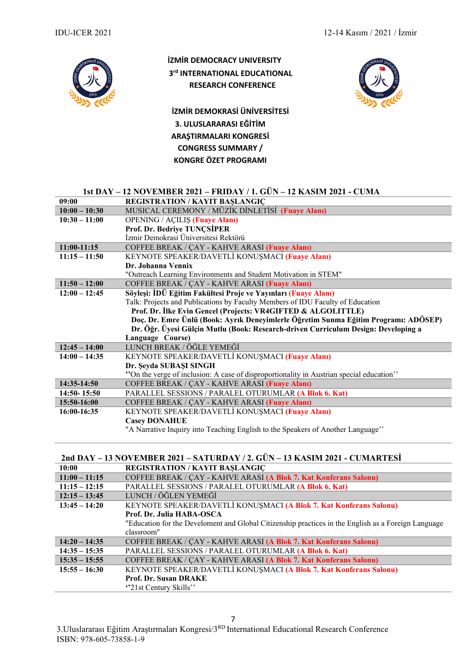

### **İZMİR DEMOCRACY UNIVERSITY 3rd INTERNATIONAL EDUCATIONAL RESEARCH CONFERENCE**

**İZMİR DEMOKRASİ ÜNİVERSİTESİ 3. ULUSLARARASI EĞİTİM ARAŞTIRMALARI KONGRESİ CONGRESS SUMMARY / KONGRE ÖZET PROGRAMI**



#### **1st DAY – 12 NOVEMBER 2021 – FRIDAY / 1. GÜN – 12 KASIM 2021 - CUMA**

| 09:00           | <b>REGISTRATION / KAYIT BAŞLANGIÇ</b>                                                   |  |
|-----------------|-----------------------------------------------------------------------------------------|--|
| $10:00 - 10:30$ | MUSICAL CEREMONY / MÜZİK DİNLETİSİ (Fuaye Alanı)                                        |  |
| $10:30 - 11:00$ | <b>OPENING / AÇILIŞ (Fuaye Alanı)</b>                                                   |  |
|                 | Prof. Dr. Bedriye TUNÇSİPER                                                             |  |
|                 | İzmir Demokrasi Üniversitesi Rektörü                                                    |  |
| $11:00-11:15$   | COFFEE BREAK / ÇAY - KAHVE ARASI (Fuaye Alanı)                                          |  |
| $11:15 - 11:50$ | KEYNOTE SPEAKER/DAVETLİ KONUŞMACI (Fuave Alanı)                                         |  |
|                 | Dr. Johanna Vennix                                                                      |  |
|                 | "Outreach Learning Environments and Student Motivation in STEM"                         |  |
| $11:50 - 12:00$ | COFFEE BREAK / ÇAY - KAHVE ARASI (Fuaye Alanı)                                          |  |
| $12:00 - 12:45$ | Söyleşi: İDÜ Eğitim Fakültesi Proje ve Yayınları (Fuaye Alanı)                          |  |
|                 | Talk: Projects and Publications by Faculty Members of IDU Faculty of Education          |  |
|                 | Prof. Dr. İlke Evin Gencel (Projects: VR4GIFTED & ALGOLITTLE)                           |  |
|                 | Doç. Dr. Emre Ünlü (Book: Ayrık Deneyimlerle Öğretim Sunma Eğitim Programı: ADÖSEP)     |  |
|                 | Dr. Öğr. Üyesi Gülçin Mutlu (Book: Research-driven Curriculum Design: Developing a      |  |
|                 | Language Course)                                                                        |  |
| $12:45 - 14:00$ | LUNCH BREAK / ÖĞLE YEMEĞİ                                                               |  |
| $14:00 - 14:35$ | KEYNOTE SPEAKER/DAVETLİ KONUŞMACI (Fuaye Alanı)                                         |  |
|                 | Dr. Şeyda SUBAŞI SINGH                                                                  |  |
|                 | "On the verge of inclusion: A case of disproportionality in Austrian special education" |  |
| 14:35-14:50     |                                                                                         |  |
|                 | COFFEE BREAK / ÇAY - KAHVE ARASI (Fuaye Alanı)                                          |  |
| 14:50-15:50     | PARALLEL SESSIONS / PARALEL OTURUMLAR (A Blok 6. Kat)                                   |  |
| 15:50-16:00     | COFFEE BREAK / ÇAY - KAHVE ARASI (Fuaye Alanı)                                          |  |
| 16:00-16:35     | KEYNOTE SPEAKER/DAVETLİ KONUŞMACI (Fuaye Alanı)                                         |  |
|                 | <b>Casey DONAHUE</b>                                                                    |  |
|                 | "A Narrative Inquiry into Teaching English to the Speakers of Another Language"         |  |

#### **2nd DAY – 13 NOVEMBER 2021 – SATURDAY / 2. GÜN – 13 KASIM 2021 - CUMARTESİ**

| <b>REGISTRATION / KAYIT BAŞLANGIÇ</b>                                                               |  |
|-----------------------------------------------------------------------------------------------------|--|
| COFFEE BREAK / ÇAY - KAHVE ARASI (A Blok 7. Kat Konferans Salonu)                                   |  |
| PARALLEL SESSIONS / PARALEL OTURUMLAR (A Blok 6. Kat)                                               |  |
| LUNCH / ÖĞLEN YEMEĞİ                                                                                |  |
| KEYNOTE SPEAKER/DAVETLİ KONUŞMACI (A Blok 7. Kat Konferans Salonu)<br>$13:45 - 14:20$               |  |
| Prof. Dr. Julia HABA-OSCA                                                                           |  |
| "Education for the Develoment and Global Citizenship practices in the English as a Foreign Language |  |
| classroom"                                                                                          |  |
| COFFEE BREAK / ÇAY - KAHVE ARASI (A Blok 7. Kat Konferans Salonu)                                   |  |
| PARALLEL SESSIONS / PARALEL OTURUMLAR (A Blok 6. Kat)                                               |  |
| COFFEE BREAK / ÇAY - KAHVE ARASI (A Blok 7. Kat Konferans Salonu)                                   |  |
| KEYNOTE SPEAKER/DAVETLİ KONUŞMACI (A Blok 7. Kat Konferans Salonu)                                  |  |
| <b>Prof. Dr. Susan DRAKE</b>                                                                        |  |
| "21st Century Skills"                                                                               |  |
|                                                                                                     |  |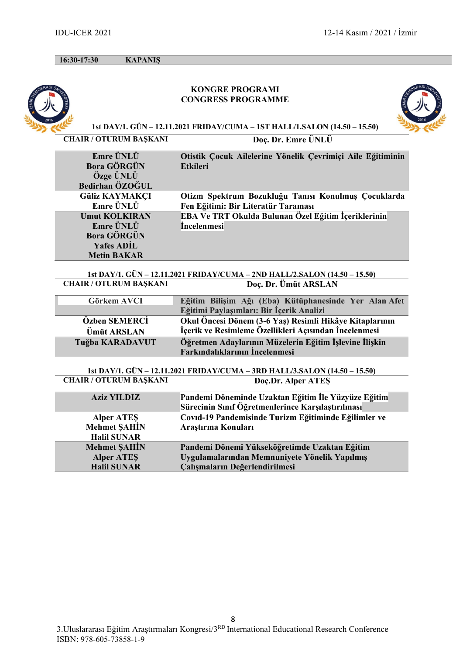**16:30-17:30 KAPANIŞ** 

#### **KONGRE PROGRAMI CONGRESS PROGRAMME**



**1st DAY/1. GÜN – 12.11.2021 FRIDAY/CUMA – 1ST HALL/1.SALON (14.50 – 15.50)**

| <b>CHAIR / OTURUM BAŞKAN</b> |
|------------------------------|
|------------------------------|

**CHAIR (ED)** Doc. Dr. Emre ÜNLÜ

| Emre ÜNLÜ             | Otistik Çocuk Ailelerine Yönelik Çevrimiçi Aile Eğitiminin |
|-----------------------|------------------------------------------------------------|
| <b>Bora GÖRGÜN</b>    | <b>Etkileri</b>                                            |
| Özge ÜNLÜ             |                                                            |
| Bedirhan ÖZOĞUL       |                                                            |
| <b>Güliz KAYMAKÇI</b> | Otizm Spektrum Bozukluğu Tanısı Konulmuş Çocuklarda        |
| Emre ÜNLÜ             | Fen Eğitimi: Bir Literatür Taraması                        |
| <b>Umut KOLKIRAN</b>  | EBA Ve TRT Okulda Bulunan Özel Eğitim İçeriklerinin        |
| Emre ÜNLÜ             | <i><u><b>Incelenmesi</b></u></i>                           |
| <b>Bora GÖRGÜN</b>    |                                                            |
| <b>Yafes ADIL</b>     |                                                            |
| <b>Metin BAKAR</b>    |                                                            |

**1st DAY/1. GÜN – 12.11.2021 FRIDAY/CUMA – 2ND HALL/2.SALON (14.50 – 15.50) CHAIR / OTURUM BAŞKANI Doç. Dr. Ümüt ARSLAN**

| Görkem AVCI        | Eğitim Bilişim Ağı (Eba) Kütüphanesinde Yer Alan Afet   |
|--------------------|---------------------------------------------------------|
|                    | Eğitimi Paylaşımları: Bir İçerik Analizi                |
| Özben SEMERCİ      | Okul Öncesi Dönem (3-6 Yaş) Resimli Hikâye Kitaplarının |
| <b>Ümüt ARSLAN</b> | İçerik ve Resimleme Özellikleri Açısından İncelenmesi   |
| Tuğba KARADAVUT    | Öğretmen Adaylarının Müzelerin Eğitim İşlevine İlişkin  |
|                    | Farkındalıklarının İncelenmesi                          |

**1st DAY/1. GÜN – 12.11.2021 FRIDAY/CUMA – 3RD HALL/3.SALON (14.50 – 15.50) CHAIR / OTURUM BAŞKANI** 

| <b>Aziz YILDIZ</b>         | Pandemi Döneminde Uzaktan Eğitim İle Yüzyüze Eğitim  |
|----------------------------|------------------------------------------------------|
|                            | Sürecinin Sınıf Öğretmenlerince Karşılaştırılması    |
|                            | Covid-19 Pandemisinde Turizm Eğitiminde Eğilimler ve |
| Alper ATES<br>Mehmet SAHİN | Arastırma Konuları                                   |
| <b>Halil SUNAR</b>         |                                                      |
| <b>Mehmet SAHİN</b>        | Pandemi Dönemi Yükseköğretimde Uzaktan Eğitim        |
| <b>Alper ATES</b>          | Uygulamalarından Memnuniyete Yönelik Yapılmış        |
| <b>Halil SUNAR</b>         | <b>Çalışmaların Değerlendirilmesi</b>                |
|                            |                                                      |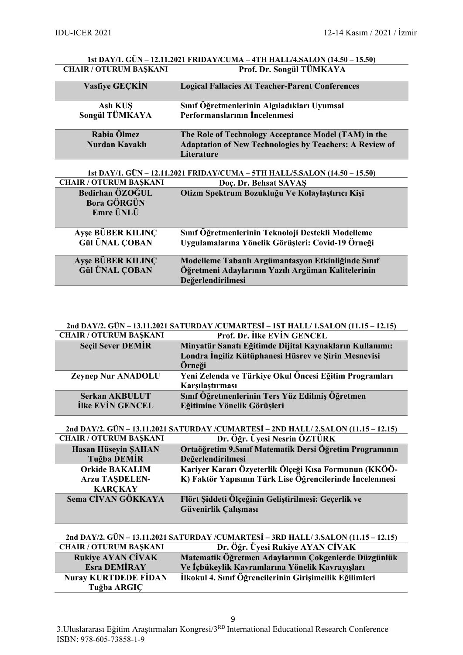| 1st DAY/1. GÜN - 12.11.2021 FRIDAY/CUMA - 4TH HALL/4.SALON (14.50 - 15.50) |                                                                |  |
|----------------------------------------------------------------------------|----------------------------------------------------------------|--|
| <b>CHAIR / OTURUM BASKANI</b>                                              | Prof. Dr. Songül TÜMKAYA                                       |  |
| <b>Vasfive GECKIN</b>                                                      | <b>Logical Fallacies At Teacher-Parent Conferences</b>         |  |
|                                                                            |                                                                |  |
| <b>Aslı KUŞ</b>                                                            | Sınıf Öğretmenlerinin Algıladıkları Uyumsal                    |  |
| Songül TÜMKAYA                                                             | Performanslarının İncelenmesi                                  |  |
|                                                                            |                                                                |  |
| Rabia Ölmez                                                                | The Role of Technology Acceptance Model (TAM) in the           |  |
| Nurdan Kavaklı                                                             | <b>Adaptation of New Technologies by Teachers: A Review of</b> |  |
|                                                                            | Literature                                                     |  |
|                                                                            |                                                                |  |
| 1st DAY/1. GÜN – 12.11.2021 FRIDAY/CUMA – 5TH HALL/5.SALON (14.50 – 15.50) |                                                                |  |
| <b>CHAIR / OTURUM BAŞKANI</b>                                              | Doc. Dr. Behsat SAVAS                                          |  |
| Bedirhan ÖZOĞUL                                                            | Otizm Spektrum Bozukluğu Ve Kolaylaştırıcı Kişi                |  |
| <b>Bora GÖRGÜN</b>                                                         |                                                                |  |

| <b>Emre UNLU</b>                                  |                                                                                                                               |
|---------------------------------------------------|-------------------------------------------------------------------------------------------------------------------------------|
| <b>Ayse BÜBER KILINÇ</b><br><b>Gül ÜNAL COBAN</b> | Sınıf Öğretmenlerinin Teknoloji Destekli Modelleme<br>Uygulamalarına Yönelik Görüşleri: Covid-19 Örneği                       |
| Ayse BÜBER KILINÇ<br><b>Gül ÜNAL ÇOBAN</b>        | Modelleme Tabanlı Argümantasyon Etkinliğinde Sınıf<br>Öğretmeni Adaylarının Yazılı Argüman Kalitelerinin<br>Değerlendirilmesi |

#### **2nd DAY/2. GÜN – 13.11.2021 SATURDAY /CUMARTESİ – 1ST HALL/ 1.SALON (11.15 – 12.15) Prof. Dr. İlke EVİN GENCEL**

| <b>Seçil Sever DEMIR</b>  | Minyatür Sanatı Eğitimde Dijital Kaynakların Kullanımı: |
|---------------------------|---------------------------------------------------------|
|                           | Londra İngiliz Kütüphanesi Hüsrev ve Şirin Mesnevisi    |
|                           | Örneği                                                  |
| <b>Zeynep Nur ANADOLU</b> | Yeni Zelenda ve Türkiye Okul Öncesi Eğitim Programları  |
|                           | Karşılaştırması                                         |
| <b>Serkan AKBULUT</b>     | Sınıf Öğretmenlerinin Ters Yüz Edilmiş Öğretmen         |
| <b>İlke EVİN GENCEL</b>   | Eğitimine Yönelik Görüşleri                             |
|                           |                                                         |

**2nd DAY/2. GÜN – 13.11.2021 SATURDAY /CUMARTESİ – 2ND HALL/ 2.SALON (11.15 – 12.15)**

| Dr. Öğr. Üyesi Nesrin ÖZTÜRK                             |
|----------------------------------------------------------|
| Ortaöğretim 9. Sınıf Matematik Dersi Öğretim Programının |
| Değerlendirilmesi                                        |
| Kariyer Kararı Özyeterlik Ölçeği Kısa Formunun (KKÖÖ-    |
| K) Faktör Yapısının Türk Lise Öğrencilerinde İncelenmesi |
|                                                          |
| Flört Siddeti Ölçeğinin Geliştirilmesi: Geçerlik ve      |
| Güvenirlik Çalışması                                     |
|                                                          |

### **2nd DAY/2. GÜN – 13.11.2021 SATURDAY /CUMARTESİ – 3RD HALL/ 3.SALON (11.15 – 12.15) Dr. Öğr. Üyesi Rukiye AYAN CİVAK Rukiye AYAN CİVAK Matematik Öğretmen Adaylarının Çokgenlerde Düzgünlük**

| <b>Esra DEMIRAY</b>         | Ve İçbükeylik Kavramlarına Yönelik Kavrayışları         |
|-----------------------------|---------------------------------------------------------|
| <b>Nuray KURTDEDE FIDAN</b> | İlkokul 4. Sınıf Öğrencilerinin Girişimcilik Eğilimleri |
| Tuğba ARGIÇ                 |                                                         |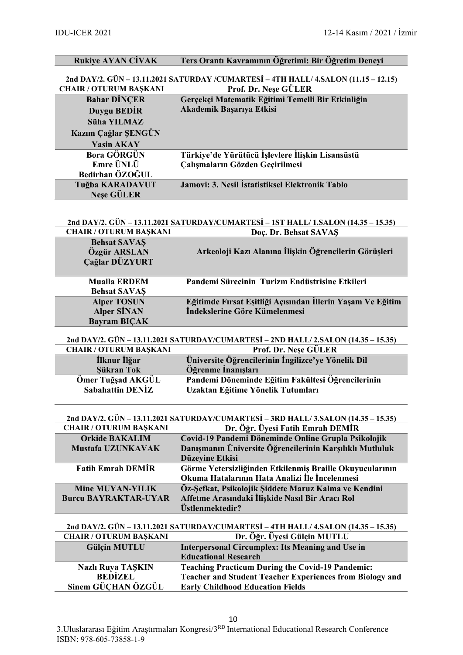| <b>Rukiye AYAN CİVAK</b>                  | Ters Orantı Kavramının Öğretimi: Bir Öğretim Deneyi                                                        |
|-------------------------------------------|------------------------------------------------------------------------------------------------------------|
|                                           | 2nd DAY/2. GÜN - 13.11.2021 SATURDAY /CUMARTESİ - 4TH HALL/ 4.SALON (11.15 - 12.15)                        |
| <b>CHAIR / OTURUM BAŞKANI</b>             | Prof. Dr. Nese GÜLER                                                                                       |
| <b>Bahar DİNÇER</b>                       | Gerçekçi Matematik Eğitimi Temelli Bir Etkinliğin                                                          |
| <b>Duygu BEDİR</b>                        | Akademik Başarıya Etkisi                                                                                   |
| Süha YILMAZ                               |                                                                                                            |
| Kazım Çağlar ŞENGÜN                       |                                                                                                            |
| <b>Yasin AKAY</b>                         |                                                                                                            |
| <b>Bora GÖRGÜN</b>                        | Türkiye'de Yürütücü İşlevlere İlişkin Lisansüstü                                                           |
| Emre ÜNLÜ<br>Bedirhan ÖZOĞUL              | Çalışmaların Gözden Geçirilmesi                                                                            |
| Tuğba KARADAVUT                           | Jamovi: 3. Nesil İstatistiksel Elektronik Tablo                                                            |
| <b>Nese GÜLER</b>                         |                                                                                                            |
|                                           |                                                                                                            |
|                                           | 2nd DAY/2. GÜN - 13.11.2021 SATURDAY/CUMARTESİ - 1ST HALL/ 1.SALON (14.35 - 15.35)                         |
| <b>CHAIR / OTURUM BAŞKANI</b>             | Doc. Dr. Behsat SAVAS                                                                                      |
| <b>Behsat SAVAŞ</b>                       |                                                                                                            |
| Özgür ARSLAN<br>Cağlar DÜZYURT            | Arkeoloji Kazı Alanına İlişkin Öğrencilerin Görüşleri                                                      |
|                                           |                                                                                                            |
| <b>Mualla ERDEM</b>                       | Pandemi Sürecinin Turizm Endüstrisine Etkileri                                                             |
| <b>Behsat SAVAŞ</b>                       |                                                                                                            |
| <b>Alper TOSUN</b>                        | Eğitimde Fırsat Eşitliği Açısından İllerin Yaşam Ve Eğitim                                                 |
| <b>Alper SİNAN</b><br><b>Bayram BIÇAK</b> | Indekslerine Göre Kümelenmesi                                                                              |
|                                           |                                                                                                            |
|                                           | 2nd DAY/2. GÜN – 13.11.2021 SATURDAY/CUMARTESİ – 2ND HALL/ 2.SALON (14.35 – 15.35)                         |
| <b>CHAIR / OTURUM BAŞKANI</b>             | Prof. Dr. Nese GÜLER                                                                                       |
| İlknur İlğar<br>Sükran Tok                | Üniversite Öğrencilerinin İngilizce'ye Yönelik Dil<br>Öğrenme İnanışları                                   |
| Ömer Tuğşad AKGÜL                         | Pandemi Döneminde Eğitim Fakültesi Öğrencilerinin                                                          |
| <b>Sabahattin DENİZ</b>                   | Uzaktan Eğitime Yönelik Tutumları                                                                          |
|                                           |                                                                                                            |
|                                           | 2nd DAY/2. GÜN - 13.11.2021 SATURDAY/CUMARTESİ - 3RD HALL/ 3.SALON (14.35 - 15.35)                         |
| <b>CHAIR / OTURUM BAŞKANI</b>             | Dr. Öğr. Üyesi Fatih Emrah DEMİR                                                                           |
| <b>Orkide BAKALIM</b>                     | Covid-19 Pandemi Döneminde Online Grupla Psikolojik                                                        |
| Mustafa UZUNKAVAK                         | Danışmanın Üniversite Öğrencilerinin Karşılıklı Mutluluk                                                   |
|                                           | Düzeyine Etkisi                                                                                            |
| <b>Fatih Emrah DEMİR</b>                  | Görme Yetersizliğinden Etkilenmiş Braille Okuyucularının<br>Okuma Hatalarının Hata Analizi İle İncelenmesi |
| <b>Mine MUYAN-YILIK</b>                   | Öz-Şefkat, Psikolojik Şiddete Maruz Kalma ve Kendini                                                       |
| <b>Burcu BAYRAKTAR-UYAR</b>               | Affetme Arasındaki İlişkide Nasıl Bir Aracı Rol                                                            |
|                                           | Üstlenmektedir?                                                                                            |
|                                           | 2nd DAY/2. GÜN - 13.11.2021 SATURDAY/CUMARTESİ - 4TH HALL/ 4.SALON (14.35 - 15.35)                         |
| <b>CHAIR / OTURUM BAŞKANI</b>             | Dr. Öğr. Üyesi Gülçin MUTLU                                                                                |
| <b>Gülçin MUTLU</b>                       | <b>Interpersonal Circumplex: Its Meaning and Use in</b>                                                    |
|                                           | <b>Educational Research</b>                                                                                |
| <b>Nazlı Ruya TAŞKIN</b>                  | <b>Teaching Practicum During the Covid-19 Pandemic:</b>                                                    |
| <b>BEDİZEL</b><br>Sinem GÜÇHAN ÖZGÜL      | <b>Teacher and Student Teacher Experiences from Biology and</b>                                            |
|                                           | <b>Early Childhood Education Fields</b>                                                                    |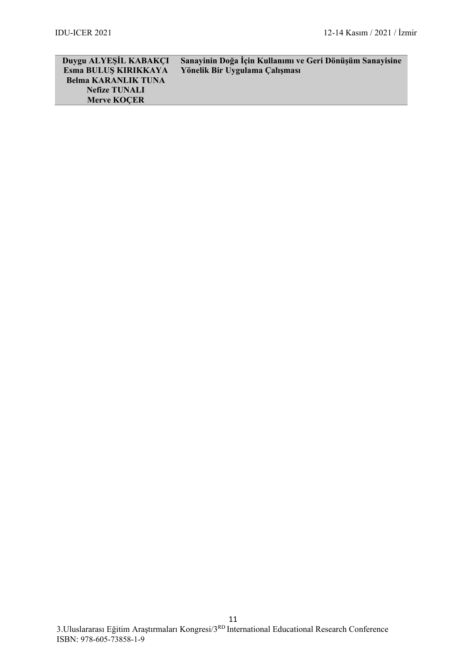| Duygu ALYESIL KABAKCI      | Sanayinin Doğa İçin Kullanımı ve Geri Dönüşüm Sanayisine |
|----------------------------|----------------------------------------------------------|
| Esma BULUS KIRIKKAYA       | Yönelik Bir Uygulama Çalışması                           |
| <b>Belma KARANLIK TUNA</b> |                                                          |
| <b>Nefize TUNALI</b>       |                                                          |
| <b>Merve KOCER</b>         |                                                          |
|                            |                                                          |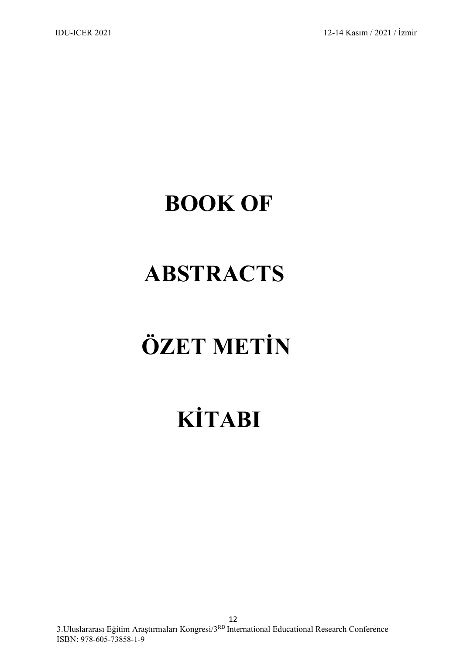# **BOOK OF**

# **ABSTRACTS**

# **ÖZET METİN**

# **KİTABI**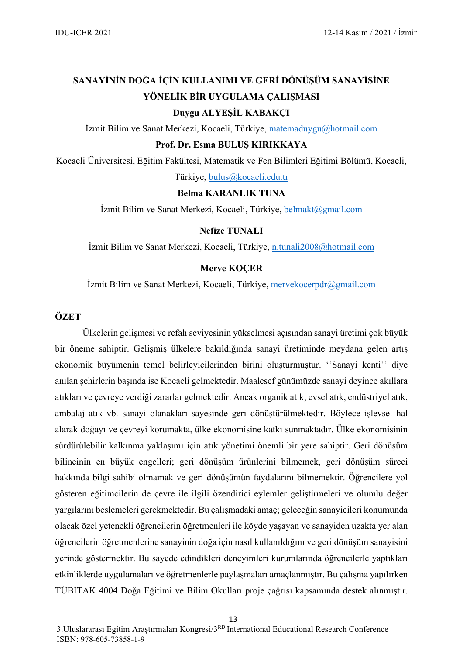## **SANAYİNİN DOĞA İÇİN KULLANIMI VE GERİ DÖNÜŞÜM SANAYİSİNE YÖNELİK BİR UYGULAMA ÇALIŞMASI Duygu ALYEŞİL KABAKÇI**

İzmit Bilim ve Sanat Merkezi, Kocaeli, Türkiye, [matemaduygu@hotmail.com](mailto:matemaduygu@hotmail.com)

#### **Prof. Dr. Esma BULUŞ KIRIKKAYA**

Kocaeli Üniversitesi, Eğitim Fakültesi, Matematik ve Fen Bilimleri Eğitimi Bölümü, Kocaeli,

Türkiye, [bulus@kocaeli.edu.tr](mailto:bulus@kocaeli.edu.tr)

#### **Belma KARANLIK TUNA**

İzmit Bilim ve Sanat Merkezi, Kocaeli, Türkiye, [belmakt@gmail.com](mailto:belmakt@gmail.com)

#### **Nefize TUNALI**

İzmit Bilim ve Sanat Merkezi, Kocaeli, Türkiye, [n.tunali2008@hotmail.com](mailto:n.tunali2008@hotmail.com)

#### **Merve KOÇER**

İzmit Bilim ve Sanat Merkezi, Kocaeli, Türkiye, [mervekocerpdr@gmail.com](mailto:mervekocerpdr@gmail.com)

#### **ÖZET**

Ülkelerin gelişmesi ve refah seviyesinin yükselmesi açısından sanayi üretimi çok büyük bir öneme sahiptir. Gelişmiş ülkelere bakıldığında sanayi üretiminde meydana gelen artış ekonomik büyümenin temel belirleyicilerinden birini oluşturmuştur. ''Sanayi kenti'' diye anılan şehirlerin başında ise Kocaeli gelmektedir. Maalesef günümüzde sanayi deyince akıllara atıkları ve çevreye verdiği zararlar gelmektedir. Ancak organik atık, evsel atık, endüstriyel atık, ambalaj atık vb. sanayi olanakları sayesinde geri dönüştürülmektedir. Böylece işlevsel hal alarak doğayı ve çevreyi korumakta, ülke ekonomisine katkı sunmaktadır. Ülke ekonomisinin sürdürülebilir kalkınma yaklaşımı için atık yönetimi önemli bir yere sahiptir. Geri dönüşüm bilincinin en büyük engelleri; geri dönüşüm ürünlerini bilmemek, geri dönüşüm süreci hakkında bilgi sahibi olmamak ve geri dönüşümün faydalarını bilmemektir. Öğrencilere yol gösteren eğitimcilerin de çevre ile ilgili özendirici eylemler geliştirmeleri ve olumlu değer yargılarını beslemeleri gerekmektedir. Bu çalışmadaki amaç; geleceğin sanayicileri konumunda olacak özel yetenekli öğrencilerin öğretmenleri ile köyde yaşayan ve sanayiden uzakta yer alan öğrencilerin öğretmenlerine sanayinin doğa için nasıl kullanıldığını ve geri dönüşüm sanayisini yerinde göstermektir. Bu sayede edindikleri deneyimleri kurumlarında öğrencilerle yaptıkları etkinliklerde uygulamaları ve öğretmenlerle paylaşmaları amaçlanmıştır. Bu çalışma yapılırken TÜBİTAK 4004 Doğa Eğitimi ve Bilim Okulları proje çağrısı kapsamında destek alınmıştır.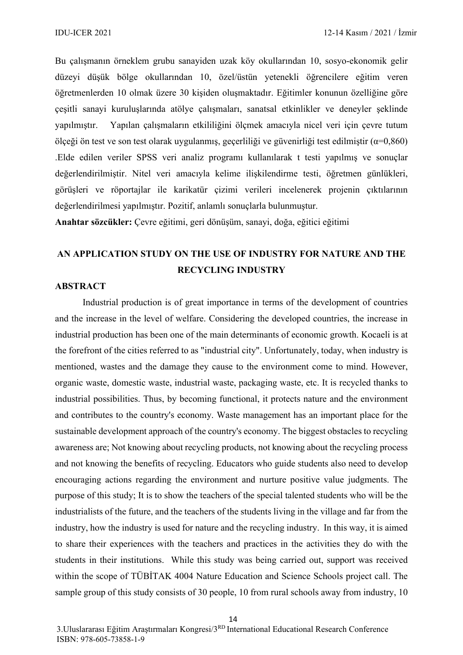Bu çalışmanın örneklem grubu sanayiden uzak köy okullarından 10, sosyo-ekonomik gelir düzeyi düşük bölge okullarından 10, özel/üstün yetenekli öğrencilere eğitim veren öğretmenlerden 10 olmak üzere 30 kişiden oluşmaktadır. Eğitimler konunun özelliğine göre çeşitli sanayi kuruluşlarında atölye çalışmaları, sanatsal etkinlikler ve deneyler şeklinde yapılmıştır. Yapılan çalışmaların etkililiğini ölçmek amacıyla nicel veri için çevre tutum ölçeği ön test ve son test olarak uygulanmış, geçerliliği ve güvenirliği test edilmiştir (α=0,860) .Elde edilen veriler SPSS veri analiz programı kullanılarak t testi yapılmış ve sonuçlar değerlendirilmiştir. Nitel veri amacıyla kelime ilişkilendirme testi, öğretmen günlükleri, görüşleri ve röportajlar ile karikatür çizimi verileri incelenerek projenin çıktılarının değerlendirilmesi yapılmıştır. Pozitif, anlamlı sonuçlarla bulunmuştur.

**Anahtar sözcükler:** Çevre eğitimi, geri dönüşüm, sanayi, doğa, eğitici eğitimi

## **AN APPLICATION STUDY ON THE USE OF INDUSTRY FOR NATURE AND THE RECYCLING INDUSTRY**

#### **ABSTRACT**

Industrial production is of great importance in terms of the development of countries and the increase in the level of welfare. Considering the developed countries, the increase in industrial production has been one of the main determinants of economic growth. Kocaeli is at the forefront of the cities referred to as "industrial city". Unfortunately, today, when industry is mentioned, wastes and the damage they cause to the environment come to mind. However, organic waste, domestic waste, industrial waste, packaging waste, etc. It is recycled thanks to industrial possibilities. Thus, by becoming functional, it protects nature and the environment and contributes to the country's economy. Waste management has an important place for the sustainable development approach of the country's economy. The biggest obstacles to recycling awareness are; Not knowing about recycling products, not knowing about the recycling process and not knowing the benefits of recycling. Educators who guide students also need to develop encouraging actions regarding the environment and nurture positive value judgments. The purpose of this study; It is to show the teachers of the special talented students who will be the industrialists of the future, and the teachers of the students living in the village and far from the industry, how the industry is used for nature and the recycling industry. In this way, it is aimed to share their experiences with the teachers and practices in the activities they do with the students in their institutions. While this study was being carried out, support was received within the scope of TÜBİTAK 4004 Nature Education and Science Schools project call. The sample group of this study consists of 30 people, 10 from rural schools away from industry, 10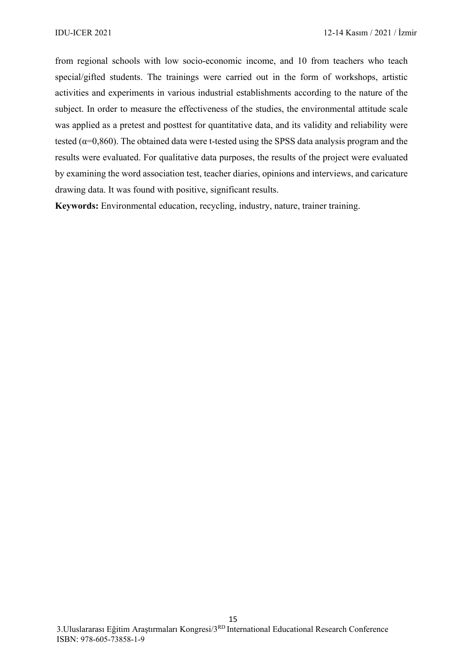from regional schools with low socio-economic income, and 10 from teachers who teach special/gifted students. The trainings were carried out in the form of workshops, artistic activities and experiments in various industrial establishments according to the nature of the subject. In order to measure the effectiveness of the studies, the environmental attitude scale was applied as a pretest and posttest for quantitative data, and its validity and reliability were tested ( $\alpha$ =0,860). The obtained data were t-tested using the SPSS data analysis program and the results were evaluated. For qualitative data purposes, the results of the project were evaluated by examining the word association test, teacher diaries, opinions and interviews, and caricature drawing data. It was found with positive, significant results.

**Keywords:** Environmental education, recycling, industry, nature, trainer training.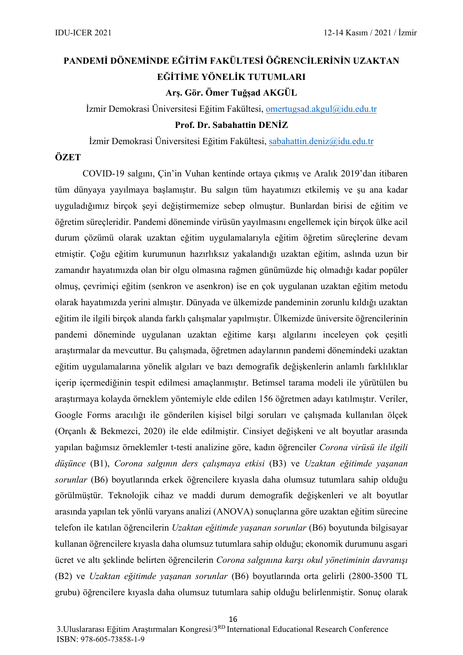## **PANDEMİ DÖNEMİNDE EĞİTİM FAKÜLTESİ ÖĞRENCİLERİNİN UZAKTAN EĞİTİME YÖNELİK TUTUMLARI Arş. Gör. Ömer Tuğşad AKGÜL**

İzmir Demokrasi Üniversitesi Eğitim Fakültesi, [omertugsad.akgul@idu.edu.tr](mailto:omertugsad.akgul@idu.edu.tr)

#### **Prof. Dr. Sabahattin DENİZ**

İzmir Demokrasi Üniversitesi Eğitim Fakültesi, [sabahattin.deniz@idu.edu.tr](mailto:sabahattin.deniz@idu.edu.tr)

#### **ÖZET**

COVID-19 salgını, Çin'in Vuhan kentinde ortaya çıkmış ve Aralık 2019'dan itibaren tüm dünyaya yayılmaya başlamıştır. Bu salgın tüm hayatımızı etkilemiş ve şu ana kadar uyguladığımız birçok şeyi değiştirmemize sebep olmuştur. Bunlardan birisi de eğitim ve öğretim süreçleridir. Pandemi döneminde virüsün yayılmasını engellemek için birçok ülke acil durum çözümü olarak uzaktan eğitim uygulamalarıyla eğitim öğretim süreçlerine devam etmiştir. Çoğu eğitim kurumunun hazırlıksız yakalandığı uzaktan eğitim, aslında uzun bir zamandır hayatımızda olan bir olgu olmasına rağmen günümüzde hiç olmadığı kadar popüler olmuş, çevrimiçi eğitim (senkron ve asenkron) ise en çok uygulanan uzaktan eğitim metodu olarak hayatımızda yerini almıştır. Dünyada ve ülkemizde pandeminin zorunlu kıldığı uzaktan eğitim ile ilgili birçok alanda farklı çalışmalar yapılmıştır. Ülkemizde üniversite öğrencilerinin pandemi döneminde uygulanan uzaktan eğitime karşı algılarını inceleyen çok çeşitli araştırmalar da mevcuttur. Bu çalışmada, öğretmen adaylarının pandemi dönemindeki uzaktan eğitim uygulamalarına yönelik algıları ve bazı demografik değişkenlerin anlamlı farklılıklar içerip içermediğinin tespit edilmesi amaçlanmıştır. Betimsel tarama modeli ile yürütülen bu araştırmaya kolayda örneklem yöntemiyle elde edilen 156 öğretmen adayı katılmıştır. Veriler, Google Forms aracılığı ile gönderilen kişisel bilgi soruları ve çalışmada kullanılan ölçek (Orçanlı & Bekmezci, 2020) ile elde edilmiştir. Cinsiyet değişkeni ve alt boyutlar arasında yapılan bağımsız örneklemler t-testi analizine göre, kadın öğrenciler *Corona virüsü ile ilgili düşünce* (B1), *Corona salgının ders çalışmaya etkisi* (B3) ve *Uzaktan eğitimde yaşanan sorunlar* (B6) boyutlarında erkek öğrencilere kıyasla daha olumsuz tutumlara sahip olduğu görülmüştür. Teknolojik cihaz ve maddi durum demografik değişkenleri ve alt boyutlar arasında yapılan tek yönlü varyans analizi (ANOVA) sonuçlarına göre uzaktan eğitim sürecine telefon ile katılan öğrencilerin *Uzaktan eğitimde yaşanan sorunlar* (B6) boyutunda bilgisayar kullanan öğrencilere kıyasla daha olumsuz tutumlara sahip olduğu; ekonomik durumunu asgari ücret ve altı şeklinde belirten öğrencilerin *Corona salgınına karşı okul yönetiminin davranışı* (B2) ve *Uzaktan eğitimde yaşanan sorunlar* (B6) boyutlarında orta gelirli (2800-3500 TL grubu) öğrencilere kıyasla daha olumsuz tutumlara sahip olduğu belirlenmiştir. Sonuç olarak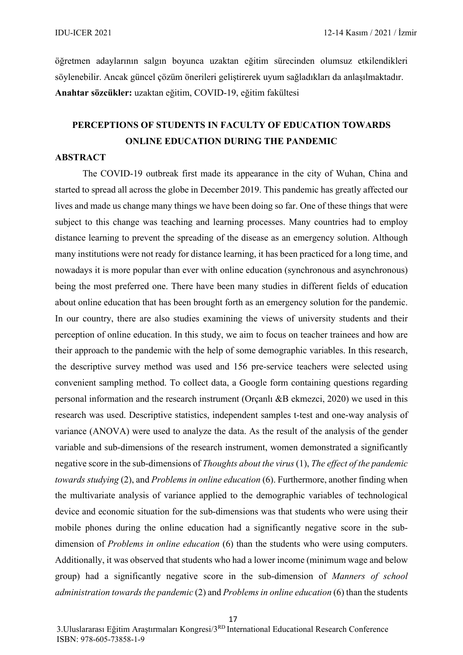öğretmen adaylarının salgın boyunca uzaktan eğitim sürecinden olumsuz etkilendikleri söylenebilir. Ancak güncel çözüm önerileri geliştirerek uyum sağladıkları da anlaşılmaktadır. **Anahtar sözcükler:** uzaktan eğitim, COVID-19, eğitim fakültesi

## **PERCEPTIONS OF STUDENTS IN FACULTY OF EDUCATION TOWARDS ONLINE EDUCATION DURING THE PANDEMIC**

#### **ABSTRACT**

The COVID-19 outbreak first made its appearance in the city of Wuhan, China and started to spread all across the globe in December 2019. This pandemic has greatly affected our lives and made us change many things we have been doing so far. One of these things that were subject to this change was teaching and learning processes. Many countries had to employ distance learning to prevent the spreading of the disease as an emergency solution. Although many institutions were not ready for distance learning, it has been practiced for a long time, and nowadays it is more popular than ever with online education (synchronous and asynchronous) being the most preferred one. There have been many studies in different fields of education about online education that has been brought forth as an emergency solution for the pandemic. In our country, there are also studies examining the views of university students and their perception of online education. In this study, we aim to focus on teacher trainees and how are their approach to the pandemic with the help of some demographic variables. In this research, the descriptive survey method was used and 156 pre-service teachers were selected using convenient sampling method. To collect data, a Google form containing questions regarding personal information and the research instrument (Orçanlı &B ekmezci, 2020) we used in this research was used. Descriptive statistics, independent samples t-test and one-way analysis of variance (ANOVA) were used to analyze the data. As the result of the analysis of the gender variable and sub-dimensions of the research instrument, women demonstrated a significantly negative score in the sub-dimensions of *Thoughts about the virus* (1), *The effect of the pandemic towards studying* (2), and *Problems in online education* (6). Furthermore, another finding when the multivariate analysis of variance applied to the demographic variables of technological device and economic situation for the sub-dimensions was that students who were using their mobile phones during the online education had a significantly negative score in the subdimension of *Problems in online education* (6) than the students who were using computers. Additionally, it was observed that students who had a lower income (minimum wage and below group) had a significantly negative score in the sub-dimension of *Manners of school administration towards the pandemic* (2) and *Problems in online education* (6) than the students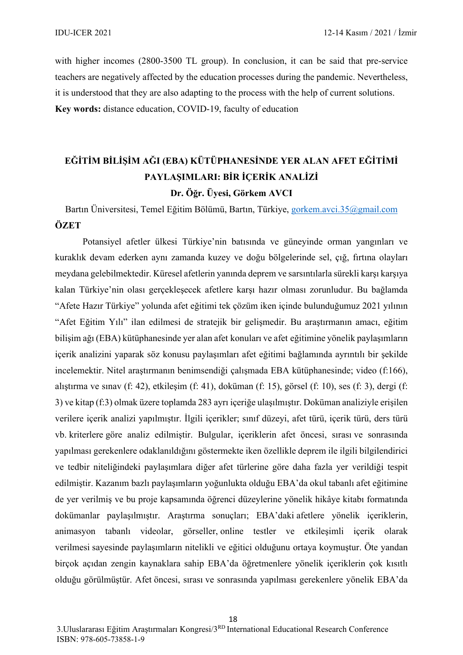with higher incomes (2800-3500 TL group). In conclusion, it can be said that pre-service teachers are negatively affected by the education processes during the pandemic. Nevertheless, it is understood that they are also adapting to the process with the help of current solutions. **Key words:** distance education, COVID-19, faculty of education

## **EĞİTİM BİLİŞİM AĞI (EBA) KÜTÜPHANESİNDE YER ALAN AFET EĞİTİMİ PAYLAŞIMLARI: BİR İÇERİK ANALİZİ Dr. Öğr. Üyesi, Görkem AVCI**

Bartın Üniversitesi, Temel Eğitim Bölümü, Bartın, Türkiye, [gorkem.avci.35@gmail.com](mailto:gorkem.avci.35@gmail.com) **ÖZET**

Potansiyel afetler ülkesi Türkiye'nin batısında ve güneyinde orman yangınları ve kuraklık devam ederken aynı zamanda kuzey ve doğu bölgelerinde sel, çığ, fırtına olayları meydana gelebilmektedir. Küresel afetlerin yanında deprem ve sarsıntılarla sürekli karşı karşıya kalan Türkiye'nin olası gerçekleşecek afetlere karşı hazır olması zorunludur. Bu bağlamda "Afete Hazır Türkiye" yolunda afet eğitimi tek çözüm iken içinde bulunduğumuz 2021 yılının "Afet Eğitim Yılı" ilan edilmesi de stratejik bir gelişmedir. Bu araştırmanın amacı, eğitim bilişim ağı (EBA) kütüphanesinde yer alan afet konuları ve afet eğitimine yönelik paylaşımların içerik analizini yaparak söz konusu paylaşımları afet eğitimi bağlamında ayrıntılı bir şekilde incelemektir. Nitel araştırmanın benimsendiği çalışmada EBA kütüphanesinde; video (f:166), alıştırma ve sınav (f: 42), etkileşim (f: 41), doküman (f: 15), görsel (f: 10), ses (f: 3), dergi (f: 3) ve kitap (f:3) olmak üzere toplamda 283 ayrı içeriğe ulaşılmıştır. Doküman analiziyle erişilen verilere içerik analizi yapılmıştır. İlgili içerikler; sınıf düzeyi, afet türü, içerik türü, ders türü vb. kriterlere göre analiz edilmiştir. Bulgular, içeriklerin afet öncesi, sırası ve sonrasında yapılması gerekenlere odaklanıldığını göstermekte iken özellikle deprem ile ilgili bilgilendirici ve tedbir niteliğindeki paylaşımlara diğer afet türlerine göre daha fazla yer verildiği tespit edilmiştir. Kazanım bazlı paylaşımların yoğunlukta olduğu EBA'da okul tabanlı afet eğitimine de yer verilmiş ve bu proje kapsamında öğrenci düzeylerine yönelik hikâye kitabı formatında dokümanlar paylaşılmıştır. Araştırma sonuçları; EBA'daki afetlere yönelik içeriklerin, animasyon tabanlı videolar, görseller, online testler ve etkileşimli içerik olarak verilmesi sayesinde paylaşımların nitelikli ve eğitici olduğunu ortaya koymuştur. Öte yandan birçok açıdan zengin kaynaklara sahip EBA'da öğretmenlere yönelik içeriklerin çok kısıtlı olduğu görülmüştür. Afet öncesi, sırası ve sonrasında yapılması gerekenlere yönelik EBA'da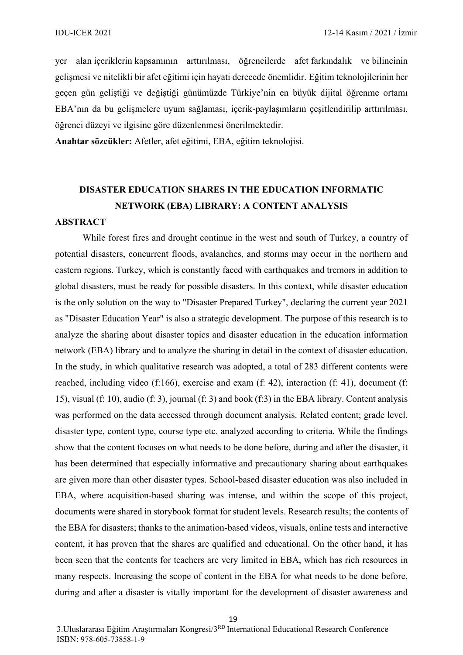yer alan içeriklerin kapsamının arttırılması, öğrencilerde afet farkındalık ve bilincinin gelişmesi ve nitelikli bir afet eğitimi için hayati derecede önemlidir. Eğitim teknolojilerinin her geçen gün geliştiği ve değiştiği günümüzde Türkiye'nin en büyük dijital öğrenme ortamı EBA'nın da bu gelişmelere uyum sağlaması, içerik-paylaşımların çeşitlendirilip arttırılması, öğrenci düzeyi ve ilgisine göre düzenlenmesi önerilmektedir.

**Anahtar sözcükler:** Afetler, afet eğitimi, EBA, eğitim teknolojisi.

## **DISASTER EDUCATION SHARES IN THE EDUCATION INFORMATIC NETWORK (EBA) LIBRARY: A CONTENT ANALYSIS**

#### **ABSTRACT**

While forest fires and drought continue in the west and south of Turkey, a country of potential disasters, concurrent floods, avalanches, and storms may occur in the northern and eastern regions. Turkey, which is constantly faced with earthquakes and tremors in addition to global disasters, must be ready for possible disasters. In this context, while disaster education is the only solution on the way to "Disaster Prepared Turkey", declaring the current year 2021 as "Disaster Education Year" is also a strategic development. The purpose of this research is to analyze the sharing about disaster topics and disaster education in the education information network (EBA) library and to analyze the sharing in detail in the context of disaster education. In the study, in which qualitative research was adopted, a total of 283 different contents were reached, including video (f:166), exercise and exam (f: 42), interaction (f: 41), document (f: 15), visual (f: 10), audio (f: 3), journal (f: 3) and book (f:3) in the EBA library. Content analysis was performed on the data accessed through document analysis. Related content; grade level, disaster type, content type, course type etc. analyzed according to criteria. While the findings show that the content focuses on what needs to be done before, during and after the disaster, it has been determined that especially informative and precautionary sharing about earthquakes are given more than other disaster types. School-based disaster education was also included in EBA, where acquisition-based sharing was intense, and within the scope of this project, documents were shared in storybook format for student levels. Research results; the contents of the EBA for disasters; thanks to the animation-based videos, visuals, online tests and interactive content, it has proven that the shares are qualified and educational. On the other hand, it has been seen that the contents for teachers are very limited in EBA, which has rich resources in many respects. Increasing the scope of content in the EBA for what needs to be done before, during and after a disaster is vitally important for the development of disaster awareness and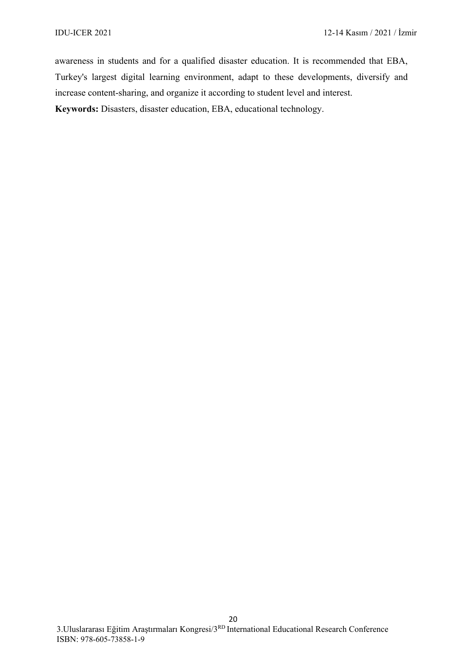awareness in students and for a qualified disaster education. It is recommended that EBA, Turkey's largest digital learning environment, adapt to these developments, diversify and increase content-sharing, and organize it according to student level and interest. **Keywords:** Disasters, disaster education, EBA, educational technology.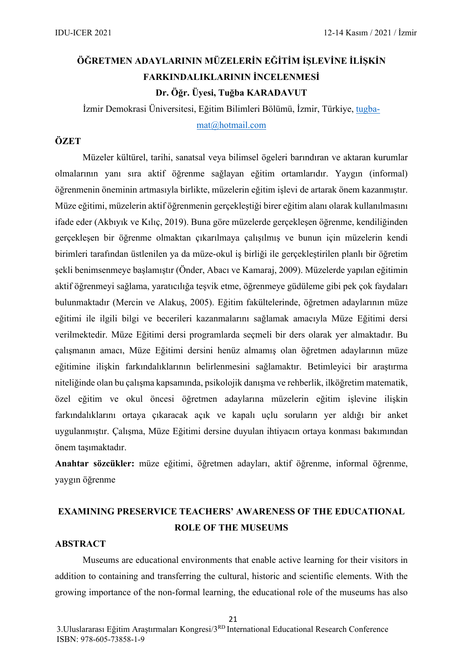## **ÖĞRETMEN ADAYLARININ MÜZELERİN EĞİTİM İŞLEVİNE İLİŞKİN FARKINDALIKLARININ İNCELENMESİ Dr. Öğr. Üyesi, Tuğba KARADAVUT**

İzmir Demokrasi Üniversitesi, Eğitim Bilimleri Bölümü, İzmir, Türkiye, [tugba](mailto:tugba-mat@hotmail.com)-

[mat@hotmail.com](mailto:tugba-mat@hotmail.com)

#### **ÖZET**

Müzeler kültürel, tarihi, sanatsal veya bilimsel ögeleri barındıran ve aktaran kurumlar olmalarının yanı sıra aktif öğrenme sağlayan eğitim ortamlarıdır. Yaygın (informal) öğrenmenin öneminin artmasıyla birlikte, müzelerin eğitim işlevi de artarak önem kazanmıştır. Müze eğitimi, müzelerin aktif öğrenmenin gerçekleştiği birer eğitim alanı olarak kullanılmasını ifade eder (Akbıyık ve Kılıç, 2019). Buna göre müzelerde gerçekleşen öğrenme, kendiliğinden gerçekleşen bir öğrenme olmaktan çıkarılmaya çalışılmış ve bunun için müzelerin kendi birimleri tarafından üstlenilen ya da müze-okul iş birliği ile gerçekleştirilen planlı bir öğretim şekli benimsenmeye başlamıştır (Önder, Abacı ve Kamaraj, 2009). Müzelerde yapılan eğitimin aktif öğrenmeyi sağlama, yaratıcılığa teşvik etme, öğrenmeye güdüleme gibi pek çok faydaları bulunmaktadır (Mercin ve Alakuş, 2005). Eğitim fakültelerinde, öğretmen adaylarının müze eğitimi ile ilgili bilgi ve becerileri kazanmalarını sağlamak amacıyla Müze Eğitimi dersi verilmektedir. Müze Eğitimi dersi programlarda seçmeli bir ders olarak yer almaktadır. Bu çalışmanın amacı, Müze Eğitimi dersini henüz almamış olan öğretmen adaylarının müze eğitimine ilişkin farkındalıklarının belirlenmesini sağlamaktır. Betimleyici bir araştırma niteliğinde olan bu çalışma kapsamında, psikolojik danışma ve rehberlik, ilköğretim matematik, özel eğitim ve okul öncesi öğretmen adaylarına müzelerin eğitim işlevine ilişkin farkındalıklarını ortaya çıkaracak açık ve kapalı uçlu soruların yer aldığı bir anket uygulanmıştır. Çalışma, Müze Eğitimi dersine duyulan ihtiyacın ortaya konması bakımından önem taşımaktadır.

**Anahtar sözcükler:** müze eğitimi, öğretmen adayları, aktif öğrenme, informal öğrenme, yaygın öğrenme

## **EXAMINING PRESERVICE TEACHERS' AWARENESS OF THE EDUCATIONAL ROLE OF THE MUSEUMS**

#### **ABSTRACT**

Museums are educational environments that enable active learning for their visitors in addition to containing and transferring the cultural, historic and scientific elements. With the growing importance of the non-formal learning, the educational role of the museums has also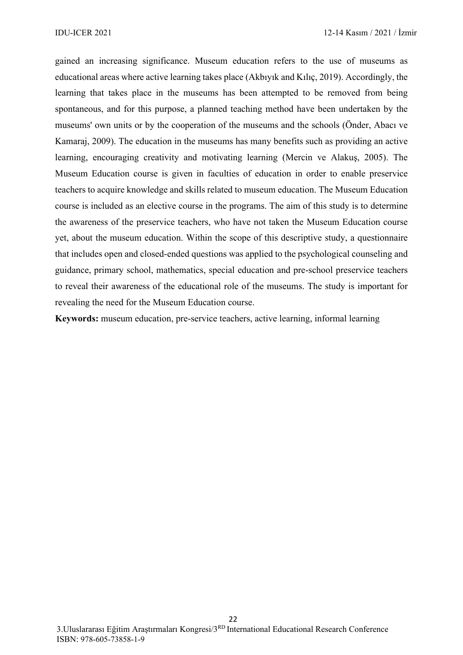gained an increasing significance. Museum education refers to the use of museums as educational areas where active learning takes place (Akbıyık and Kılıç, 2019). Accordingly, the learning that takes place in the museums has been attempted to be removed from being spontaneous, and for this purpose, a planned teaching method have been undertaken by the museums' own units or by the cooperation of the museums and the schools (Önder, Abacı ve Kamaraj, 2009). The education in the museums has many benefits such as providing an active learning, encouraging creativity and motivating learning (Mercin ve Alakuş, 2005). The Museum Education course is given in faculties of education in order to enable preservice teachers to acquire knowledge and skills related to museum education. The Museum Education course is included as an elective course in the programs. The aim of this study is to determine the awareness of the preservice teachers, who have not taken the Museum Education course yet, about the museum education. Within the scope of this descriptive study, a questionnaire that includes open and closed-ended questions was applied to the psychological counseling and guidance, primary school, mathematics, special education and pre-school preservice teachers to reveal their awareness of the educational role of the museums. The study is important for revealing the need for the Museum Education course.

**Keywords:** museum education, pre-service teachers, active learning, informal learning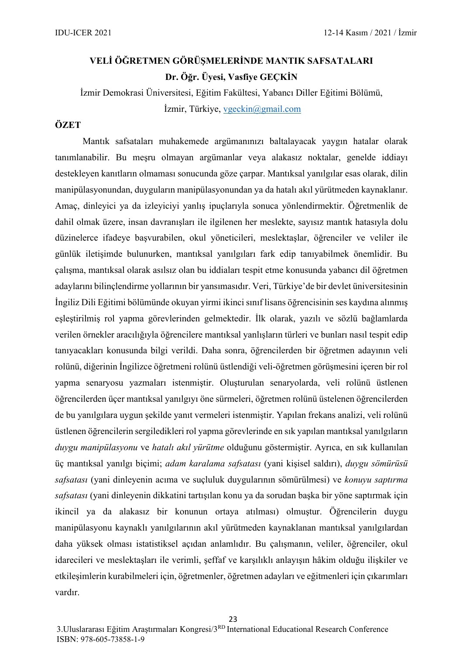## **VELİ ÖĞRETMEN GÖRÜŞMELERİNDE MANTIK SAFSATALARI Dr. Öğr. Üyesi, Vasfiye GEÇKİN**

İzmir Demokrasi Üniversitesi, Eğitim Fakültesi, Yabancı Diller Eğitimi Bölümü, İzmir, Türkiye, [vgeckin@gmail.com](mailto:vgeckin@gmail.com)

#### **ÖZET**

Mantık safsataları muhakemede argümanınızı baltalayacak yaygın hatalar olarak tanımlanabilir. Bu meşru olmayan argümanlar veya alakasız noktalar, genelde iddiayı destekleyen kanıtların olmaması sonucunda göze çarpar. Mantıksal yanılgılar esas olarak, dilin manipülasyonundan, duyguların manipülasyonundan ya da hatalı akıl yürütmeden kaynaklanır. Amaç, dinleyici ya da izleyiciyi yanlış ipuçlarıyla sonuca yönlendirmektir. Öğretmenlik de dahil olmak üzere, insan davranışları ile ilgilenen her meslekte, sayısız mantık hatasıyla dolu düzinelerce ifadeye başvurabilen, okul yöneticileri, meslektaşlar, öğrenciler ve veliler ile günlük iletişimde bulunurken, mantıksal yanılgıları fark edip tanıyabilmek önemlidir. Bu çalışma, mantıksal olarak asılsız olan bu iddiaları tespit etme konusunda yabancı dil öğretmen adaylarını bilinçlendirme yollarının bir yansımasıdır. Veri, Türkiye'de bir devlet üniversitesinin İngiliz Dili Eğitimi bölümünde okuyan yirmi ikinci sınıf lisans öğrencisinin ses kaydına alınmış eşleştirilmiş rol yapma görevlerinden gelmektedir. İlk olarak, yazılı ve sözlü bağlamlarda verilen örnekler aracılığıyla öğrencilere mantıksal yanlışların türleri ve bunları nasıl tespit edip tanıyacakları konusunda bilgi verildi. Daha sonra, öğrencilerden bir öğretmen adayının veli rolünü, diğerinin İngilizce öğretmeni rolünü üstlendiği veli-öğretmen görüşmesini içeren bir rol yapma senaryosu yazmaları istenmiştir. Oluşturulan senaryolarda, veli rolünü üstlenen öğrencilerden üçer mantıksal yanılgıyı öne sürmeleri, öğretmen rolünü üstelenen öğrencilerden de bu yanılgılara uygun şekilde yanıt vermeleri istenmiştir. Yapılan frekans analizi, veli rolünü üstlenen öğrencilerin sergiledikleri rol yapma görevlerinde en sık yapılan mantıksal yanılgıların *duygu manipülasyonu* ve *hatalı akıl yürütme* olduğunu göstermiştir. Ayrıca, en sık kullanılan üç mantıksal yanılgı biçimi; *adam karalama safsatası* (yani kişisel saldırı), *duygu sömürüsü safsatası* (yani dinleyenin acıma ve suçluluk duygularının sömürülmesi) ve *konuyu saptırma safsatası* (yani dinleyenin dikkatini tartışılan konu ya da sorudan başka bir yöne saptırmak için ikincil ya da alakasız bir konunun ortaya atılması) olmuştur. Öğrencilerin duygu manipülasyonu kaynaklı yanılgılarının akıl yürütmeden kaynaklanan mantıksal yanılgılardan daha yüksek olması istatistiksel açıdan anlamlıdır. Bu çalışmanın, veliler, öğrenciler, okul idarecileri ve meslektaşları ile verimli, şeffaf ve karşılıklı anlayışın hâkim olduğu ilişkiler ve etkileşimlerin kurabilmeleri için, öğretmenler, öğretmen adayları ve eğitmenleri için çıkarımları vardır.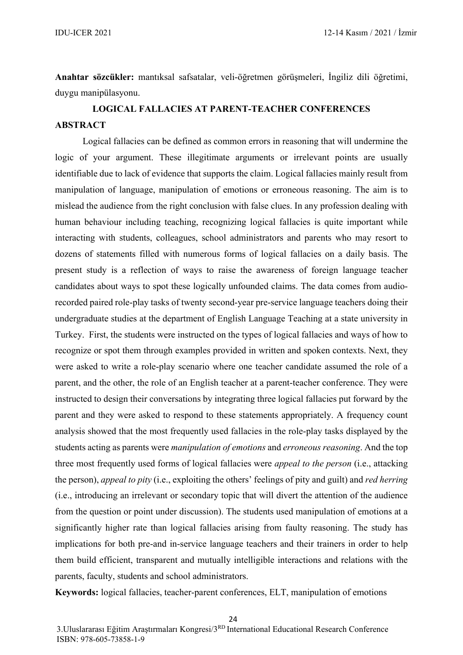**Anahtar sözcükler:** mantıksal safsatalar, veli-öğretmen görüşmeleri, İngiliz dili öğretimi, duygu manipülasyonu.

## **LOGICAL FALLACIES AT PARENT-TEACHER CONFERENCES ABSTRACT**

Logical fallacies can be defined as common errors in reasoning that will undermine the logic of your argument. These illegitimate arguments or irrelevant points are usually identifiable due to lack of evidence that supports the claim. Logical fallacies mainly result from manipulation of language, manipulation of emotions or erroneous reasoning. The aim is to mislead the audience from the right conclusion with false clues. In any profession dealing with human behaviour including teaching, recognizing logical fallacies is quite important while interacting with students, colleagues, school administrators and parents who may resort to dozens of statements filled with numerous forms of logical fallacies on a daily basis. The present study is a reflection of ways to raise the awareness of foreign language teacher candidates about ways to spot these logically unfounded claims. The data comes from audiorecorded paired role-play tasks of twenty second-year pre-service language teachers doing their undergraduate studies at the department of English Language Teaching at a state university in Turkey. First, the students were instructed on the types of logical fallacies and ways of how to recognize or spot them through examples provided in written and spoken contexts. Next, they were asked to write a role-play scenario where one teacher candidate assumed the role of a parent, and the other, the role of an English teacher at a parent-teacher conference. They were instructed to design their conversations by integrating three logical fallacies put forward by the parent and they were asked to respond to these statements appropriately. A frequency count analysis showed that the most frequently used fallacies in the role-play tasks displayed by the students acting as parents were *manipulation of emotions* and *erroneous reasoning*. And the top three most frequently used forms of logical fallacies were *appeal to the person* (i.e., attacking the person), *appeal to pity* (i.e., exploiting the others' feelings of pity and guilt) and *red herring* (i.e., introducing an irrelevant or secondary topic that will divert the attention of the audience from the question or point under discussion). The students used manipulation of emotions at a significantly higher rate than logical fallacies arising from faulty reasoning. The study has implications for both pre-and in-service language teachers and their trainers in order to help them build efficient, transparent and mutually intelligible interactions and relations with the parents, faculty, students and school administrators.

**Keywords:** logical fallacies, teacher-parent conferences, ELT, manipulation of emotions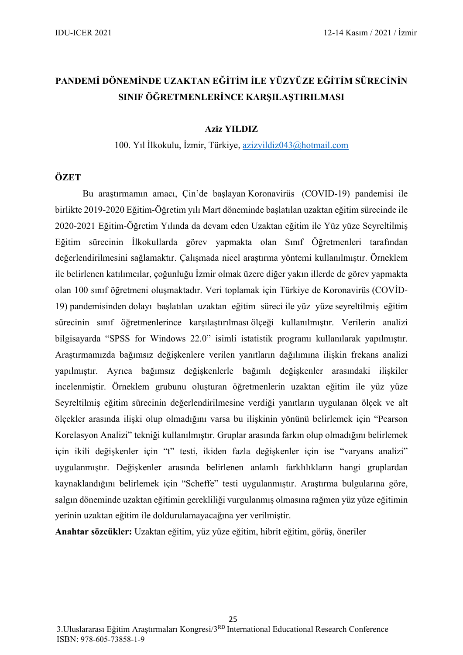## **PANDEMİ DÖNEMİNDE UZAKTAN EĞİTİM İLE YÜZYÜZE EĞİTİM SÜRECİNİN SINIF ÖĞRETMENLERİNCE KARŞILAŞTIRILMASI**

#### **Aziz YILDIZ**

100. Yıl İlkokulu, İzmir, Türkiye, [azizyildiz043@hotmail.com](mailto:azizyildiz043@hotmail.com)

#### **ÖZET**

Bu araştırmamın amacı, Çin'de başlayan Koronavirüs (COVID-19) pandemisi ile birlikte 2019-2020 Eğitim-Öğretim yılı Mart döneminde başlatılan uzaktan eğitim sürecinde ile 2020-2021 Eğitim-Öğretim Yılında da devam eden Uzaktan eğitim ile Yüz yüze Seyreltilmiş Eğitim sürecinin İlkokullarda görev yapmakta olan Sınıf Öğretmenleri tarafından değerlendirilmesini sağlamaktır. Çalışmada nicel araştırma yöntemi kullanılmıştır. Örneklem ile belirlenen katılımcılar, çoğunluğu İzmir olmak üzere diğer yakın illerde de görev yapmakta olan 100 sınıf öğretmeni oluşmaktadır. Veri toplamak için Türkiye de Koronavirüs (COVİD-19) pandemisinden dolayı başlatılan uzaktan eğitim süreci ile yüz yüze seyreltilmiş eğitim sürecinin sınıf öğretmenlerince karşılaştırılması ölçeği kullanılmıştır. Verilerin analizi bilgisayarda "SPSS for Windows 22.0" isimli istatistik programı kullanılarak yapılmıştır. Araştırmamızda bağımsız değişkenlere verilen yanıtların dağılımına ilişkin frekans analizi yapılmıştır. Ayrıca bağımsız değişkenlerle bağımlı değişkenler arasındaki ilişkiler incelenmiştir. Örneklem grubunu oluşturan öğretmenlerin uzaktan eğitim ile yüz yüze Seyreltilmiş eğitim sürecinin değerlendirilmesine verdiği yanıtların uygulanan ölçek ve alt ölçekler arasında ilişki olup olmadığını varsa bu ilişkinin yönünü belirlemek için "Pearson Korelasyon Analizi" tekniği kullanılmıştır. Gruplar arasında farkın olup olmadığını belirlemek için ikili değişkenler için "t" testi, ikiden fazla değişkenler için ise "varyans analizi" uygulanmıştır. Değişkenler arasında belirlenen anlamlı farklılıkların hangi gruplardan kaynaklandığını belirlemek için "Scheffe" testi uygulanmıştır. Araştırma bulgularına göre, salgın döneminde uzaktan eğitimin gerekliliği vurgulanmış olmasına rağmen yüz yüze eğitimin yerinin uzaktan eğitim ile doldurulamayacağına yer verilmiştir.

**Anahtar sözcükler:** Uzaktan eğitim, yüz yüze eğitim, hibrit eğitim, görüş, öneriler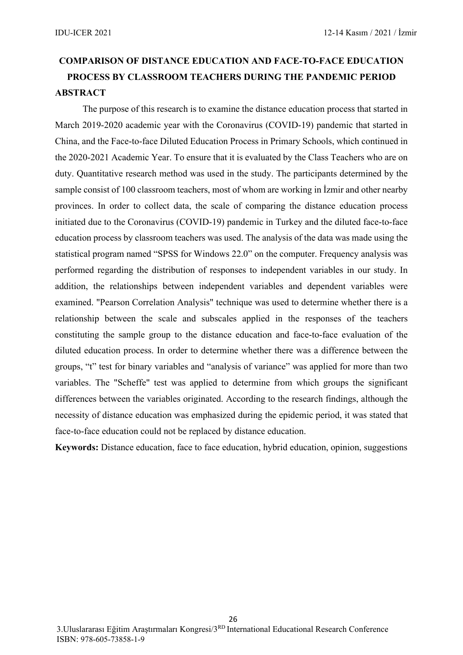## **COMPARISON OF DISTANCE EDUCATION AND FACE-TO-FACE EDUCATION PROCESS BY CLASSROOM TEACHERS DURING THE PANDEMIC PERIOD ABSTRACT**

The purpose of this research is to examine the distance education process that started in March 2019-2020 academic year with the Coronavirus (COVID-19) pandemic that started in China, and the Face-to-face Diluted Education Process in Primary Schools, which continued in the 2020-2021 Academic Year. To ensure that it is evaluated by the Class Teachers who are on duty. Quantitative research method was used in the study. The participants determined by the sample consist of 100 classroom teachers, most of whom are working in İzmir and other nearby provinces. In order to collect data, the scale of comparing the distance education process initiated due to the Coronavirus (COVID-19) pandemic in Turkey and the diluted face-to-face education process by classroom teachers was used. The analysis of the data was made using the statistical program named "SPSS for Windows 22.0" on the computer. Frequency analysis was performed regarding the distribution of responses to independent variables in our study. In addition, the relationships between independent variables and dependent variables were examined. "Pearson Correlation Analysis" technique was used to determine whether there is a relationship between the scale and subscales applied in the responses of the teachers constituting the sample group to the distance education and face-to-face evaluation of the diluted education process. In order to determine whether there was a difference between the groups, "t" test for binary variables and "analysis of variance" was applied for more than two variables. The "Scheffe" test was applied to determine from which groups the significant differences between the variables originated. According to the research findings, although the necessity of distance education was emphasized during the epidemic period, it was stated that face-to-face education could not be replaced by distance education.

**Keywords:** Distance education, face to face education, hybrid education, opinion, suggestions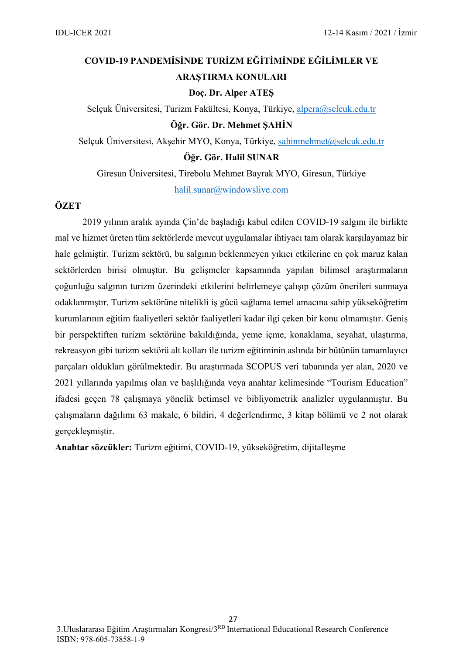## **COVID-19 PANDEMİSİNDE TURİZM EĞİTİMİNDE EĞİLİMLER VE ARAŞTIRMA KONULARI**

#### **Doç. Dr. Alper ATEŞ**

Selçuk Üniversitesi, Turizm Fakültesi, Konya, Türkiye, [alpera@selcuk.edu.tr](mailto:alpera@selcuk.edu.tr) **Öğr. Gör. Dr. Mehmet ŞAHİN**

Selçuk Üniversitesi, Akşehir MYO, Konya, Türkiye, [sahinmehmet@selcuk.edu.tr](mailto:sahinmehmet@selcuk.edu.tr) **Öğr. Gör. Halil SUNAR**

Giresun Üniversitesi, Tirebolu Mehmet Bayrak MYO, Giresun, Türkiye [halil.sunar@windowslive.com](mailto:halil.sunar@windowslive.com)

#### **ÖZET**

2019 yılının aralık ayında Çin'de başladığı kabul edilen COVID-19 salgını ile birlikte mal ve hizmet üreten tüm sektörlerde mevcut uygulamalar ihtiyacı tam olarak karşılayamaz bir hale gelmiştir. Turizm sektörü, bu salgının beklenmeyen yıkıcı etkilerine en çok maruz kalan sektörlerden birisi olmuştur. Bu gelişmeler kapsamında yapılan bilimsel araştırmaların çoğunluğu salgının turizm üzerindeki etkilerini belirlemeye çalışıp çözüm önerileri sunmaya odaklanmıştır. Turizm sektörüne nitelikli iş gücü sağlama temel amacına sahip yükseköğretim kurumlarının eğitim faaliyetleri sektör faaliyetleri kadar ilgi çeken bir konu olmamıştır. Geniş bir perspektiften turizm sektörüne bakıldığında, yeme içme, konaklama, seyahat, ulaştırma, rekreasyon gibi turizm sektörü alt kolları ile turizm eğitiminin aslında bir bütünün tamamlayıcı parçaları oldukları görülmektedir. Bu araştırmada SCOPUS veri tabanında yer alan, 2020 ve 2021 yıllarında yapılmış olan ve başlılığında veya anahtar kelimesinde "Tourism Education" ifadesi geçen 78 çalışmaya yönelik betimsel ve bibliyometrik analizler uygulanmıştır. Bu çalışmaların dağılımı 63 makale, 6 bildiri, 4 değerlendirme, 3 kitap bölümü ve 2 not olarak gerçekleşmiştir.

**Anahtar sözcükler:** Turizm eğitimi, COVID-19, yükseköğretim, dijitalleşme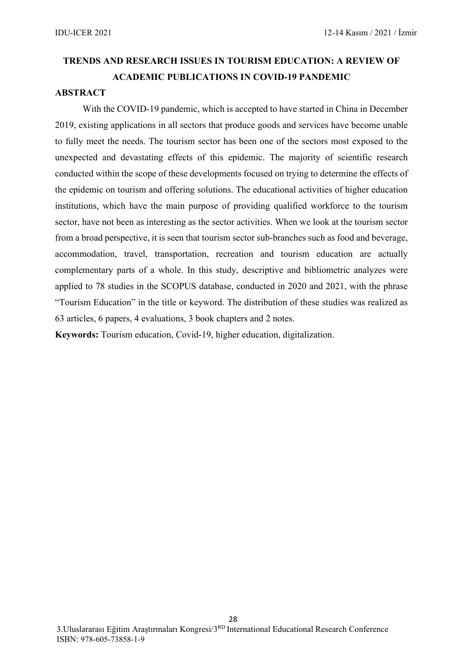## **TRENDS AND RESEARCH ISSUES IN TOURISM EDUCATION: A REVIEW OF ACADEMIC PUBLICATIONS IN COVID-19 PANDEMIC**

#### **ABSTRACT**

With the COVID-19 pandemic, which is accepted to have started in China in December 2019, existing applications in all sectors that produce goods and services have become unable to fully meet the needs. The tourism sector has been one of the sectors most exposed to the unexpected and devastating effects of this epidemic. The majority of scientific research conducted within the scope of these developments focused on trying to determine the effects of the epidemic on tourism and offering solutions. The educational activities of higher education institutions, which have the main purpose of providing qualified workforce to the tourism sector, have not been as interesting as the sector activities. When we look at the tourism sector from a broad perspective, it is seen that tourism sector sub-branches such as food and beverage, accommodation, travel, transportation, recreation and tourism education are actually complementary parts of a whole. In this study, descriptive and bibliometric analyzes were applied to 78 studies in the SCOPUS database, conducted in 2020 and 2021, with the phrase "Tourism Education" in the title or keyword. The distribution of these studies was realized as 63 articles, 6 papers, 4 evaluations, 3 book chapters and 2 notes.

**Keywords:** Tourism education, Covid-19, higher education, digitalization.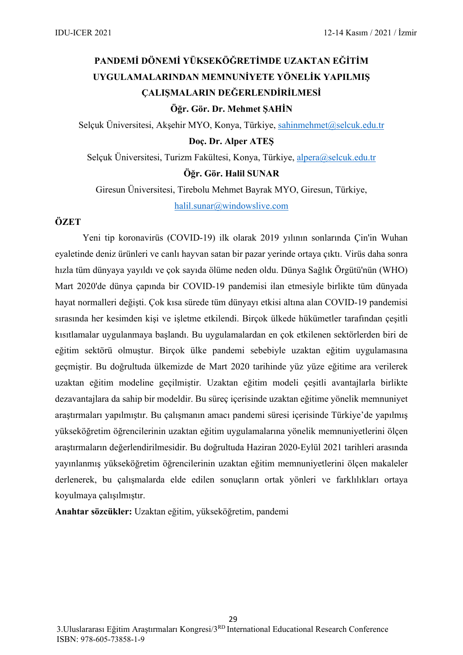## **PANDEMİ DÖNEMİ YÜKSEKÖĞRETİMDE UZAKTAN EĞİTİM UYGULAMALARINDAN MEMNUNİYETE YÖNELİK YAPILMIŞ ÇALIŞMALARIN DEĞERLENDİRİLMESİ Öğr. Gör. Dr. Mehmet ŞAHİN**

Selçuk Üniversitesi, Akşehir MYO, Konya, Türkiye, [sahinmehmet@selcuk.edu.tr](mailto:sahinmehmet@selcuk.edu.tr)

#### **Doç. Dr. Alper ATEŞ**

Selçuk Üniversitesi, Turizm Fakültesi, Konya, Türkiye, [alpera@selcuk.edu.tr](mailto:alpera@selcuk.edu.tr) **Öğr. Gör. Halil SUNAR**

Giresun Üniversitesi, Tirebolu Mehmet Bayrak MYO, Giresun, Türkiye, [halil.sunar@windowslive.com](mailto:halil.sunar@windowslive.com)

#### **ÖZET**

Yeni tip koronavirüs (COVID-19) ilk olarak 2019 yılının sonlarında Çin'in Wuhan eyaletinde deniz ürünleri ve canlı hayvan satan bir pazar yerinde ortaya çıktı. Virüs daha sonra hızla tüm dünyaya yayıldı ve çok sayıda ölüme neden oldu. Dünya Sağlık Örgütü'nün (WHO) Mart 2020'de dünya çapında bir COVID-19 pandemisi ilan etmesiyle birlikte tüm dünyada hayat normalleri değişti. Çok kısa sürede tüm dünyayı etkisi altına alan COVID-19 pandemisi sırasında her kesimden kişi ve işletme etkilendi. Birçok ülkede hükümetler tarafından çeşitli kısıtlamalar uygulanmaya başlandı. Bu uygulamalardan en çok etkilenen sektörlerden biri de eğitim sektörü olmuştur. Birçok ülke pandemi sebebiyle uzaktan eğitim uygulamasına geçmiştir. Bu doğrultuda ülkemizde de Mart 2020 tarihinde yüz yüze eğitime ara verilerek uzaktan eğitim modeline geçilmiştir. Uzaktan eğitim modeli çeşitli avantajlarla birlikte dezavantajlara da sahip bir modeldir. Bu süreç içerisinde uzaktan eğitime yönelik memnuniyet araştırmaları yapılmıştır. Bu çalışmanın amacı pandemi süresi içerisinde Türkiye'de yapılmış yükseköğretim öğrencilerinin uzaktan eğitim uygulamalarına yönelik memnuniyetlerini ölçen araştırmaların değerlendirilmesidir. Bu doğrultuda Haziran 2020-Eylül 2021 tarihleri arasında yayınlanmış yükseköğretim öğrencilerinin uzaktan eğitim memnuniyetlerini ölçen makaleler derlenerek, bu çalışmalarda elde edilen sonuçların ortak yönleri ve farklılıkları ortaya koyulmaya çalışılmıştır.

**Anahtar sözcükler:** Uzaktan eğitim, yükseköğretim, pandemi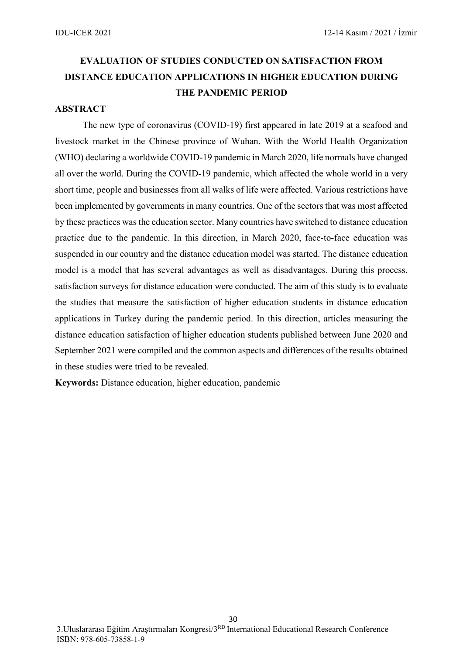## **EVALUATION OF STUDIES CONDUCTED ON SATISFACTION FROM DISTANCE EDUCATION APPLICATIONS IN HIGHER EDUCATION DURING THE PANDEMIC PERIOD**

#### **ABSTRACT**

The new type of coronavirus (COVID-19) first appeared in late 2019 at a seafood and livestock market in the Chinese province of Wuhan. With the World Health Organization (WHO) declaring a worldwide COVID-19 pandemic in March 2020, life normals have changed all over the world. During the COVID-19 pandemic, which affected the whole world in a very short time, people and businesses from all walks of life were affected. Various restrictions have been implemented by governments in many countries. One of the sectors that was most affected by these practices was the education sector. Many countries have switched to distance education practice due to the pandemic. In this direction, in March 2020, face-to-face education was suspended in our country and the distance education model was started. The distance education model is a model that has several advantages as well as disadvantages. During this process, satisfaction surveys for distance education were conducted. The aim of this study is to evaluate the studies that measure the satisfaction of higher education students in distance education applications in Turkey during the pandemic period. In this direction, articles measuring the distance education satisfaction of higher education students published between June 2020 and September 2021 were compiled and the common aspects and differences of the results obtained in these studies were tried to be revealed.

**Keywords:** Distance education, higher education, pandemic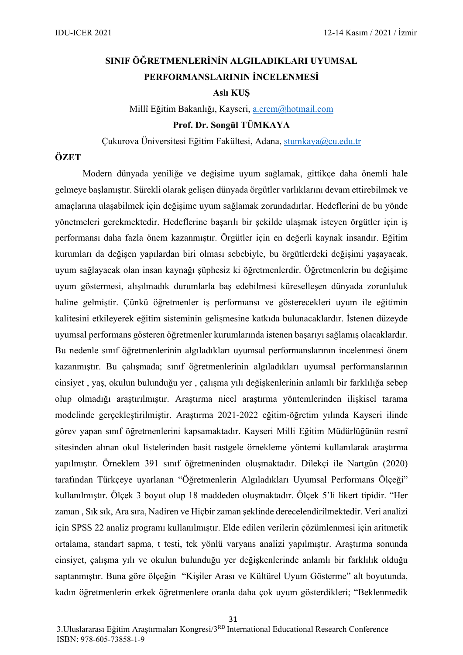## **SINIF ÖĞRETMENLERİNİN ALGILADIKLARI UYUMSAL PERFORMANSLARININ İNCELENMESİ**

#### **Aslı KUŞ**

Millî Eğitim Bakanlığı, Kayseri, [a.erem@hotmail.com](mailto:a.erem@hotmail.com)

#### **Prof. Dr. Songül TÜMKAYA**

Çukurova Üniversitesi Eğitim Fakültesi, Adana, [stumkaya@cu.edu.tr](mailto:stumkaya@cu.edu.tr)

#### **ÖZET**

Modern dünyada yeniliğe ve değişime uyum sağlamak, gittikçe daha önemli hale gelmeye başlamıştır. Sürekli olarak gelişen dünyada örgütler varlıklarını devam ettirebilmek ve amaçlarına ulaşabilmek için değişime uyum sağlamak zorundadırlar. Hedeflerini de bu yönde yönetmeleri gerekmektedir. Hedeflerine başarılı bir şekilde ulaşmak isteyen örgütler için iş performansı daha fazla önem kazanmıştır. Örgütler için en değerli kaynak insandır. Eğitim kurumları da değişen yapılardan biri olması sebebiyle, bu örgütlerdeki değişimi yaşayacak, uyum sağlayacak olan insan kaynağı şüphesiz ki öğretmenlerdir. Öğretmenlerin bu değişime uyum göstermesi, alışılmadık durumlarla baş edebilmesi küreselleşen dünyada zorunluluk haline gelmiştir. Çünkü öğretmenler iş performansı ve gösterecekleri uyum ile eğitimin kalitesini etkileyerek eğitim sisteminin gelişmesine katkıda bulunacaklardır. İstenen düzeyde uyumsal performans gösteren öğretmenler kurumlarında istenen başarıyı sağlamış olacaklardır. Bu nedenle sınıf öğretmenlerinin algıladıkları uyumsal performanslarının incelenmesi önem kazanmıştır. Bu çalışmada; sınıf öğretmenlerinin algıladıkları uyumsal performanslarının cinsiyet , yaş, okulun bulunduğu yer , çalışma yılı değişkenlerinin anlamlı bir farklılığa sebep olup olmadığı araştırılmıştır. Araştırma nicel araştırma yöntemlerinden ilişkisel tarama modelinde gerçekleştirilmiştir. Araştırma 2021-2022 eğitim-öğretim yılında Kayseri ilinde görev yapan sınıf öğretmenlerini kapsamaktadır. Kayseri Milli Eğitim Müdürlüğünün resmî sitesinden alınan okul listelerinden basit rastgele örnekleme yöntemi kullanılarak araştırma yapılmıştır. Örneklem 391 sınıf öğretmeninden oluşmaktadır. Dilekçi ile Nartgün (2020) tarafından Türkçeye uyarlanan "Öğretmenlerin Algıladıkları Uyumsal Performans Ölçeği" kullanılmıştır. Ölçek 3 boyut olup 18 maddeden oluşmaktadır. Ölçek 5'li likert tipidir. "Her zaman , Sık sık, Ara sıra, Nadiren ve Hiçbir zaman şeklinde derecelendirilmektedir. Veri analizi için SPSS 22 analiz programı kullanılmıştır. Elde edilen verilerin çözümlenmesi için aritmetik ortalama, standart sapma, t testi, tek yönlü varyans analizi yapılmıştır. Araştırma sonunda cinsiyet, çalışma yılı ve okulun bulunduğu yer değişkenlerinde anlamlı bir farklılık olduğu saptanmıştır. Buna göre ölçeğin "Kişiler Arası ve Kültürel Uyum Gösterme" alt boyutunda, kadın öğretmenlerin erkek öğretmenlere oranla daha çok uyum gösterdikleri; "Beklenmedik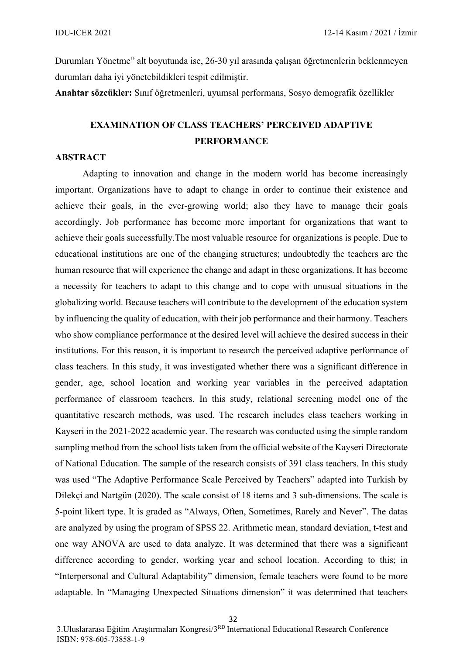Durumları Yönetme" alt boyutunda ise, 26-30 yıl arasında çalışan öğretmenlerin beklenmeyen durumları daha iyi yönetebildikleri tespit edilmiştir.

**Anahtar sözcükler:** Sınıf öğretmenleri, uyumsal performans, Sosyo demografik özellikler

## **EXAMINATION OF CLASS TEACHERS' PERCEIVED ADAPTIVE PERFORMANCE**

#### **ABSTRACT**

Adapting to innovation and change in the modern world has become increasingly important. Organizations have to adapt to change in order to continue their existence and achieve their goals, in the ever-growing world; also they have to manage their goals accordingly. Job performance has become more important for organizations that want to achieve their goals successfully.The most valuable resource for organizations is people. Due to educational institutions are one of the changing structures; undoubtedly the teachers are the human resource that will experience the change and adapt in these organizations. It has become a necessity for teachers to adapt to this change and to cope with unusual situations in the globalizing world. Because teachers will contribute to the development of the education system by influencing the quality of education, with their job performance and their harmony. Teachers who show compliance performance at the desired level will achieve the desired success in their institutions. For this reason, it is important to research the perceived adaptive performance of class teachers. In this study, it was investigated whether there was a significant difference in gender, age, school location and working year variables in the perceived adaptation performance of classroom teachers. In this study, relational screening model one of the quantitative research methods, was used. The research includes class teachers working in Kayseri in the 2021-2022 academic year. The research was conducted using the simple random sampling method from the school lists taken from the official website of the Kayseri Directorate of National Education. The sample of the research consists of 391 class teachers. In this study was used "The Adaptive Performance Scale Perceived by Teachers" adapted into Turkish by Dilekçi and Nartgün (2020). The scale consist of 18 items and 3 sub-dimensions. The scale is 5-point likert type. It is graded as "Always, Often, Sometimes, Rarely and Never". The datas are analyzed by using the program of SPSS 22. Arithmetic mean, standard deviation, t-test and one way ANOVA are used to data analyze. It was determined that there was a significant difference according to gender, working year and school location. According to this; in "Interpersonal and Cultural Adaptability" dimension, female teachers were found to be more adaptable. In "Managing Unexpected Situations dimension" it was determined that teachers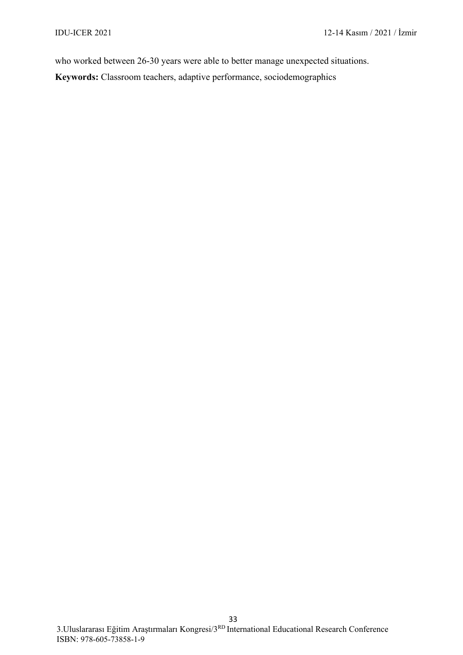who worked between 26-30 years were able to better manage unexpected situations.

**Keywords:** Classroom teachers, adaptive performance, sociodemographics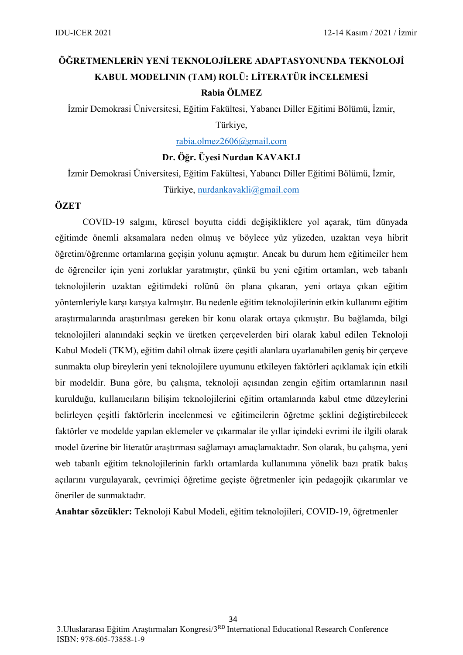## **ÖĞRETMENLERİN YENİ TEKNOLOJİLERE ADAPTASYONUNDA TEKNOLOJİ KABUL MODELININ (TAM) ROLÜ: LİTERATÜR İNCELEMESİ Rabia ÖLMEZ**

İzmir Demokrasi Üniversitesi, Eğitim Fakültesi, Yabancı Diller Eğitimi Bölümü, İzmir,

#### Türkiye[,](mailto:%0Brabia.olmez2606@gmail.com)

[rabia.olmez2606@gmail.com](mailto:%0Brabia.olmez2606@gmail.com)

#### **Dr. Öğr. Üyesi Nurdan KAVAKLI**

İzmir Demokrasi Üniversitesi, Eğitim Fakültesi, Yabancı Diller Eğitimi Bölümü, İzmir, Türkiye, [nurdankavakli@gmail.com](mailto:nurdankavakli@gmail.com)

#### **ÖZET**

COVID-19 salgını, küresel boyutta ciddi değişikliklere yol açarak, tüm dünyada eğitimde önemli aksamalara neden olmuş ve böylece yüz yüzeden, uzaktan veya hibrit öğretim/öğrenme ortamlarına geçişin yolunu açmıştır. Ancak bu durum hem eğitimciler hem de öğrenciler için yeni zorluklar yaratmıştır, çünkü bu yeni eğitim ortamları, web tabanlı teknolojilerin uzaktan eğitimdeki rolünü ön plana çıkaran, yeni ortaya çıkan eğitim yöntemleriyle karşı karşıya kalmıştır. Bu nedenle eğitim teknolojilerinin etkin kullanımı eğitim araştırmalarında araştırılması gereken bir konu olarak ortaya çıkmıştır. Bu bağlamda, bilgi teknolojileri alanındaki seçkin ve üretken çerçevelerden biri olarak kabul edilen Teknoloji Kabul Modeli (TKM), eğitim dahil olmak üzere çeşitli alanlara uyarlanabilen geniş bir çerçeve sunmakta olup bireylerin yeni teknolojilere uyumunu etkileyen faktörleri açıklamak için etkili bir modeldir. Buna göre, bu çalışma, teknoloji açısından zengin eğitim ortamlarının nasıl kurulduğu, kullanıcıların bilişim teknolojilerini eğitim ortamlarında kabul etme düzeylerini belirleyen çeşitli faktörlerin incelenmesi ve eğitimcilerin öğretme şeklini değiştirebilecek faktörler ve modelde yapılan eklemeler ve çıkarmalar ile yıllar içindeki evrimi ile ilgili olarak model üzerine bir literatür araştırması sağlamayı amaçlamaktadır. Son olarak, bu çalışma, yeni web tabanlı eğitim teknolojilerinin farklı ortamlarda kullanımına yönelik bazı pratik bakış açılarını vurgulayarak, çevrimiçi öğretime geçişte öğretmenler için pedagojik çıkarımlar ve öneriler de sunmaktadır.

**Anahtar sözcükler:** Teknoloji Kabul Modeli, eğitim teknolojileri, COVID-19, öğretmenler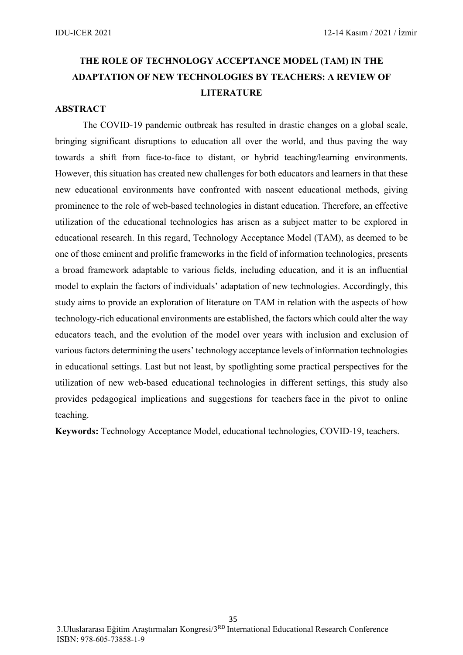## **THE ROLE OF TECHNOLOGY ACCEPTANCE MODEL (TAM) IN THE ADAPTATION OF NEW TECHNOLOGIES BY TEACHERS: A REVIEW OF LITERATURE**

#### **ABSTRACT**

The COVID-19 pandemic outbreak has resulted in drastic changes on a global scale, bringing significant disruptions to education all over the world, and thus paving the way towards a shift from face-to-face to distant, or hybrid teaching/learning environments. However, this situation has created new challenges for both educators and learners in that these new educational environments have confronted with nascent educational methods, giving prominence to the role of web-based technologies in distant education. Therefore, an effective utilization of the educational technologies has arisen as a subject matter to be explored in educational research. In this regard, Technology Acceptance Model (TAM), as deemed to be one of those eminent and prolific frameworks in the field of information technologies, presents a broad framework adaptable to various fields, including education, and it is an influential model to explain the factors of individuals' adaptation of new technologies. Accordingly, this study aims to provide an exploration of literature on TAM in relation with the aspects of how technology-rich educational environments are established, the factors which could alter the way educators teach, and the evolution of the model over years with inclusion and exclusion of various factors determining the users' technology acceptance levels of information technologies in educational settings. Last but not least, by spotlighting some practical perspectives for the utilization of new web-based educational technologies in different settings, this study also provides pedagogical implications and suggestions for teachers face in the pivot to online teaching.

**Keywords:** Technology Acceptance Model, educational technologies, COVID-19, teachers.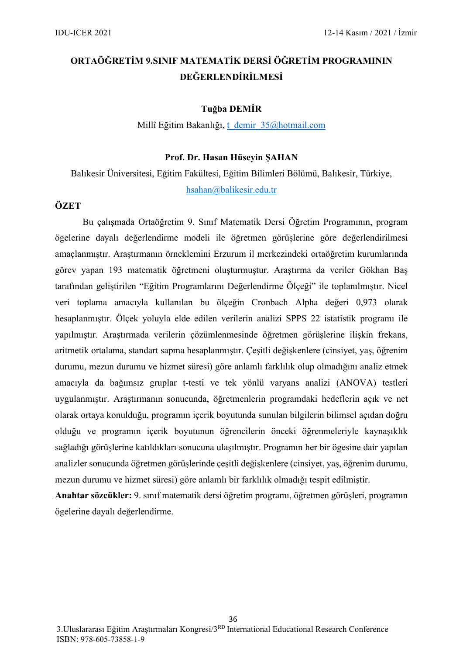## **ORTAÖĞRETİM 9.SINIF MATEMATİK DERSİ ÖĞRETİM PROGRAMININ DEĞERLENDİRİLMESİ**

#### **Tuğba DEMİR**

Millî Eğitim Bakanlığı, [t\\_demir\\_35@hotmail.com](mailto:t_demir_35@hotmail.com)

#### **Prof. Dr. Hasan Hüseyin ŞAHAN**

Balıkesir Üniversitesi, Eğitim Fakültesi, Eğitim Bilimleri Bölümü, Balıkesir, Türkiye, [hsahan@balikesir.edu.tr](mailto:hsahan@balikesir.edu.tr)

#### **ÖZET**

Bu çalışmada Ortaöğretim 9. Sınıf Matematik Dersi Öğretim Programının, program ögelerine dayalı değerlendirme modeli ile öğretmen görüşlerine göre değerlendirilmesi amaçlanmıştır. Araştırmanın örneklemini Erzurum il merkezindeki ortaöğretim kurumlarında görev yapan 193 matematik öğretmeni oluşturmuştur. Araştırma da veriler Gökhan Baş tarafından geliştirilen "Eğitim Programlarını Değerlendirme Ölçeği" ile toplanılmıştır. Nicel veri toplama amacıyla kullanılan bu ölçeğin Cronbach Alpha değeri 0,973 olarak hesaplanmıştır. Ölçek yoluyla elde edilen verilerin analizi SPPS 22 istatistik programı ile yapılmıştır. Araştırmada verilerin çözümlenmesinde öğretmen görüşlerine ilişkin frekans, aritmetik ortalama, standart sapma hesaplanmıştır. Çeşitli değişkenlere (cinsiyet, yaş, öğrenim durumu, mezun durumu ve hizmet süresi) göre anlamlı farklılık olup olmadığını analiz etmek amacıyla da bağımsız gruplar t-testi ve tek yönlü varyans analizi (ANOVA) testleri uygulanmıştır. Araştırmanın sonucunda, öğretmenlerin programdaki hedeflerin açık ve net olarak ortaya konulduğu, programın içerik boyutunda sunulan bilgilerin bilimsel açıdan doğru olduğu ve programın içerik boyutunun öğrencilerin önceki öğrenmeleriyle kaynaşıklık sağladığı görüşlerine katıldıkları sonucuna ulaşılmıştır. Programın her bir ögesine dair yapılan analizler sonucunda öğretmen görüşlerinde çeşitli değişkenlere (cinsiyet, yaş, öğrenim durumu, mezun durumu ve hizmet süresi) göre anlamlı bir farklılık olmadığı tespit edilmiştir.

**Anahtar sözcükler:** 9. sınıf matematik dersi öğretim programı, öğretmen görüşleri, programın ögelerine dayalı değerlendirme.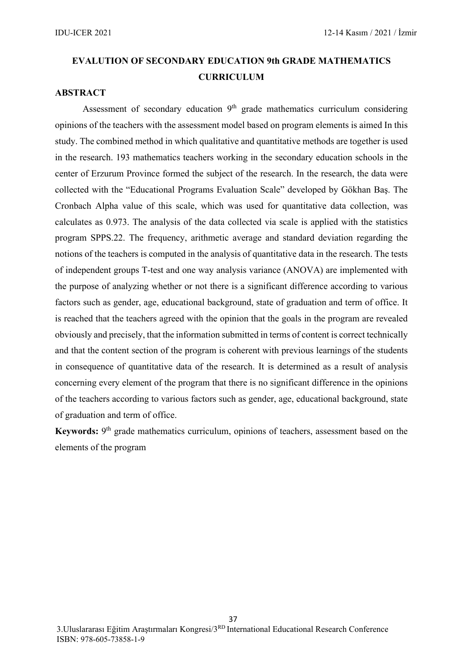# **EVALUTION OF SECONDARY EDUCATION 9th GRADE MATHEMATICS CURRICULUM**

### **ABSTRACT**

Assessment of secondary education  $9<sup>th</sup>$  grade mathematics curriculum considering opinions of the teachers with the assessment model based on program elements is aimed In this study. The combined method in which qualitative and quantitative methods are together is used in the research. 193 mathematics teachers working in the secondary education schools in the center of Erzurum Province formed the subject of the research. In the research, the data were collected with the "Educational Programs Evaluation Scale" developed by Gökhan Baş. The Cronbach Alpha value of this scale, which was used for quantitative data collection, was calculates as 0.973. The analysis of the data collected via scale is applied with the statistics program SPPS.22. The frequency, arithmetic average and standard deviation regarding the notions of the teachers is computed in the analysis of quantitative data in the research. The tests of independent groups T-test and one way analysis variance (ANOVA) are implemented with the purpose of analyzing whether or not there is a significant difference according to various factors such as gender, age, educational background, state of graduation and term of office. It is reached that the teachers agreed with the opinion that the goals in the program are revealed obviously and precisely, that the information submitted in terms of content is correct technically and that the content section of the program is coherent with previous learnings of the students in consequence of quantitative data of the research. It is determined as a result of analysis concerning every element of the program that there is no significant difference in the opinions of the teachers according to various factors such as gender, age, educational background, state of graduation and term of office.

Keywords: 9<sup>th</sup> grade mathematics curriculum, opinions of teachers, assessment based on the elements of the program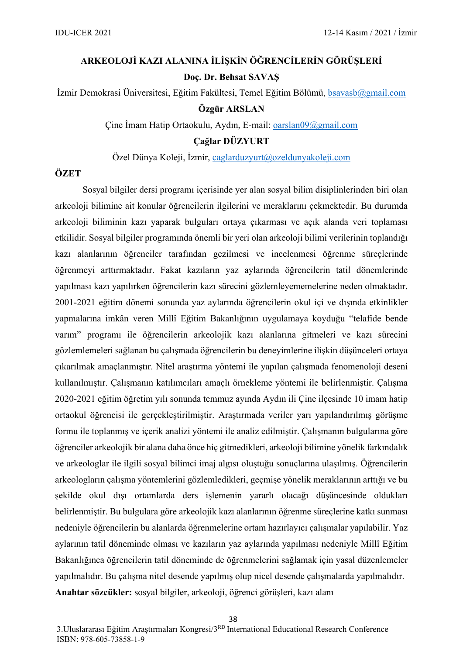# **ARKEOLOJİ KAZI ALANINA İLİŞKİN ÖĞRENCİLERİN GÖRÜŞLERİ Doç. Dr. Behsat SAVAŞ**

İzmir Demokrasi Üniversitesi, Eğitim Fakültesi, Temel Eğitim Bölümü, [bsavasb@gmail.com](mailto:bsavasb@gmail.com) **Özgür ARSLAN**

Çine İmam Hatip Ortaokulu, Aydın, E-mail: [oarslan09@gmail.com](mailto:oarslan09@gmail.com)

**Çağlar DÜZYURT**

Özel Dünya Koleji, İzmir, [caglarduzyurt@ozeldunyakoleji.com](mailto:caglarduzyurt@ozeldunyakoleji.com)

#### **ÖZET**

Sosyal bilgiler dersi programı içerisinde yer alan sosyal bilim disiplinlerinden biri olan arkeoloji bilimine ait konular öğrencilerin ilgilerini ve meraklarını çekmektedir. Bu durumda arkeoloji biliminin kazı yaparak bulguları ortaya çıkarması ve açık alanda veri toplaması etkilidir. Sosyal bilgiler programında önemli bir yeri olan arkeoloji bilimi verilerinin toplandığı kazı alanlarının öğrenciler tarafından gezilmesi ve incelenmesi öğrenme süreçlerinde öğrenmeyi arttırmaktadır. Fakat kazıların yaz aylarında öğrencilerin tatil dönemlerinde yapılması kazı yapılırken öğrencilerin kazı sürecini gözlemleyememelerine neden olmaktadır. 2001-2021 eğitim dönemi sonunda yaz aylarında öğrencilerin okul içi ve dışında etkinlikler yapmalarına imkân veren Millî Eğitim Bakanlığının uygulamaya koyduğu "telafide bende varım" programı ile öğrencilerin arkeolojik kazı alanlarına gitmeleri ve kazı sürecini gözlemlemeleri sağlanan bu çalışmada öğrencilerin bu deneyimlerine ilişkin düşünceleri ortaya çıkarılmak amaçlanmıştır. Nitel araştırma yöntemi ile yapılan çalışmada fenomenoloji deseni kullanılmıştır. Çalışmanın katılımcıları amaçlı örnekleme yöntemi ile belirlenmiştir. Çalışma 2020-2021 eğitim öğretim yılı sonunda temmuz ayında Aydın ili Çine ilçesinde 10 imam hatip ortaokul öğrencisi ile gerçekleştirilmiştir. Araştırmada veriler yarı yapılandırılmış görüşme formu ile toplanmış ve içerik analizi yöntemi ile analiz edilmiştir. Çalışmanın bulgularına göre öğrenciler arkeolojik bir alana daha önce hiç gitmedikleri, arkeoloji bilimine yönelik farkındalık ve arkeologlar ile ilgili sosyal bilimci imaj algısı oluştuğu sonuçlarına ulaşılmış. Öğrencilerin arkeologların çalışma yöntemlerini gözlemledikleri, geçmişe yönelik meraklarının arttığı ve bu şekilde okul dışı ortamlarda ders işlemenin yararlı olacağı düşüncesinde oldukları belirlenmiştir. Bu bulgulara göre arkeolojik kazı alanlarının öğrenme süreçlerine katkı sunması nedeniyle öğrencilerin bu alanlarda öğrenmelerine ortam hazırlayıcı çalışmalar yapılabilir. Yaz aylarının tatil döneminde olması ve kazıların yaz aylarında yapılması nedeniyle Millî Eğitim Bakanlığınca öğrencilerin tatil döneminde de öğrenmelerini sağlamak için yasal düzenlemeler yapılmalıdır. Bu çalışma nitel desende yapılmış olup nicel desende çalışmalarda yapılmalıdır. **Anahtar sözcükler:** sosyal bilgiler, arkeoloji, öğrenci görüşleri, kazı alanı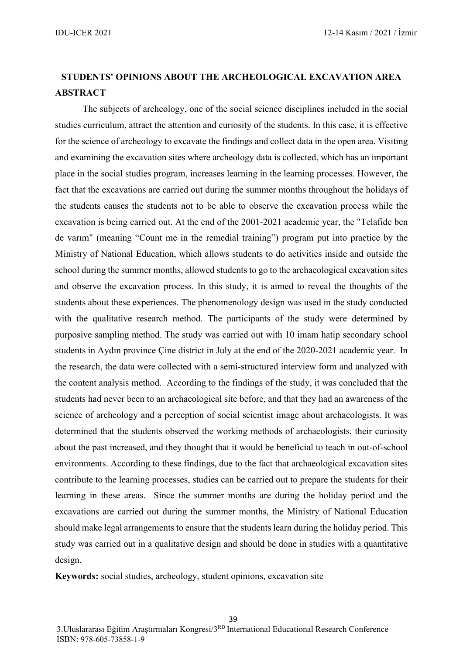### **STUDENTS' OPINIONS ABOUT THE ARCHEOLOGICAL EXCAVATION AREA ABSTRACT**

The subjects of archeology, one of the social science disciplines included in the social studies curriculum, attract the attention and curiosity of the students. In this case, it is effective for the science of archeology to excavate the findings and collect data in the open area. Visiting and examining the excavation sites where archeology data is collected, which has an important place in the social studies program, increases learning in the learning processes. However, the fact that the excavations are carried out during the summer months throughout the holidays of the students causes the students not to be able to observe the excavation process while the excavation is being carried out. At the end of the 2001-2021 academic year, the "Telafide ben de varım" (meaning "Count me in the remedial training") program put into practice by the Ministry of National Education, which allows students to do activities inside and outside the school during the summer months, allowed students to go to the archaeological excavation sites and observe the excavation process. In this study, it is aimed to reveal the thoughts of the students about these experiences. The phenomenology design was used in the study conducted with the qualitative research method. The participants of the study were determined by purposive sampling method. The study was carried out with 10 imam hatip secondary school students in Aydın province Çine district in July at the end of the 2020-2021 academic year. In the research, the data were collected with a semi-structured interview form and analyzed with the content analysis method. According to the findings of the study, it was concluded that the students had never been to an archaeological site before, and that they had an awareness of the science of archeology and a perception of social scientist image about archaeologists. It was determined that the students observed the working methods of archaeologists, their curiosity about the past increased, and they thought that it would be beneficial to teach in out-of-school environments. According to these findings, due to the fact that archaeological excavation sites contribute to the learning processes, studies can be carried out to prepare the students for their learning in these areas. Since the summer months are during the holiday period and the excavations are carried out during the summer months, the Ministry of National Education should make legal arrangements to ensure that the students learn during the holiday period. This study was carried out in a qualitative design and should be done in studies with a quantitative design.

**Keywords:** social studies, archeology, student opinions, excavation site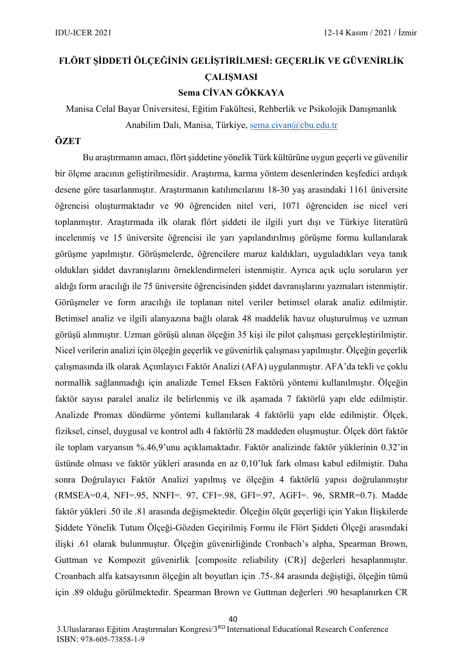# **FLÖRT ŞİDDETİ ÖLÇEĞİNİN GELİŞTİRİLMESİ: GEÇERLİK VE GÜVENİRLİK ÇALIŞMASI Sema CİVAN GÖKKAYA**

Manisa Celal Bayar Üniversitesi, Eğitim Fakültesi, Rehberlik ve Psikolojik Danışmanlık

Anabilim Dalı, Manisa, Türkiye, [sema.civan@cbu.edu.tr](mailto:sema.civan@cbu.edu.tr)

### **ÖZET**

Bu araştırmanın amacı, flört şiddetine yönelik Türk kültürüne uygun geçerli ve güvenilir bir ölçme aracının geliştirilmesidir. Araştırma, karma yöntem desenlerinden keşfedici ardışık desene göre tasarlanmıştır. Araştırmanın katılımcılarını 18-30 yaş arasındaki 1161 üniversite öğrencisi oluşturmaktadır ve 90 öğrenciden nitel veri, 1071 öğrenciden ise nicel veri toplanmıştır. Araştırmada ilk olarak flört şiddeti ile ilgili yurt dışı ve Türkiye literatürü incelenmiş ve 15 üniversite öğrencisi ile yarı yapılandırılmış görüşme formu kullanılarak görüşme yapılmıştır. Görüşmelerde, öğrencilere maruz kaldıkları, uyguladıkları veya tanık oldukları şiddet davranışlarını örneklendirmeleri istenmiştir. Ayrıca açık uçlu soruların yer aldığı form aracılığı ile 75 üniversite öğrencisinden şiddet davranışlarını yazmaları istenmiştir. Görüşmeler ve form aracılığı ile toplanan nitel veriler betimsel olarak analiz edilmiştir. Betimsel analiz ve ilgili alanyazına bağlı olarak 48 maddelik havuz oluşturulmuş ve uzman görüşü alınmıştır. Uzman görüşü alınan ölçeğin 35 kişi ile pilot çalışması gerçekleştirilmiştir. Nicel verilerin analizi için ölçeğin geçerlik ve güvenirlik çalışması yapılmıştır. Ölçeğin geçerlik çalışmasında ilk olarak Açımlayıcı Faktör Analizi (AFA) uygulanmıştır. AFA'da tekli ve çoklu normallik sağlanmadığı için analizde Temel Eksen Faktörü yöntemi kullanılmıştır. Ölçeğin faktör sayısı paralel analiz ile belirlenmiş ve ilk aşamada 7 faktörlü yapı elde edilmiştir. Analizde Promax döndürme yöntemi kullanılarak 4 faktörlü yapı elde edilmiştir. Ölçek, fiziksel, cinsel, duygusal ve kontrol adlı 4 faktörlü 28 maddeden oluşmuştur. Ölçek dört faktör ile toplam varyansın %.46,9'unu açıklamaktadır. Faktör analizinde faktör yüklerinin 0.32'in üstünde olması ve faktör yükleri arasında en az 0,10'luk fark olması kabul edilmiştir. Daha sonra Doğrulayıcı Faktör Analizi yapılmış ve ölçeğin 4 faktörlü yapısı doğrulanmıştır (RMSEA=0.4, NFI=.95, NNFI=. 97, CFI=.98, GFI=.97, AGFI=. 96, SRMR=0.7). Madde faktör yükleri .50 ile .81 arasında değişmektedir. Ölçeğin ölçüt geçerliği için Yakın İlişkilerde Şiddete Yönelik Tutum Ölçeği-Gözden Geçirilmiş Formu ile Flört Şiddeti Ölçeği arasındaki ilişki .61 olarak bulunmuştur. Ölçeğin güvenirliğinde Cronbach's alpha, Spearman Brown, Guttman ve Kompozit güvenirlik [composite reliability (CR)] değerleri hesaplanmıştır. Croanbach alfa katsayısının ölçeğin alt boyutları için .75-.84 arasında değiştiği, ölçeğin tümü için .89 olduğu görülmektedir. Spearman Brown ve Guttman değerleri .90 hesaplanırken CR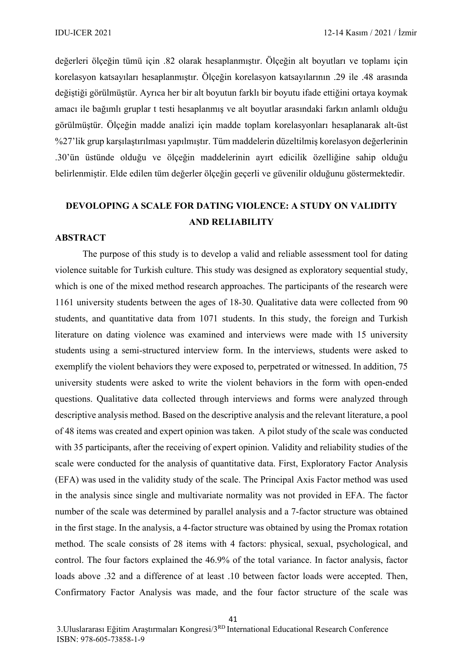değerleri ölçeğin tümü için .82 olarak hesaplanmıştır. Ölçeğin alt boyutları ve toplamı için korelasyon katsayıları hesaplanmıştır. Ölçeğin korelasyon katsayılarının .29 ile .48 arasında değiştiği görülmüştür. Ayrıca her bir alt boyutun farklı bir boyutu ifade ettiğini ortaya koymak amacı ile bağımlı gruplar t testi hesaplanmış ve alt boyutlar arasındaki farkın anlamlı olduğu görülmüştür. Ölçeğin madde analizi için madde toplam korelasyonları hesaplanarak alt-üst %27'lik grup karşılaştırılması yapılmıştır. Tüm maddelerin düzeltilmiş korelasyon değerlerinin .30'ün üstünde olduğu ve ölçeğin maddelerinin ayırt edicilik özelliğine sahip olduğu belirlenmiştir. Elde edilen tüm değerler ölçeğin geçerli ve güvenilir olduğunu göstermektedir.

### **DEVOLOPING A SCALE FOR DATING VIOLENCE: A STUDY ON VALIDITY AND RELIABILITY**

#### **ABSTRACT**

The purpose of this study is to develop a valid and reliable assessment tool for dating violence suitable for Turkish culture. This study was designed as exploratory sequential study, which is one of the mixed method research approaches. The participants of the research were 1161 university students between the ages of 18-30. Qualitative data were collected from 90 students, and quantitative data from 1071 students. In this study, the foreign and Turkish literature on dating violence was examined and interviews were made with 15 university students using a semi-structured interview form. In the interviews, students were asked to exemplify the violent behaviors they were exposed to, perpetrated or witnessed. In addition, 75 university students were asked to write the violent behaviors in the form with open-ended questions. Qualitative data collected through interviews and forms were analyzed through descriptive analysis method. Based on the descriptive analysis and the relevant literature, a pool of 48 items was created and expert opinion was taken. A pilot study of the scale was conducted with 35 participants, after the receiving of expert opinion. Validity and reliability studies of the scale were conducted for the analysis of quantitative data. First, Exploratory Factor Analysis (EFA) was used in the validity study of the scale. The Principal Axis Factor method was used in the analysis since single and multivariate normality was not provided in EFA. The factor number of the scale was determined by parallel analysis and a 7-factor structure was obtained in the first stage. In the analysis, a 4-factor structure was obtained by using the Promax rotation method. The scale consists of 28 items with 4 factors: physical, sexual, psychological, and control. The four factors explained the 46.9% of the total variance. In factor analysis, factor loads above .32 and a difference of at least .10 between factor loads were accepted. Then, Confirmatory Factor Analysis was made, and the four factor structure of the scale was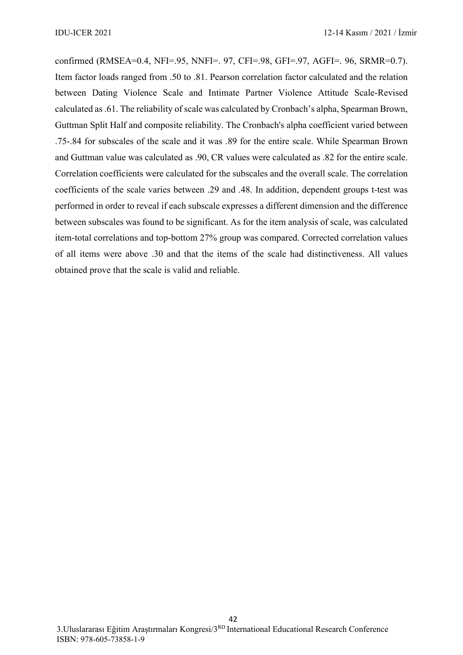confirmed (RMSEA=0.4, NFI=.95, NNFI=. 97, CFI=.98, GFI=.97, AGFI=. 96, SRMR=0.7). Item factor loads ranged from .50 to .81. Pearson correlation factor calculated and the relation between Dating Violence Scale and Intimate Partner Violence Attitude Scale-Revised calculated as .61. The reliability of scale was calculated by Cronbach's alpha, Spearman Brown, Guttman Split Half and composite reliability. The Cronbach's alpha coefficient varied between .75-.84 for subscales of the scale and it was .89 for the entire scale. While Spearman Brown and Guttman value was calculated as .90, CR values were calculated as .82 for the entire scale. Correlation coefficients were calculated for the subscales and the overall scale. The correlation coefficients of the scale varies between .29 and .48. In addition, dependent groups t-test was performed in order to reveal if each subscale expresses a different dimension and the difference between subscales was found to be significant. As for the item analysis of scale, was calculated item-total correlations and top-bottom 27% group was compared. Corrected correlation values of all items were above .30 and that the items of the scale had distinctiveness. All values obtained prove that the scale is valid and reliable.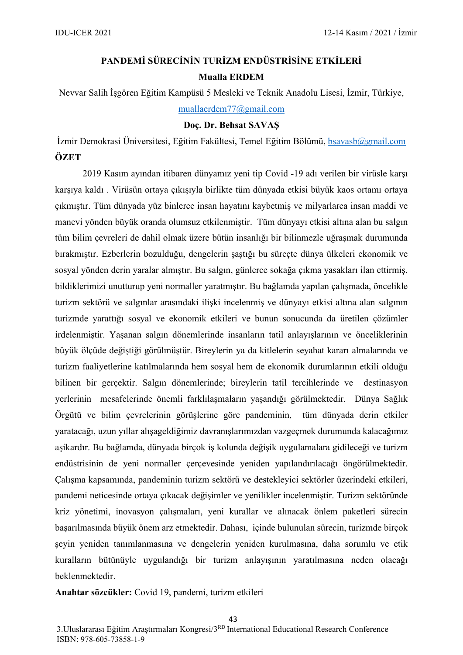# **PANDEMİ SÜRECİNİN TURİZM ENDÜSTRİSİNE ETKİLERİ Mualla ERDEM**

Nevvar Salih İşgören Eğitim Kampüsü 5 Mesleki ve Teknik Anadolu Lisesi, İzmir, Türkiye, [muallaerdem77@gmail.com](mailto:muallaerdem77@gmail.com)

### **Doç. Dr. Behsat SAVAŞ**

İzmir Demokrasi Üniversitesi, Eğitim Fakültesi, Temel Eğitim Bölümü, [bsavasb@gmail.com](mailto:bsavasb@gmail.com) **ÖZET**

2019 Kasım ayından itibaren dünyamız yeni tip Covid -19 adı verilen bir virüsle karşı karşıya kaldı . Virüsün ortaya çıkışıyla birlikte tüm dünyada etkisi büyük kaos ortamı ortaya çıkmıştır. Tüm dünyada yüz binlerce insan hayatını kaybetmiş ve milyarlarca insan maddi ve manevi yönden büyük oranda olumsuz etkilenmiştir. Tüm dünyayı etkisi altına alan bu salgın tüm bilim çevreleri de dahil olmak üzere bütün insanlığı bir bilinmezle uğraşmak durumunda bırakmıştır. Ezberlerin bozulduğu, dengelerin şaştığı bu süreçte dünya ülkeleri ekonomik ve sosyal yönden derin yaralar almıştır. Bu salgın, günlerce sokağa çıkma yasakları ilan ettirmiş, bildiklerimizi unutturup yeni normaller yaratmıştır. Bu bağlamda yapılan çalışmada, öncelikle turizm sektörü ve salgınlar arasındaki ilişki incelenmiş ve dünyayı etkisi altına alan salgının turizmde yarattığı sosyal ve ekonomik etkileri ve bunun sonucunda da üretilen çözümler irdelenmiştir. Yaşanan salgın dönemlerinde insanların tatil anlayışlarının ve önceliklerinin büyük ölçüde değiştiği görülmüştür. Bireylerin ya da kitlelerin seyahat kararı almalarında ve turizm faaliyetlerine katılmalarında hem sosyal hem de ekonomik durumlarının etkili olduğu bilinen bir gerçektir. Salgın dönemlerinde; bireylerin tatil tercihlerinde ve destinasyon yerlerinin mesafelerinde önemli farklılaşmaların yaşandığı görülmektedir. Dünya Sağlık Örgütü ve bilim çevrelerinin görüşlerine göre pandeminin, tüm dünyada derin etkiler yaratacağı, uzun yıllar alışageldiğimiz davranışlarımızdan vazgeçmek durumunda kalacağımız aşikardır. Bu bağlamda, dünyada birçok iş kolunda değişik uygulamalara gidileceği ve turizm endüstrisinin de yeni normaller çerçevesinde yeniden yapılandırılacağı öngörülmektedir. Çalışma kapsamında, pandeminin turizm sektörü ve destekleyici sektörler üzerindeki etkileri, pandemi neticesinde ortaya çıkacak değişimler ve yenilikler incelenmiştir. Turizm sektöründe kriz yönetimi, inovasyon çalışmaları, yeni kurallar ve alınacak önlem paketleri sürecin başarılmasında büyük önem arz etmektedir. Dahası, içinde bulunulan sürecin, turizmde birçok şeyin yeniden tanımlanmasına ve dengelerin yeniden kurulmasına, daha sorumlu ve etik kuralların bütünüyle uygulandığı bir turizm anlayışının yaratılmasına neden olacağı beklenmektedir.

**Anahtar sözcükler:** Covid 19, pandemi, turizm etkileri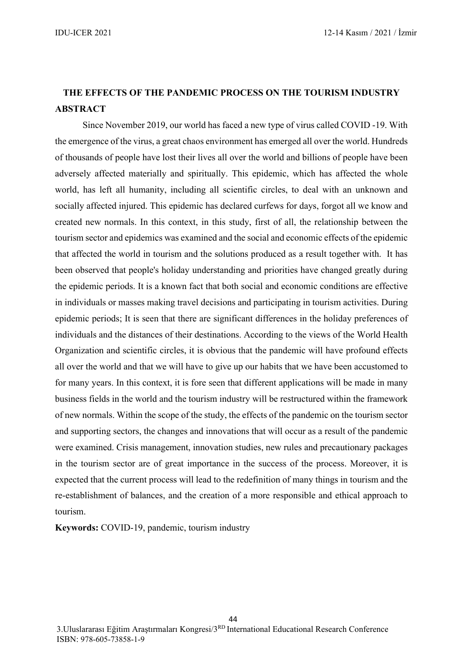### **THE EFFECTS OF THE PANDEMIC PROCESS ON THE TOURISM INDUSTRY ABSTRACT**

Since November 2019, our world has faced a new type of virus called COVID -19. With the emergence of the virus, a great chaos environment has emerged all over the world. Hundreds of thousands of people have lost their lives all over the world and billions of people have been adversely affected materially and spiritually. This epidemic, which has affected the whole world, has left all humanity, including all scientific circles, to deal with an unknown and socially affected injured. This epidemic has declared curfews for days, forgot all we know and created new normals. In this context, in this study, first of all, the relationship between the tourism sector and epidemics was examined and the social and economic effects of the epidemic that affected the world in tourism and the solutions produced as a result together with. It has been observed that people's holiday understanding and priorities have changed greatly during the epidemic periods. It is a known fact that both social and economic conditions are effective in individuals or masses making travel decisions and participating in tourism activities. During epidemic periods; It is seen that there are significant differences in the holiday preferences of individuals and the distances of their destinations. According to the views of the World Health Organization and scientific circles, it is obvious that the pandemic will have profound effects all over the world and that we will have to give up our habits that we have been accustomed to for many years. In this context, it is fore seen that different applications will be made in many business fields in the world and the tourism industry will be restructured within the framework of new normals. Within the scope of the study, the effects of the pandemic on the tourism sector and supporting sectors, the changes and innovations that will occur as a result of the pandemic were examined. Crisis management, innovation studies, new rules and precautionary packages in the tourism sector are of great importance in the success of the process. Moreover, it is expected that the current process will lead to the redefinition of many things in tourism and the re-establishment of balances, and the creation of a more responsible and ethical approach to tourism.

**Keywords:** COVID-19, pandemic, tourism industry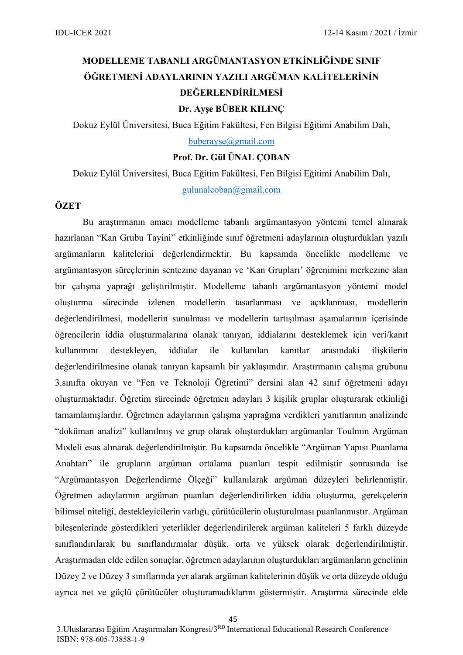# **MODELLEME TABANLI ARGÜMANTASYON ETKİNLİĞİNDE SINIF ÖĞRETMENİ ADAYLARININ YAZILI ARGÜMAN KALİTELERİNİN DEĞERLENDİRİLMESİ Dr. Ayşe BÜBER KILINÇ**

Dokuz Eylül Üniversitesi, Buca Eğitim Fakültesi, Fen Bilgisi Eğitimi Anabilim Dalı,

[buberayse@gmail.com](mailto:buberayse@gmail.com)

### **Prof. Dr. Gül ÜNAL ÇOBAN**

Dokuz Eylül Üniversitesi, Buca Eğitim Fakültesi, Fen Bilgisi Eğitimi Anabilim Dalı,

[gulunalcoban@gmail.com](mailto:gulunalcoban@gmail.com)

### **ÖZET**

Bu araştırmanın amacı modelleme tabanlı argümantasyon yöntemi temel alınarak hazırlanan "Kan Grubu Tayini" etkinliğinde sınıf öğretmeni adaylarının oluşturdukları yazılı argümanların kalitelerini değerlendirmektir. Bu kapsamda öncelikle modelleme ve argümantasyon süreçlerinin sentezine dayanan ve 'Kan Grupları' öğrenimini merkezine alan bir çalışma yaprağı geliştirilmiştir. Modelleme tabanlı argümantasyon yöntemi model oluşturma sürecinde izlenen modellerin tasarlanması ve açıklanması, modellerin değerlendirilmesi, modellerin sunulması ve modellerin tartışılması aşamalarının içerisinde öğrencilerin iddia oluşturmalarına olanak tanıyan, iddialarını desteklemek için veri/kanıt kullanımını destekleyen, iddialar ile kullanılan kanıtlar arasındaki ilişkilerin değerlendirilmesine olanak tanıyan kapsamlı bir yaklaşımdır. Araştırmanın çalışma grubunu 3.sınıfta okuyan ve "Fen ve Teknoloji Öğretimi" dersini alan 42 sınıf öğretmeni adayı oluşturmaktadır. Öğretim sürecinde öğretmen adayları 3 kişilik gruplar oluşturarak etkinliği tamamlamışlardır. Öğretmen adaylarının çalışma yaprağına verdikleri yanıtlarının analizinde "doküman analizi" kullanılmış ve grup olarak oluşturdukları argümanlar Toulmin Argüman Modeli esas alınarak değerlendirilmiştir. Bu kapsamda öncelikle "Argüman Yapısı Puanlama Anahtarı" ile grupların argüman ortalama puanları tespit edilmiştir sonrasında ise "Argümantasyon Değerlendirme Ölçeği" kullanılarak argüman düzeyleri belirlenmiştir. Öğretmen adaylarının argüman puanları değerlendirilirken iddia oluşturma, gerekçelerin bilimsel niteliği, destekleyicilerin varlığı, çürütücülerin oluşturulması puanlanmıştır. Argüman bileşenlerinde gösterdikleri yeterlikler değerlendirilerek argüman kaliteleri 5 farklı düzeyde sınıflandırılarak bu sınıflandırmalar düşük, orta ve yüksek olarak değerlendirilmiştir. Araştırmadan elde edilen sonuçlar, öğretmen adaylarının oluşturdukları argümanların genelinin Düzey 2 ve Düzey 3 sınıflarında yer alarak argüman kalitelerinin düşük ve orta düzeyde olduğu ayrıca net ve güçlü çürütücüler oluşturamadıklarını göstermiştir. Araştırma sürecinde elde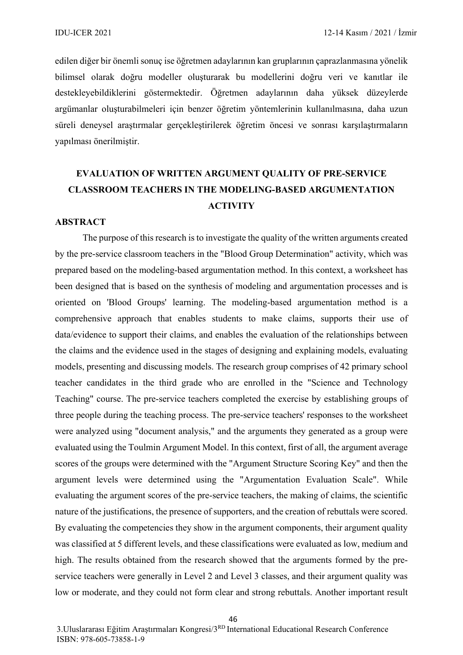edilen diğer bir önemli sonuç ise öğretmen adaylarının kan gruplarının çaprazlanmasına yönelik bilimsel olarak doğru modeller oluşturarak bu modellerini doğru veri ve kanıtlar ile destekleyebildiklerini göstermektedir. Öğretmen adaylarının daha yüksek düzeylerde argümanlar oluşturabilmeleri için benzer öğretim yöntemlerinin kullanılmasına, daha uzun süreli deneysel araştırmalar gerçekleştirilerek öğretim öncesi ve sonrası karşılaştırmaların yapılması önerilmiştir.

### **EVALUATION OF WRITTEN ARGUMENT QUALITY OF PRE-SERVICE CLASSROOM TEACHERS IN THE MODELING-BASED ARGUMENTATION ACTIVITY**

#### **ABSTRACT**

The purpose of this research is to investigate the quality of the written arguments created by the pre-service classroom teachers in the "Blood Group Determination" activity, which was prepared based on the modeling-based argumentation method. In this context, a worksheet has been designed that is based on the synthesis of modeling and argumentation processes and is oriented on 'Blood Groups' learning. The modeling-based argumentation method is a comprehensive approach that enables students to make claims, supports their use of data/evidence to support their claims, and enables the evaluation of the relationships between the claims and the evidence used in the stages of designing and explaining models, evaluating models, presenting and discussing models. The research group comprises of 42 primary school teacher candidates in the third grade who are enrolled in the "Science and Technology Teaching" course. The pre-service teachers completed the exercise by establishing groups of three people during the teaching process. The pre-service teachers' responses to the worksheet were analyzed using "document analysis," and the arguments they generated as a group were evaluated using the Toulmin Argument Model. In this context, first of all, the argument average scores of the groups were determined with the "Argument Structure Scoring Key" and then the argument levels were determined using the "Argumentation Evaluation Scale". While evaluating the argument scores of the pre-service teachers, the making of claims, the scientific nature of the justifications, the presence of supporters, and the creation of rebuttals were scored. By evaluating the competencies they show in the argument components, their argument quality was classified at 5 different levels, and these classifications were evaluated as low, medium and high. The results obtained from the research showed that the arguments formed by the preservice teachers were generally in Level 2 and Level 3 classes, and their argument quality was low or moderate, and they could not form clear and strong rebuttals. Another important result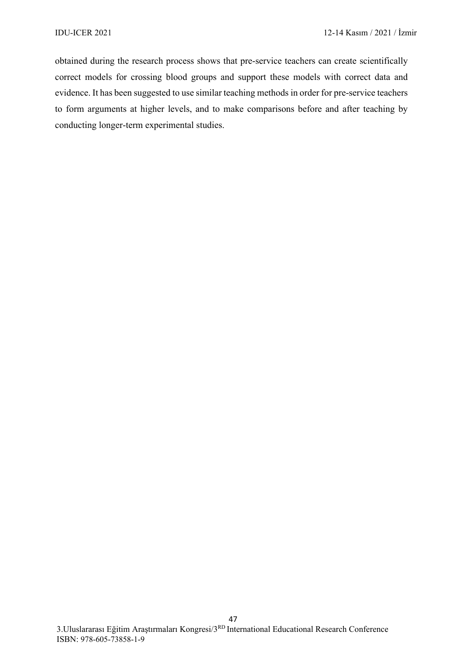obtained during the research process shows that pre-service teachers can create scientifically correct models for crossing blood groups and support these models with correct data and evidence. It has been suggested to use similar teaching methods in order for pre-service teachers to form arguments at higher levels, and to make comparisons before and after teaching by conducting longer-term experimental studies.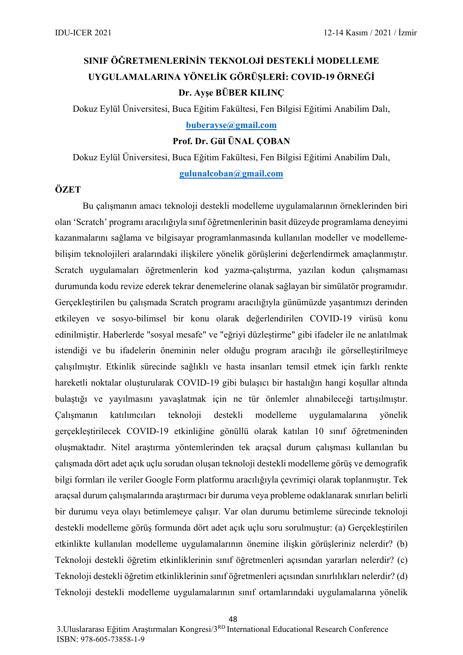# **SINIF ÖĞRETMENLERİNİN TEKNOLOJİ DESTEKLİ MODELLEME UYGULAMALARINA YÖNELİK GÖRÜŞLERİ: COVID-19 ÖRNEĞİ Dr. Ayşe BÜBER KILINÇ**

Dokuz Eylül Üniversitesi, Buca Eğitim Fakültesi, Fen Bilgisi Eğitimi Anabilim Dalı,

**[buberayse@gmail.com](mailto:buberayse@gmail.com)**

**Prof. Dr. Gül ÜNAL ÇOBAN**

Dokuz Eylül Üniversitesi, Buca Eğitim Fakültesi, Fen Bilgisi Eğitimi Anabilim Dalı, **[gulunalcoban@gmail.com](mailto:gulunalcoban@gmail.com)**

### **ÖZET**

Bu çalışmanın amacı teknoloji destekli modelleme uygulamalarının örneklerinden biri olan 'Scratch' programı aracılığıyla sınıf öğretmenlerinin basit düzeyde programlama deneyimi kazanmalarını sağlama ve bilgisayar programlanmasında kullanılan modeller ve modellemebilişim teknolojileri aralarındaki ilişkilere yönelik görüşlerini değerlendirmek amaçlanmıştır. Scratch uygulamaları öğretmenlerin kod yazma-çalıştırma, yazılan kodun çalışmaması durumunda kodu revize ederek tekrar denemelerine olanak sağlayan bir simülatör programıdır. Gerçekleştirilen bu çalışmada Scratch programı aracılığıyla günümüzde yaşantımızı derinden etkileyen ve sosyo-bilimsel bir konu olarak değerlendirilen COVID-19 virüsü konu edinilmiştir. Haberlerde "sosyal mesafe" ve "eğriyi düzleştirme" gibi ifadeler ile ne anlatılmak istendiği ve bu ifadelerin öneminin neler olduğu program aracılığı ile görselleştirilmeye çalışılmıştır. Etkinlik sürecinde sağlıklı ve hasta insanları temsil etmek için farklı renkte hareketli noktalar oluşturularak COVID-19 gibi bulaşıcı bir hastalığın hangi koşullar altında bulaştığı ve yayılmasını yavaşlatmak için ne tür önlemler alınabileceği tartışılmıştır. Çalışmanın katılımcıları teknoloji destekli modelleme uygulamalarına yönelik gerçekleştirilecek COVID-19 etkinliğine gönüllü olarak katılan 10 sınıf öğretmeninden oluşmaktadır. Nitel araştırma yöntemlerinden tek araçsal durum çalışması kullanılan bu çalışmada dört adet açık uçlu sorudan oluşan teknoloji destekli modelleme görüş ve demografik bilgi formları ile veriler Google Form platformu aracılığıyla çevrimiçi olarak toplanmıştır. Tek araçsal durum çalışmalarında araştırmacı bir duruma veya probleme odaklanarak sınırları belirli bir durumu veya olayı betimlemeye çalışır. Var olan durumu betimleme sürecinde teknoloji destekli modelleme görüş formunda dört adet açık uçlu soru sorulmuştur: (a) Gerçekleştirilen etkinlikte kullanılan modelleme uygulamalarının önemine ilişkin görüşleriniz nelerdir? (b) Teknoloji destekli öğretim etkinliklerinin sınıf öğretmenleri açısından yararları nelerdir? (c) Teknoloji destekli öğretim etkinliklerinin sınıf öğretmenleri açısından sınırlılıkları nelerdir? (d) Teknoloji destekli modelleme uygulamalarının sınıf ortamlarındaki uygulamalarına yönelik

3.Uluslararası Eğitim Araştırmaları Kongresi/3RD International Educational Research Conference ISBN: [978-605-73858-1-9](callto:978-605-73858-1-9)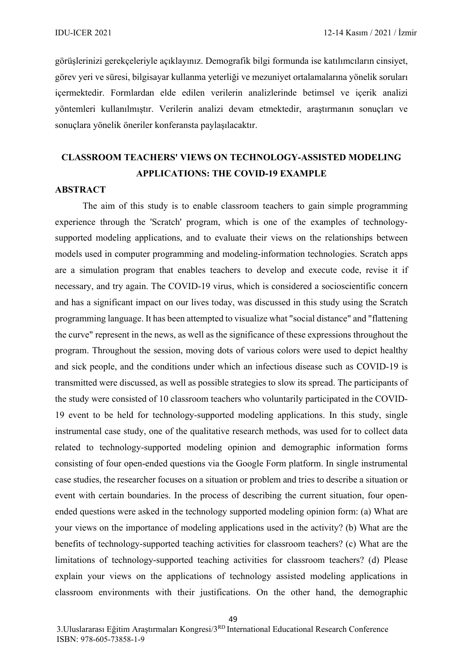görüşlerinizi gerekçeleriyle açıklayınız. Demografik bilgi formunda ise katılımcıların cinsiyet, görev yeri ve süresi, bilgisayar kullanma yeterliği ve mezuniyet ortalamalarına yönelik soruları içermektedir. Formlardan elde edilen verilerin analizlerinde betimsel ve içerik analizi yöntemleri kullanılmıştır. Verilerin analizi devam etmektedir, araştırmanın sonuçları ve sonuçlara yönelik öneriler konferansta paylaşılacaktır.

# **CLASSROOM TEACHERS' VIEWS ON TECHNOLOGY-ASSISTED MODELING APPLICATIONS: THE COVID-19 EXAMPLE**

#### **ABSTRACT**

The aim of this study is to enable classroom teachers to gain simple programming experience through the 'Scratch' program, which is one of the examples of technologysupported modeling applications, and to evaluate their views on the relationships between models used in computer programming and modeling-information technologies. Scratch apps are a simulation program that enables teachers to develop and execute code, revise it if necessary, and try again. The COVID-19 virus, which is considered a socioscientific concern and has a significant impact on our lives today, was discussed in this study using the Scratch programming language. It has been attempted to visualize what "social distance" and "flattening the curve" represent in the news, as well as the significance of these expressions throughout the program. Throughout the session, moving dots of various colors were used to depict healthy and sick people, and the conditions under which an infectious disease such as COVID-19 is transmitted were discussed, as well as possible strategies to slow its spread. The participants of the study were consisted of 10 classroom teachers who voluntarily participated in the COVID-19 event to be held for technology-supported modeling applications. In this study, single instrumental case study, one of the qualitative research methods, was used for to collect data related to technology-supported modeling opinion and demographic information forms consisting of four open-ended questions via the Google Form platform. In single instrumental case studies, the researcher focuses on a situation or problem and tries to describe a situation or event with certain boundaries. In the process of describing the current situation, four openended questions were asked in the technology supported modeling opinion form: (a) What are your views on the importance of modeling applications used in the activity? (b) What are the benefits of technology-supported teaching activities for classroom teachers? (c) What are the limitations of technology-supported teaching activities for classroom teachers? (d) Please explain your views on the applications of technology assisted modeling applications in classroom environments with their justifications. On the other hand, the demographic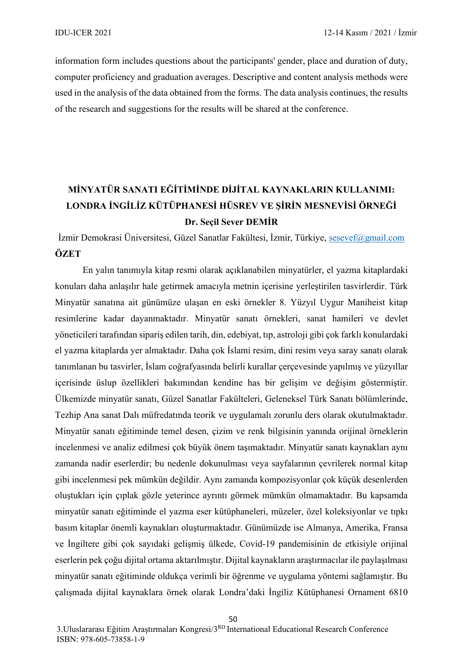information form includes questions about the participants' gender, place and duration of duty, computer proficiency and graduation averages. Descriptive and content analysis methods were used in the analysis of the data obtained from the forms. The data analysis continues, the results of the research and suggestions for the results will be shared at the conference.

# **MİNYATÜR SANATI EĞİTİMİNDE DİJİTAL KAYNAKLARIN KULLANIMI: LONDRA İNGİLİZ KÜTÜPHANESİ HÜSREV VE ŞİRİN MESNEVİSİ ÖRNEĞİ Dr. Seçil Sever DEMİR**

İzmir Demokrasi Üniversitesi, Güzel Sanatlar Fakültesi, İzmir, Türkiye, [sesevef@gmail.com](mailto:sesevef@gmail.com) **ÖZET**

En yalın tanımıyla kitap resmi olarak açıklanabilen minyatürler, el yazma kitaplardaki konuları daha anlaşılır hale getirmek amacıyla metnin içerisine yerleştirilen tasvirlerdir. Türk Minyatür sanatına ait günümüze ulaşan en eski örnekler 8. Yüzyıl Uygur Maniheist kitap resimlerine kadar dayanmaktadır. Minyatür sanatı örnekleri, sanat hamileri ve devlet yöneticileri tarafından sipariş edilen tarih, din, edebiyat, tıp, astroloji gibi çok farklı konulardaki el yazma kitaplarda yer almaktadır. Daha çok İslami resim, dini resim veya saray sanatı olarak tanımlanan bu tasvirler, İslam coğrafyasında belirli kurallar çerçevesinde yapılmış ve yüzyıllar içerisinde üslup özellikleri bakımından kendine has bir gelişim ve değişim göstermiştir. Ülkemizde minyatür sanatı, Güzel Sanatlar Fakülteleri, Geleneksel Türk Sanatı bölümlerinde, Tezhip Ana sanat Dalı müfredatında teorik ve uygulamalı zorunlu ders olarak okutulmaktadır. Minyatür sanatı eğitiminde temel desen, çizim ve renk bilgisinin yanında orijinal örneklerin incelenmesi ve analiz edilmesi çok büyük önem taşımaktadır. Minyatür sanatı kaynakları aynı zamanda nadir eserlerdir; bu nedenle dokunulması veya sayfalarının çevrilerek normal kitap gibi incelenmesi pek mümkün değildir. Aynı zamanda kompozisyonlar çok küçük desenlerden oluştukları için çıplak gözle yeterince ayrıntı görmek mümkün olmamaktadır. Bu kapsamda minyatür sanatı eğitiminde el yazma eser kütüphaneleri, müzeler, özel koleksiyonlar ve tıpkı basım kitaplar önemli kaynakları oluşturmaktadır. Günümüzde ise Almanya, Amerika, Fransa ve İngiltere gibi çok sayıdaki gelişmiş ülkede, Covid-19 pandemisinin de etkisiyle orijinal eserlerin pek çoğu dijital ortama aktarılmıştır. Dijital kaynakların araştırmacılar ile paylaşılması minyatür sanatı eğitiminde oldukça verimli bir öğrenme ve uygulama yöntemi sağlamıştır. Bu çalışmada dijital kaynaklara örnek olarak Londra'daki İngiliz Kütüphanesi Ornament 6810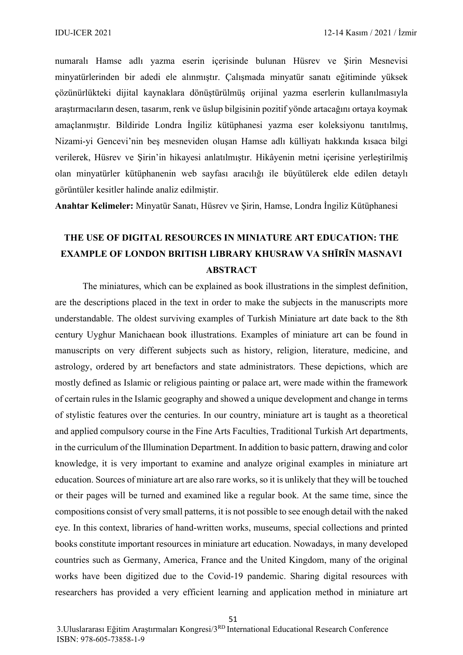numaralı Hamse adlı yazma eserin içerisinde bulunan Hüsrev ve Şirin Mesnevisi minyatürlerinden bir adedi ele alınmıştır. Çalışmada minyatür sanatı eğitiminde yüksek çözünürlükteki dijital kaynaklara dönüştürülmüş orijinal yazma eserlerin kullanılmasıyla araştırmacıların desen, tasarım, renk ve üslup bilgisinin pozitif yönde artacağını ortaya koymak amaçlanmıştır. Bildiride Londra İngiliz kütüphanesi yazma eser koleksiyonu tanıtılmış, Nizami-yi Gencevi'nin beş mesneviden oluşan Hamse adlı külliyatı hakkında kısaca bilgi verilerek, Hüsrev ve Şirin'in hikayesi anlatılmıştır. Hikâyenin metni içerisine yerleştirilmiş olan minyatürler kütüphanenin web sayfası aracılığı ile büyütülerek elde edilen detaylı görüntüler kesitler halinde analiz edilmiştir.

**Anahtar Kelimeler:** Minyatür Sanatı, Hüsrev ve Şirin, Hamse, Londra İngiliz Kütüphanesi

# **THE USE OF DIGITAL RESOURCES IN MINIATURE ART EDUCATION: THE EXAMPLE OF LONDON BRITISH LIBRARY KHUSRAW VA SHĪRĪN MASNAVI ABSTRACT**

The miniatures, which can be explained as book illustrations in the simplest definition, are the descriptions placed in the text in order to make the subjects in the manuscripts more understandable. The oldest surviving examples of Turkish Miniature art date back to the 8th century Uyghur Manichaean book illustrations. Examples of miniature art can be found in manuscripts on very different subjects such as history, religion, literature, medicine, and astrology, ordered by art benefactors and state administrators. These depictions, which are mostly defined as Islamic or religious painting or palace art, were made within the framework of certain rules in the Islamic geography and showed a unique development and change in terms of stylistic features over the centuries. In our country, miniature art is taught as a theoretical and applied compulsory course in the Fine Arts Faculties, Traditional Turkish Art departments, in the curriculum of the Illumination Department. In addition to basic pattern, drawing and color knowledge, it is very important to examine and analyze original examples in miniature art education. Sources of miniature art are also rare works, so it is unlikely that they will be touched or their pages will be turned and examined like a regular book. At the same time, since the compositions consist of very small patterns, it is not possible to see enough detail with the naked eye. In this context, libraries of hand-written works, museums, special collections and printed books constitute important resources in miniature art education. Nowadays, in many developed countries such as Germany, America, France and the United Kingdom, many of the original works have been digitized due to the Covid-19 pandemic. Sharing digital resources with researchers has provided a very efficient learning and application method in miniature art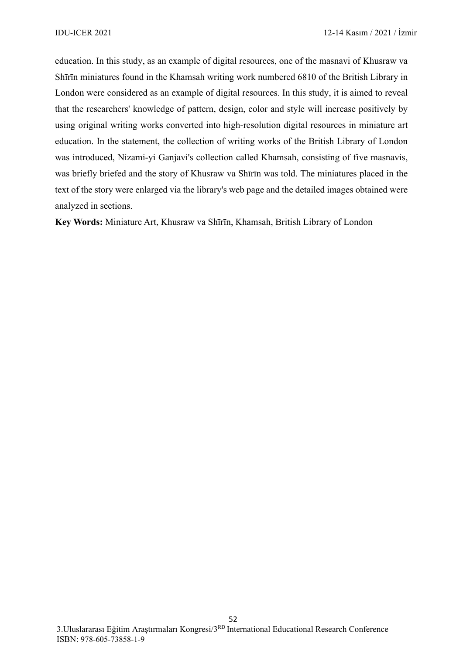education. In this study, as an example of digital resources, one of the masnavi of Khusraw va Shīrīn miniatures found in the Khamsah writing work numbered 6810 of the British Library in London were considered as an example of digital resources. In this study, it is aimed to reveal that the researchers' knowledge of pattern, design, color and style will increase positively by using original writing works converted into high-resolution digital resources in miniature art education. In the statement, the collection of writing works of the British Library of London was introduced, Nizami-yi Ganjavi's collection called Khamsah, consisting of five masnavis, was briefly briefed and the story of Khusraw va Shīrīn was told. The miniatures placed in the text of the story were enlarged via the library's web page and the detailed images obtained were analyzed in sections.

**Key Words:** Miniature Art, Khusraw va Shīrīn, Khamsah, British Library of London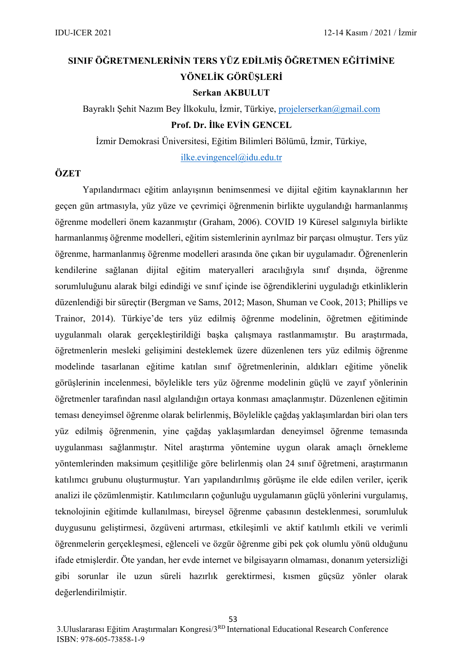# **SINIF ÖĞRETMENLERİNİN TERS YÜZ EDİLMİŞ ÖĞRETMEN EĞİTİMİNE YÖNELİK GÖRÜŞLERİ**

**Serkan AKBULUT**

Bayraklı Şehit Nazım Bey İlkokulu, İzmir, Türkiye, [projelerserkan@gmail.com](mailto:projelerserkan@gmail.com) **Prof. Dr. İlke EVİN GENCEL**

İzmir Demokrasi Üniversitesi, Eğitim Bilimleri Bölümü, İzmir, Türkiye,

[ilke.evingencel@idu.edu.tr](mailto:ilke.evingencel@idu.edu.tr)

### **ÖZET**

Yapılandırmacı eğitim anlayışının benimsenmesi ve dijital eğitim kaynaklarının her geçen gün artmasıyla, yüz yüze ve çevrimiçi öğrenmenin birlikte uygulandığı harmanlanmış öğrenme modelleri önem kazanmıştır (Graham, 2006). COVID 19 Küresel salgınıyla birlikte harmanlanmış öğrenme modelleri, eğitim sistemlerinin ayrılmaz bir parçası olmuştur. Ters yüz öğrenme, harmanlanmış öğrenme modelleri arasında öne çıkan bir uygulamadır. Öğrenenlerin kendilerine sağlanan dijital eğitim materyalleri aracılığıyla sınıf dışında, öğrenme sorumluluğunu alarak bilgi edindiği ve sınıf içinde ise öğrendiklerini uyguladığı etkinliklerin düzenlendiği bir süreçtir (Bergman ve Sams, 2012; Mason, Shuman ve Cook, 2013; Phillips ve Trainor, 2014). Türkiye'de ters yüz edilmiş öğrenme modelinin, öğretmen eğitiminde uygulanmalı olarak gerçekleştirildiği başka çalışmaya rastlanmamıştır. Bu araştırmada, öğretmenlerin mesleki gelişimini desteklemek üzere düzenlenen ters yüz edilmiş öğrenme modelinde tasarlanan eğitime katılan sınıf öğretmenlerinin, aldıkları eğitime yönelik görüşlerinin incelenmesi, böylelikle ters yüz öğrenme modelinin güçlü ve zayıf yönlerinin öğretmenler tarafından nasıl algılandığın ortaya konması amaçlanmıştır. Düzenlenen eğitimin teması deneyimsel öğrenme olarak belirlenmiş, Böylelikle çağdaş yaklaşımlardan biri olan ters yüz edilmiş öğrenmenin, yine çağdaş yaklaşımlardan deneyimsel öğrenme temasında uygulanması sağlanmıştır. Nitel araştırma yöntemine uygun olarak amaçlı örnekleme yöntemlerinden maksimum çeşitliliğe göre belirlenmiş olan 24 sınıf öğretmeni, araştırmanın katılımcı grubunu oluşturmuştur. Yarı yapılandırılmış görüşme ile elde edilen veriler, içerik analizi ile çözümlenmiştir. Katılımcıların çoğunluğu uygulamanın güçlü yönlerini vurgulamış, teknolojinin eğitimde kullanılması, bireysel öğrenme çabasının desteklenmesi, sorumluluk duygusunu geliştirmesi, özgüveni artırması, etkileşimli ve aktif katılımlı etkili ve verimli öğrenmelerin gerçekleşmesi, eğlenceli ve özgür öğrenme gibi pek çok olumlu yönü olduğunu ifade etmişlerdir. Öte yandan, her evde internet ve bilgisayarın olmaması, donanım yetersizliği gibi sorunlar ile uzun süreli hazırlık gerektirmesi, kısmen güçsüz yönler olarak değerlendirilmiştir.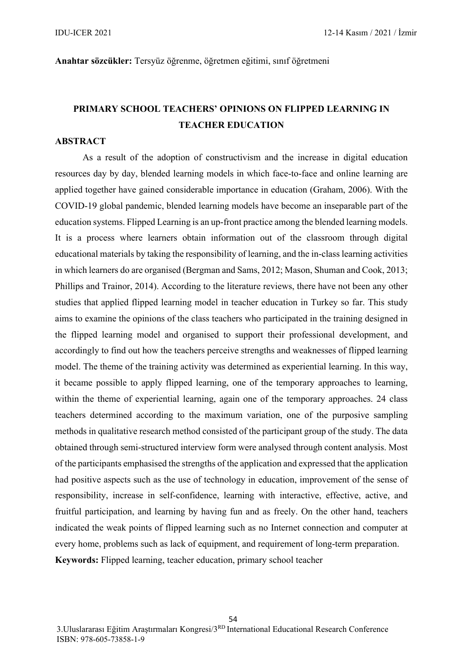#### **Anahtar sözcükler:** Tersyüz öğrenme, öğretmen eğitimi, sınıf öğretmeni

### **PRIMARY SCHOOL TEACHERS' OPINIONS ON FLIPPED LEARNING IN TEACHER EDUCATION**

### **ABSTRACT**

As a result of the adoption of constructivism and the increase in digital education resources day by day, blended learning models in which face-to-face and online learning are applied together have gained considerable importance in education (Graham, 2006). With the COVID-19 global pandemic, blended learning models have become an inseparable part of the education systems. Flipped Learning is an up-front practice among the blended learning models. It is a process where learners obtain information out of the classroom through digital educational materials by taking the responsibility of learning, and the in-class learning activities in which learners do are organised (Bergman and Sams, 2012; Mason, Shuman and Cook, 2013; Phillips and Trainor, 2014). According to the literature reviews, there have not been any other studies that applied flipped learning model in teacher education in Turkey so far. This study aims to examine the opinions of the class teachers who participated in the training designed in the flipped learning model and organised to support their professional development, and accordingly to find out how the teachers perceive strengths and weaknesses of flipped learning model. The theme of the training activity was determined as experiential learning. In this way, it became possible to apply flipped learning, one of the temporary approaches to learning, within the theme of experiential learning, again one of the temporary approaches. 24 class teachers determined according to the maximum variation, one of the purposive sampling methods in qualitative research method consisted of the participant group of the study. The data obtained through semi-structured interview form were analysed through content analysis. Most of the participants emphasised the strengths of the application and expressed that the application had positive aspects such as the use of technology in education, improvement of the sense of responsibility, increase in self-confidence, learning with interactive, effective, active, and fruitful participation, and learning by having fun and as freely. On the other hand, teachers indicated the weak points of flipped learning such as no Internet connection and computer at every home, problems such as lack of equipment, and requirement of long-term preparation. **Keywords:** Flipped learning, teacher education, primary school teacher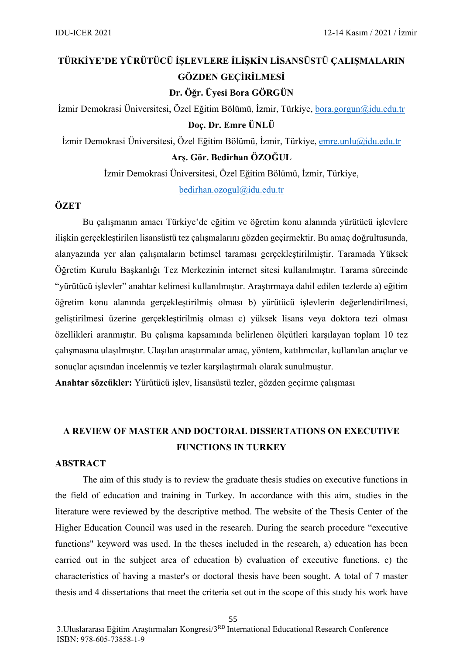# **TÜRKİYE'DE YÜRÜTÜCÜ İŞLEVLERE İLİŞKİN LİSANSÜSTÜ ÇALIŞMALARIN GÖZDEN GEÇİRİLMESİ**

**Dr. Öğr. Üyesi Bora GÖRGÜN**

İzmir Demokrasi Üniversitesi, Özel Eğitim Bölümü, İzmir, Türkiye, [bora.gorgun@idu.edu.tr](mailto:bora.gorgun@idu.edu.tr) **Doç. Dr. Emre ÜNLÜ**

İzmir Demokrasi Üniversitesi, Özel Eğitim Bölümü, İzmir, Türkiye, [emre.unlu@idu.edu.tr](mailto:emre.unlu@idu.edu.tr) **Arş. Gör. Bedirhan ÖZOĞUL**

İzmir Demokrasi Üniversitesi, Özel Eğitim Bölümü, İzmir, Türkiye,

[bedirhan.ozogul@idu.edu.tr](mailto:bedirhan.ozogul@idu.edu.tr)

### **ÖZET**

Bu çalışmanın amacı Türkiye'de eğitim ve öğretim konu alanında yürütücü işlevlere ilişkin gerçekleştirilen lisansüstü tez çalışmalarını gözden geçirmektir. Bu amaç doğrultusunda, alanyazında yer alan çalışmaların betimsel taraması gerçekleştirilmiştir. Taramada Yüksek Öğretim Kurulu Başkanlığı Tez Merkezinin internet sitesi kullanılmıştır. Tarama sürecinde "yürütücü işlevler" anahtar kelimesi kullanılmıştır. Araştırmaya dahil edilen tezlerde a) eğitim öğretim konu alanında gerçekleştirilmiş olması b) yürütücü işlevlerin değerlendirilmesi, geliştirilmesi üzerine gerçekleştirilmiş olması c) yüksek lisans veya doktora tezi olması özellikleri aranmıştır. Bu çalışma kapsamında belirlenen ölçütleri karşılayan toplam 10 tez çalışmasına ulaşılmıştır. Ulaşılan araştırmalar amaç, yöntem, katılımcılar, kullanılan araçlar ve sonuçlar açısından incelenmiş ve tezler karşılaştırmalı olarak sunulmuştur.

**Anahtar sözcükler:** Yürütücü işlev, lisansüstü tezler, gözden geçirme çalışması

### **A REVIEW OF MASTER AND DOCTORAL DISSERTATIONS ON EXECUTIVE FUNCTIONS IN TURKEY**

### **ABSTRACT**

The aim of this study is to review the graduate thesis studies on executive functions in the field of education and training in Turkey. In accordance with this aim, studies in the literature were reviewed by the descriptive method. The website of the Thesis Center of the Higher Education Council was used in the research. During the search procedure "executive functions" keyword was used. In the theses included in the research, a) education has been carried out in the subject area of education b) evaluation of executive functions, c) the characteristics of having a master's or doctoral thesis have been sought. A total of 7 master thesis and 4 dissertations that meet the criteria set out in the scope of this study his work have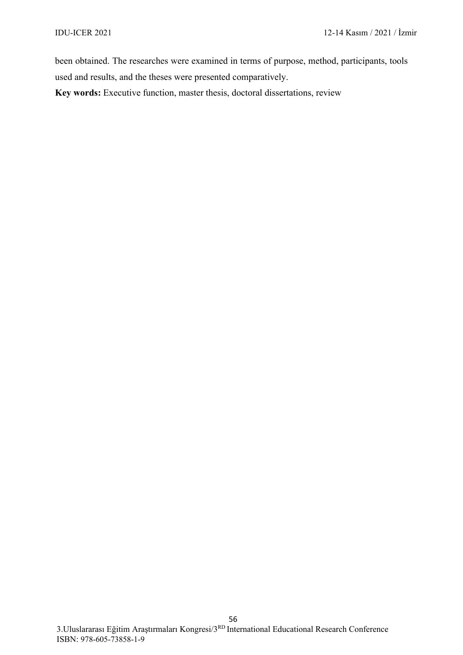been obtained. The researches were examined in terms of purpose, method, participants, tools used and results, and the theses were presented comparatively.

**Key words:** Executive function, master thesis, doctoral dissertations, review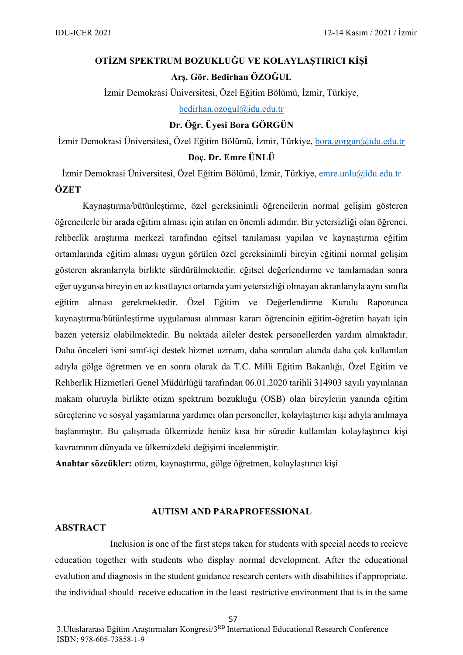# **OTİZM SPEKTRUM BOZUKLUĞU VE KOLAYLAŞTIRICI KİŞİ Arş. Gör. Bedirhan ÖZOĞUL**

İzmir Demokrasi Üniversitesi, Özel Eğitim Bölümü, İzmir, Türkiye, [bedirhan.ozogul@idu.edu.tr](mailto:bedirhan.ozogul@idu.edu.tr)

**Dr. Öğr. Üyesi Bora GÖRGÜN**

İzmir Demokrasi Üniversitesi, Özel Eğitim Bölümü, İzmir, Türkiye, [bora.gorgun@idu.edu.tr](mailto:bora.gorgun@idu.edu.tr) **Doç. Dr. Emre ÜNLÜ**

İzmir Demokrasi Üniversitesi, Özel Eğitim Bölümü, İzmir, Türkiye, [emre.unlu@idu.edu.tr](mailto:emre.unlu@idu.edu.tr) **ÖZET**

Kaynaştırma/bütünleştirme, özel gereksinimli öğrencilerin normal gelişim gösteren öğrencilerle bir arada eğitim alması için atılan en önemli adımdır. Bir yetersizliği olan öğrenci, rehberlik araştırma merkezi tarafından eğitsel tanılaması yapılan ve kaynaştırma eğitim ortamlarında eğitim alması uygun görülen özel gereksinimli bireyin eğitimi normal gelişim gösteren akranlarıyla birlikte sürdürülmektedir. eğitsel değerlendirme ve tanılamadan sonra eğer uygunsa bireyin en az kısıtlayıcı ortamda yani yetersizliği olmayan akranlarıyla aynı sınıfta eğitim alması gerekmektedir. Özel Eğitim ve Değerlendirme Kurulu Raporunca kaynaştırma/bütünleştirme uygulaması alınması kararı öğrencinin eğitim-öğretim hayatı için bazen yetersiz olabilmektedir. Bu noktada aileler destek personellerden yardım almaktadır. Daha önceleri ismi sınıf-içi destek hizmet uzmanı, daha sonraları alanda daha çok kullanılan adıyla gölge öğretmen ve en sonra olarak da T.C. Milli Eğitim Bakanlığı, Özel Eğitim ve Rehberlik Hizmetleri Genel Müdürlüğü tarafından 06.01.2020 tarihli 314903 sayılı yayınlanan makam oluruyla birlikte otizm spektrum bozukluğu (OSB) olan bireylerin yanında eğitim süreçlerine ve sosyal yaşamlarına yardımcı olan personeller, kolaylaştırıcı kişi adıyla anılmaya başlanmıştır. Bu çalışmada ülkemizde henüz kısa bir süredir kullanılan kolaylaştırıcı kişi kavramının dünyada ve ülkemizdeki değişimi incelenmiştir.

**Anahtar sözcükler:** otizm, kaynaştırma, gölge öğretmen, kolaylaştırıcı kişi

### **AUTISM AND PARAPROFESSIONAL**

#### **ABSTRACT**

Inclusion is one of the first steps taken for students with special needs to recieve education together with students who display normal development. After the educational evalution and diagnosis in the student guidance research centers with disabilities if appropriate, the individual should receive education in the least restrictive environment that is in the same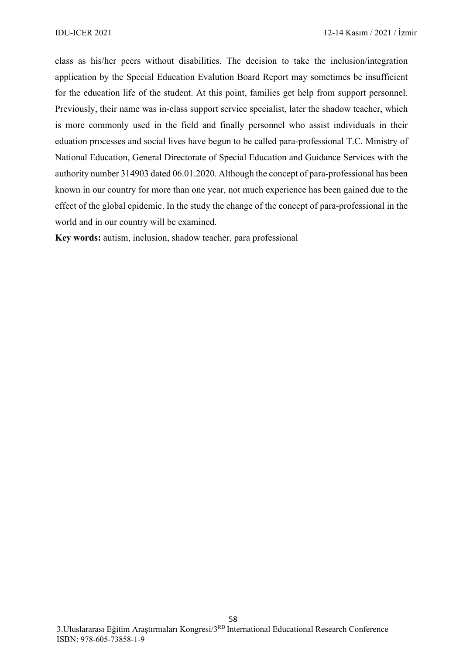class as his/her peers without disabilities. The decision to take the inclusion/integration application by the Special Education Evalution Board Report may sometimes be insufficient for the education life of the student. At this point, families get help from support personnel. Previously, their name was in-class support service specialist, later the shadow teacher, which is more commonly used in the field and finally personnel who assist individuals in their eduation processes and social lives have begun to be called para-professional T.C. Ministry of National Education, General Directorate of Special Education and Guidance Services with the authority number 314903 dated 06.01.2020. Although the concept of para-professional has been known in our country for more than one year, not much experience has been gained due to the effect of the global epidemic. In the study the change of the concept of para-professional in the world and in our country will be examined.

**Key words:** autism, inclusion, shadow teacher, para professional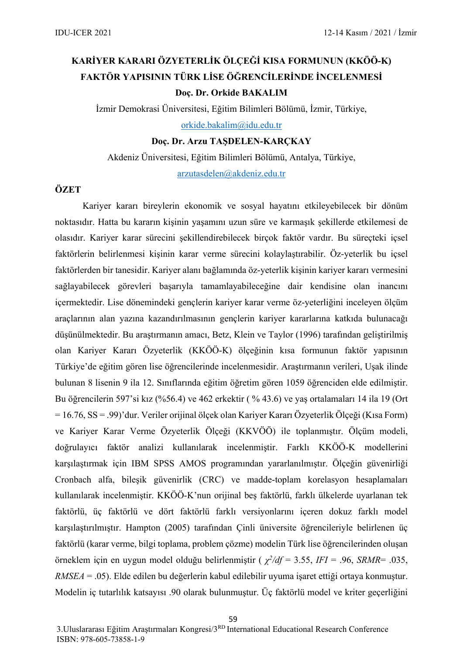# **KARİYER KARARI ÖZYETERLİK ÖLÇEĞİ KISA FORMUNUN (KKÖÖ-K) FAKTÖR YAPISININ TÜRK LİSE ÖĞRENCİLERİNDE İNCELENMESİ Doç. Dr. Orkide BAKALIM**

İzmir Demokrasi Üniversitesi, Eğitim Bilimleri Bölümü, İzmir, Türkiye,

[orkide.bakalim@idu.edu.tr](mailto:orkide.bakalim@idu.edu.tr)

**Doç. Dr. Arzu TAŞDELEN-KARÇKAY**

Akdeniz Üniversitesi, Eğitim Bilimleri Bölümü, Antalya, Türkiye,

[arzutasdelen@akdeniz.edu.tr](mailto:arzutasdelen@akdeniz.edu.tr)

### **ÖZET**

Kariyer kararı bireylerin ekonomik ve sosyal hayatını etkileyebilecek bir dönüm noktasıdır. Hatta bu kararın kişinin yaşamını uzun süre ve karmaşık şekillerde etkilemesi de olasıdır. Kariyer karar sürecini şekillendirebilecek birçok faktör vardır. Bu süreçteki içsel faktörlerin belirlenmesi kişinin karar verme sürecini kolaylaştırabilir. Öz-yeterlik bu içsel faktörlerden bir tanesidir. Kariyer alanı bağlamında öz-yeterlik kişinin kariyer kararı vermesini sağlayabilecek görevleri başarıyla tamamlayabileceğine dair kendisine olan inancını içermektedir. Lise dönemindeki gençlerin kariyer karar verme öz-yeterliğini inceleyen ölçüm araçlarının alan yazına kazandırılmasının gençlerin kariyer kararlarına katkıda bulunacağı düşünülmektedir. Bu araştırmanın amacı, Betz, Klein ve Taylor (1996) tarafından geliştirilmiş olan Kariyer Kararı Özyeterlik (KKÖÖ-K) ölçeğinin kısa formunun faktör yapısının Türkiye'de eğitim gören lise öğrencilerinde incelenmesidir. Araştırmanın verileri, Uşak ilinde bulunan 8 lisenin 9 ila 12. Sınıflarında eğitim öğretim gören 1059 öğrenciden elde edilmiştir. Bu öğrencilerin 597'si kız (%56.4) ve 462 erkektir ( % 43.6) ve yaş ortalamaları 14 ila 19 (Ort = 16.76, SS = .99)'dur. Veriler orijinal ölçek olan Kariyer Kararı Özyeterlik Ölçeği (Kısa Form) ve Kariyer Karar Verme Özyeterlik Ölçeği (KKVÖÖ) ile toplanmıştır. Ölçüm modeli, doğrulayıcı faktör analizi kullanılarak incelenmiştir. Farklı KKÖÖ-K modellerini karşılaştırmak için IBM SPSS AMOS programından yararlanılmıştır. Ölçeğin güvenirliği Cronbach alfa, bileşik güvenirlik (CRC) ve madde-toplam korelasyon hesaplamaları kullanılarak incelenmiştir. KKÖÖ-K'nun orijinal beş faktörlü, farklı ülkelerde uyarlanan tek faktörlü, üç faktörlü ve dört faktörlü farklı versiyonlarını içeren dokuz farklı model karşılaştırılmıştır. Hampton (2005) tarafından Çinli üniversite öğrencileriyle belirlenen üç faktörlü (karar verme, bilgi toplama, problem çözme) modelin Türk lise öğrencilerinden oluşan örneklem için en uygun model olduğu belirlenmiştir ( *χ2/df* = 3.55, *IFI* = .96, *SRMR*= .035, *RMSEA* = .05). Elde edilen bu değerlerin kabul edilebilir uyuma işaret ettiği ortaya konmuştur. Modelin iç tutarlılık katsayısı .90 olarak bulunmuştur. Üç faktörlü model ve kriter geçerliğini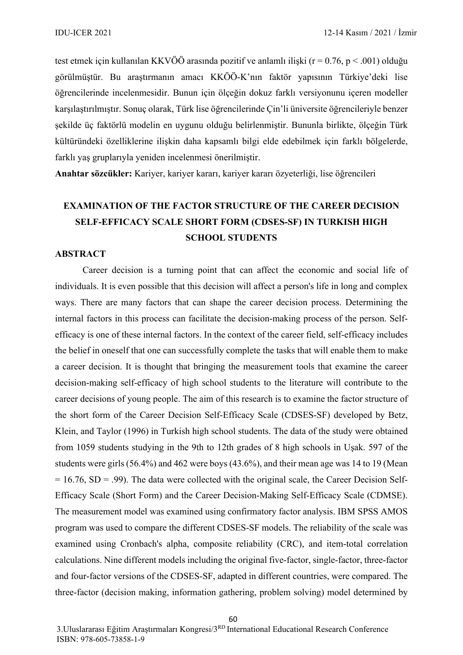test etmek için kullanılan KKVÖÖ arasında pozitif ve anlamlı ilişki ( $r = 0.76$ ,  $p < .001$ ) olduğu görülmüştür. Bu araştırmanın amacı KKÖÖ-K'nın faktör yapısının Türkiye'deki lise öğrencilerinde incelenmesidir. Bunun için ölçeğin dokuz farklı versiyonunu içeren modeller karşılaştırılmıştır. Sonuç olarak, Türk lise öğrencilerinde Çin'li üniversite öğrencileriyle benzer şekilde üç faktörlü modelin en uygunu olduğu belirlenmiştir. Bununla birlikte, ölçeğin Türk kültüründeki özelliklerine ilişkin daha kapsamlı bilgi elde edebilmek için farklı bölgelerde, farklı yaş gruplarıyla yeniden incelenmesi önerilmiştir.

**Anahtar sözcükler:** Kariyer, kariyer kararı, kariyer kararı özyeterliği, lise öğrencileri

# **EXAMINATION OF THE FACTOR STRUCTURE OF THE CAREER DECISION SELF-EFFICACY SCALE SHORT FORM (CDSES-SF) IN TURKISH HIGH SCHOOL STUDENTS**

### **ABSTRACT**

Career decision is a turning point that can affect the economic and social life of individuals. It is even possible that this decision will affect a person's life in long and complex ways. There are many factors that can shape the career decision process. Determining the internal factors in this process can facilitate the decision-making process of the person. Selfefficacy is one of these internal factors. In the context of the career field, self-efficacy includes the belief in oneself that one can successfully complete the tasks that will enable them to make a career decision. It is thought that bringing the measurement tools that examine the career decision-making self-efficacy of high school students to the literature will contribute to the career decisions of young people. The aim of this research is to examine the factor structure of the short form of the Career Decision Self-Efficacy Scale (CDSES-SF) developed by Betz, Klein, and Taylor (1996) in Turkish high school students. The data of the study were obtained from 1059 students studying in the 9th to 12th grades of 8 high schools in Uşak. 597 of the students were girls (56.4%) and 462 were boys (43.6%), and their mean age was 14 to 19 (Mean  $= 16.76$ , SD = .99). The data were collected with the original scale, the Career Decision Self-Efficacy Scale (Short Form) and the Career Decision-Making Self-Efficacy Scale (CDMSE). The measurement model was examined using confirmatory factor analysis. IBM SPSS AMOS program was used to compare the different CDSES-SF models. The reliability of the scale was examined using Cronbach's alpha, composite reliability (CRC), and item-total correlation calculations. Nine different models including the original five-factor, single-factor, three-factor and four-factor versions of the CDSES-SF, adapted in different countries, were compared. The three-factor (decision making, information gathering, problem solving) model determined by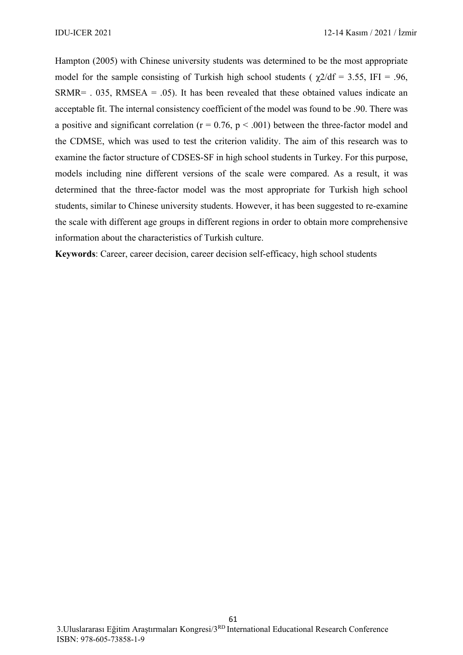Hampton (2005) with Chinese university students was determined to be the most appropriate model for the sample consisting of Turkish high school students ( $\gamma$ 2/df = 3.55, IFI = .96,  $SRMR =$  . 035, RMSEA = .05). It has been revealed that these obtained values indicate an acceptable fit. The internal consistency coefficient of the model was found to be .90. There was a positive and significant correlation ( $r = 0.76$ ,  $p < .001$ ) between the three-factor model and the CDMSE, which was used to test the criterion validity. The aim of this research was to examine the factor structure of CDSES-SF in high school students in Turkey. For this purpose, models including nine different versions of the scale were compared. As a result, it was determined that the three-factor model was the most appropriate for Turkish high school students, similar to Chinese university students. However, it has been suggested to re-examine the scale with different age groups in different regions in order to obtain more comprehensive information about the characteristics of Turkish culture.

**Keywords**: Career, career decision, career decision self-efficacy, high school students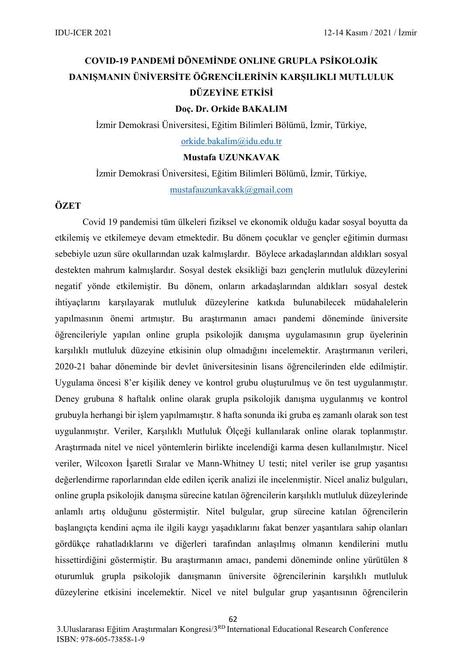# **COVID-19 PANDEMİ DÖNEMİNDE ONLINE GRUPLA PSİKOLOJİK DANIŞMANIN ÜNİVERSİTE ÖĞRENCİLERİNİN KARŞILIKLI MUTLULUK DÜZEYİNE ETKİSİ**

### **Doç. Dr. Orkide BAKALIM**

İzmir Demokrasi Üniversitesi, Eğitim Bilimleri Bölümü, İzmir, Türkiye, [orkide.bakalim@idu.edu.tr](mailto:orkide.bakalim@idu.edu.tr)

#### **Mustafa UZUNKAVAK**

İzmir Demokrasi Üniversitesi, Eğitim Bilimleri Bölümü, İzmir, Türkiye,

[mustafauzunkavakk@gmail.com](mailto:mustafauzunkavakk@gmail.com)

### **ÖZET**

Covid 19 pandemisi tüm ülkeleri fiziksel ve ekonomik olduğu kadar sosyal boyutta da etkilemiş ve etkilemeye devam etmektedir. Bu dönem çocuklar ve gençler eğitimin durması sebebiyle uzun süre okullarından uzak kalmışlardır. Böylece arkadaşlarından aldıkları sosyal destekten mahrum kalmışlardır. Sosyal destek eksikliği bazı gençlerin mutluluk düzeylerini negatif yönde etkilemiştir. Bu dönem, onların arkadaşlarından aldıkları sosyal destek ihtiyaçlarını karşılayarak mutluluk düzeylerine katkıda bulunabilecek müdahalelerin yapılmasının önemi artmıştır. Bu araştırmanın amacı pandemi döneminde üniversite öğrencileriyle yapılan online grupla psikolojik danışma uygulamasının grup üyelerinin karşılıklı mutluluk düzeyine etkisinin olup olmadığını incelemektir. Araştırmanın verileri, 2020-21 bahar döneminde bir devlet üniversitesinin lisans öğrencilerinden elde edilmiştir. Uygulama öncesi 8'er kişilik deney ve kontrol grubu oluşturulmuş ve ön test uygulanmıştır. Deney grubuna 8 haftalık online olarak grupla psikolojik danışma uygulanmış ve kontrol grubuyla herhangi bir işlem yapılmamıştır. 8 hafta sonunda iki gruba eş zamanlı olarak son test uygulanmıştır. Veriler, Karşılıklı Mutluluk Ölçeği kullanılarak online olarak toplanmıştır. Araştırmada nitel ve nicel yöntemlerin birlikte incelendiği karma desen kullanılmıştır. Nicel veriler, Wilcoxon İşaretli Sıralar ve Mann-Whitney U testi; nitel veriler ise grup yaşantısı değerlendirme raporlarından elde edilen içerik analizi ile incelenmiştir. Nicel analiz bulguları, online grupla psikolojik danışma sürecine katılan öğrencilerin karşılıklı mutluluk düzeylerinde anlamlı artış olduğunu göstermiştir. Nitel bulgular, grup sürecine katılan öğrencilerin başlangıçta kendini açma ile ilgili kaygı yaşadıklarını fakat benzer yaşantılara sahip olanları gördükçe rahatladıklarını ve diğerleri tarafından anlaşılmış olmanın kendilerini mutlu hissettirdiğini göstermiştir. Bu araştırmanın amacı, pandemi döneminde online yürütülen 8 oturumluk grupla psikolojik danışmanın üniversite öğrencilerinin karşılıklı mutluluk düzeylerine etkisini incelemektir. Nicel ve nitel bulgular grup yaşantısının öğrencilerin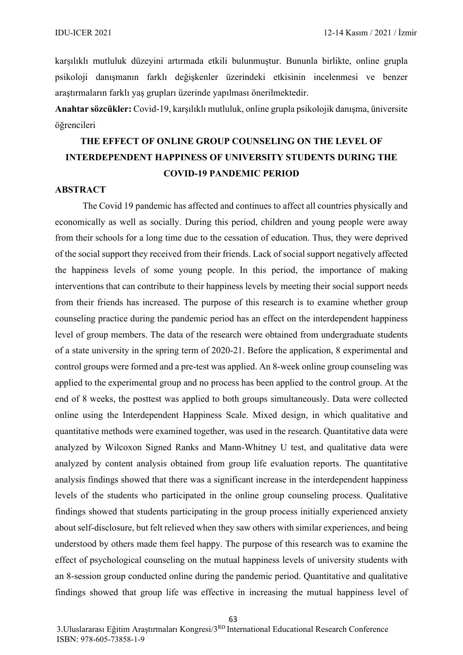karşılıklı mutluluk düzeyini artırmada etkili bulunmuştur. Bununla birlikte, online grupla psikoloji danışmanın farklı değişkenler üzerindeki etkisinin incelenmesi ve benzer araştırmaların farklı yaş grupları üzerinde yapılması önerilmektedir.

**Anahtar sözcükler:** Covid-19, karşılıklı mutluluk, online grupla psikolojik danışma, üniversite öğrencileri

# **THE EFFECT OF ONLINE GROUP COUNSELING ON THE LEVEL OF INTERDEPENDENT HAPPINESS OF UNIVERSITY STUDENTS DURING THE COVID-19 PANDEMIC PERIOD**

#### **ABSTRACT**

The Covid 19 pandemic has affected and continues to affect all countries physically and economically as well as socially. During this period, children and young people were away from their schools for a long time due to the cessation of education. Thus, they were deprived of the social support they received from their friends. Lack of social support negatively affected the happiness levels of some young people. In this period, the importance of making interventions that can contribute to their happiness levels by meeting their social support needs from their friends has increased. The purpose of this research is to examine whether group counseling practice during the pandemic period has an effect on the interdependent happiness level of group members. The data of the research were obtained from undergraduate students of a state university in the spring term of 2020-21. Before the application, 8 experimental and control groups were formed and a pre-test was applied. An 8-week online group counseling was applied to the experimental group and no process has been applied to the control group. At the end of 8 weeks, the posttest was applied to both groups simultaneously. Data were collected online using the Interdependent Happiness Scale. Mixed design, in which qualitative and quantitative methods were examined together, was used in the research. Quantitative data were analyzed by Wilcoxon Signed Ranks and Mann-Whitney U test, and qualitative data were analyzed by content analysis obtained from group life evaluation reports. The quantitative analysis findings showed that there was a significant increase in the interdependent happiness levels of the students who participated in the online group counseling process. Qualitative findings showed that students participating in the group process initially experienced anxiety about self-disclosure, but felt relieved when they saw others with similar experiences, and being understood by others made them feel happy. The purpose of this research was to examine the effect of psychological counseling on the mutual happiness levels of university students with an 8-session group conducted online during the pandemic period. Quantitative and qualitative findings showed that group life was effective in increasing the mutual happiness level of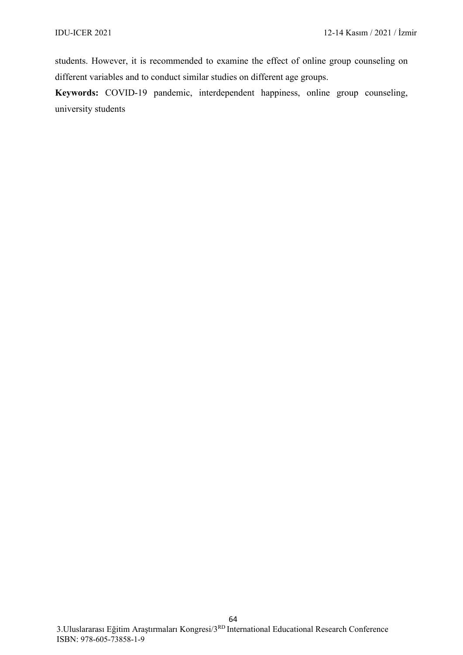students. However, it is recommended to examine the effect of online group counseling on different variables and to conduct similar studies on different age groups.

**Keywords:** COVID-19 pandemic, interdependent happiness, online group counseling, university students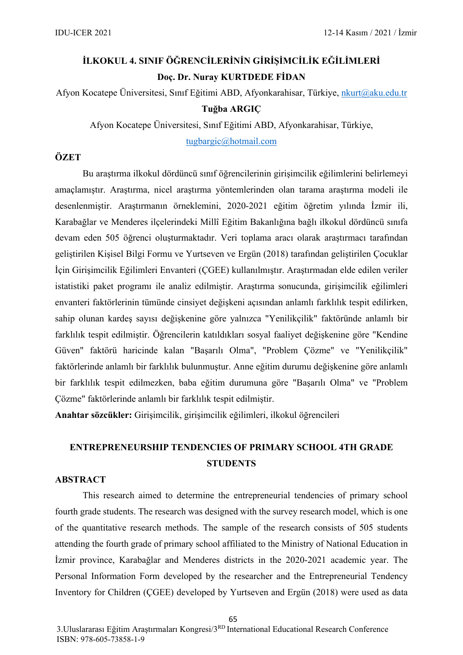# **İLKOKUL 4. SINIF ÖĞRENCİLERİNİN GİRİŞİMCİLİK EĞİLİMLERİ Doç. Dr. Nuray KURTDEDE FİDAN**

### Afyon Kocatepe Üniversitesi, Sınıf Eğitimi ABD, Afyonkarahisar, Türkiye, [nkurt@aku.edu.tr](mailto:nkurt@aku.edu.tr) **Tuğba ARGIÇ**

Afyon Kocatepe Üniversitesi, Sınıf Eğitimi ABD, Afyonkarahisar, Türkiye,

[tugbargic@hotmail.com](mailto:tugbargic@hotmail.com)

#### **ÖZET**

Bu araştırma ilkokul dördüncü sınıf öğrencilerinin girişimcilik eğilimlerini belirlemeyi amaçlamıştır. Araştırma, nicel araştırma yöntemlerinden olan tarama araştırma modeli ile desenlenmiştir. Araştırmanın örneklemini, 2020-2021 eğitim öğretim yılında İzmir ili, Karabağlar ve Menderes ilçelerindeki Millî Eğitim Bakanlığına bağlı ilkokul dördüncü sınıfa devam eden 505 öğrenci oluşturmaktadır. Veri toplama aracı olarak araştırmacı tarafından geliştirilen Kişisel Bilgi Formu ve Yurtseven ve Ergün (2018) tarafından geliştirilen Çocuklar İçin Girişimcilik Eğilimleri Envanteri (ÇGEE) kullanılmıştır. Araştırmadan elde edilen veriler istatistiki paket programı ile analiz edilmiştir. Araştırma sonucunda, girişimcilik eğilimleri envanteri faktörlerinin tümünde cinsiyet değişkeni açısından anlamlı farklılık tespit edilirken, sahip olunan kardeş sayısı değişkenine göre yalnızca "Yenilikçilik" faktöründe anlamlı bir farklılık tespit edilmiştir. Öğrencilerin katıldıkları sosyal faaliyet değişkenine göre "Kendine Güven" faktörü haricinde kalan "Başarılı Olma", "Problem Çözme" ve "Yenilikçilik" faktörlerinde anlamlı bir farklılık bulunmuştur. Anne eğitim durumu değişkenine göre anlamlı bir farklılık tespit edilmezken, baba eğitim durumuna göre "Başarılı Olma" ve "Problem Çözme" faktörlerinde anlamlı bir farklılık tespit edilmiştir.

**Anahtar sözcükler:** Girişimcilik, girişimcilik eğilimleri, ilkokul öğrencileri

### **ENTREPRENEURSHIP TENDENCIES OF PRIMARY SCHOOL 4TH GRADE STUDENTS**

#### **ABSTRACT**

This research aimed to determine the entrepreneurial tendencies of primary school fourth grade students. The research was designed with the survey research model, which is one of the quantitative research methods. The sample of the research consists of 505 students attending the fourth grade of primary school affiliated to the Ministry of National Education in İzmir province, Karabağlar and Menderes districts in the 2020-2021 academic year. The Personal Information Form developed by the researcher and the Entrepreneurial Tendency Inventory for Children (ÇGEE) developed by Yurtseven and Ergün (2018) were used as data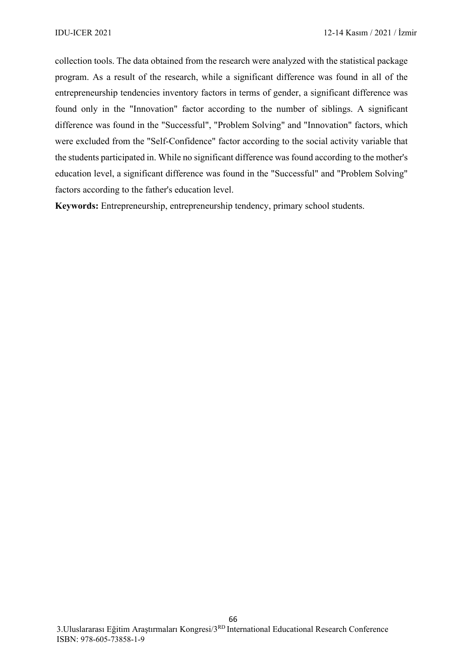collection tools. The data obtained from the research were analyzed with the statistical package program. As a result of the research, while a significant difference was found in all of the entrepreneurship tendencies inventory factors in terms of gender, a significant difference was found only in the "Innovation" factor according to the number of siblings. A significant difference was found in the "Successful", "Problem Solving" and "Innovation" factors, which were excluded from the "Self-Confidence" factor according to the social activity variable that the students participated in. While no significant difference was found according to the mother's education level, a significant difference was found in the "Successful" and "Problem Solving" factors according to the father's education level.

**Keywords:** Entrepreneurship, entrepreneurship tendency, primary school students.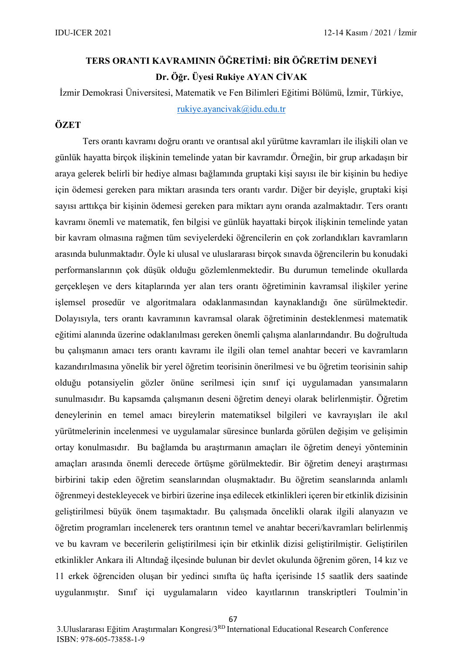# **TERS ORANTI KAVRAMININ ÖĞRETİMİ: BİR ÖĞRETİM DENEYİ Dr. Öğr. Üyesi Rukiye AYAN CİVAK**

İzmir Demokrasi Üniversitesi, Matematik ve Fen Bilimleri Eğitimi Bölümü, İzmir, Türkiye, [rukiye.ayancivak@idu.edu.tr](mailto:rukiye.ayancivak@idu.edu.tr)

### **ÖZET**

Ters orantı kavramı doğru orantı ve orantısal akıl yürütme kavramları ile ilişkili olan ve günlük hayatta birçok ilişkinin temelinde yatan bir kavramdır. Örneğin, bir grup arkadaşın bir araya gelerek belirli bir hediye alması bağlamında gruptaki kişi sayısı ile bir kişinin bu hediye için ödemesi gereken para miktarı arasında ters orantı vardır. Diğer bir deyişle, gruptaki kişi sayısı arttıkça bir kişinin ödemesi gereken para miktarı aynı oranda azalmaktadır. Ters orantı kavramı önemli ve matematik, fen bilgisi ve günlük hayattaki birçok ilişkinin temelinde yatan bir kavram olmasına rağmen tüm seviyelerdeki öğrencilerin en çok zorlandıkları kavramların arasında bulunmaktadır. Öyle ki ulusal ve uluslararası birçok sınavda öğrencilerin bu konudaki performanslarının çok düşük olduğu gözlemlenmektedir. Bu durumun temelinde okullarda gerçekleşen ve ders kitaplarında yer alan ters orantı öğretiminin kavramsal ilişkiler yerine işlemsel prosedür ve algoritmalara odaklanmasından kaynaklandığı öne sürülmektedir. Dolayısıyla, ters orantı kavramının kavramsal olarak öğretiminin desteklenmesi matematik eğitimi alanında üzerine odaklanılması gereken önemli çalışma alanlarındandır. Bu doğrultuda bu çalışmanın amacı ters orantı kavramı ile ilgili olan temel anahtar beceri ve kavramların kazandırılmasına yönelik bir yerel öğretim teorisinin önerilmesi ve bu öğretim teorisinin sahip olduğu potansiyelin gözler önüne serilmesi için sınıf içi uygulamadan yansımaların sunulmasıdır. Bu kapsamda çalışmanın deseni öğretim deneyi olarak belirlenmiştir. Öğretim deneylerinin en temel amacı bireylerin matematiksel bilgileri ve kavrayışları ile akıl yürütmelerinin incelenmesi ve uygulamalar süresince bunlarda görülen değişim ve gelişimin ortay konulmasıdır. Bu bağlamda bu araştırmanın amaçları ile öğretim deneyi yönteminin amaçları arasında önemli derecede örtüşme görülmektedir. Bir öğretim deneyi araştırması birbirini takip eden öğretim seanslarından oluşmaktadır. Bu öğretim seanslarında anlamlı öğrenmeyi destekleyecek ve birbiri üzerine inşa edilecek etkinlikleri içeren bir etkinlik dizisinin geliştirilmesi büyük önem taşımaktadır. Bu çalışmada öncelikli olarak ilgili alanyazın ve öğretim programları incelenerek ters orantının temel ve anahtar beceri/kavramları belirlenmiş ve bu kavram ve becerilerin geliştirilmesi için bir etkinlik dizisi geliştirilmiştir. Geliştirilen etkinlikler Ankara ili Altındağ ilçesinde bulunan bir devlet okulunda öğrenim gören, 14 kız ve 11 erkek öğrenciden oluşan bir yedinci sınıfta üç hafta içerisinde 15 saatlik ders saatinde uygulanmıştır. Sınıf içi uygulamaların video kayıtlarının transkriptleri Toulmin'in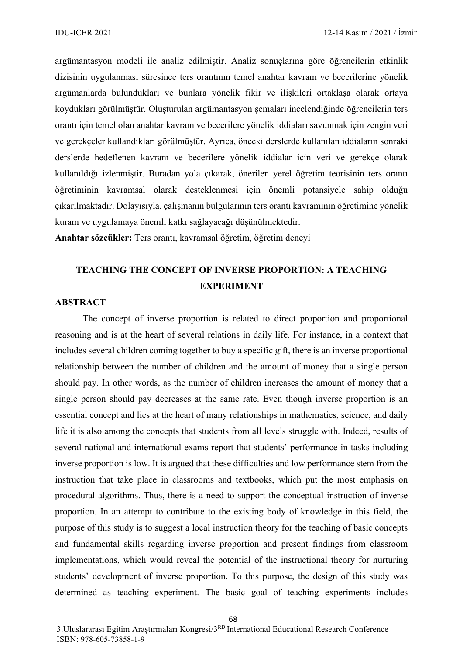argümantasyon modeli ile analiz edilmiştir. Analiz sonuçlarına göre öğrencilerin etkinlik dizisinin uygulanması süresince ters orantının temel anahtar kavram ve becerilerine yönelik argümanlarda bulundukları ve bunlara yönelik fikir ve ilişkileri ortaklaşa olarak ortaya koydukları görülmüştür. Oluşturulan argümantasyon şemaları incelendiğinde öğrencilerin ters orantı için temel olan anahtar kavram ve becerilere yönelik iddiaları savunmak için zengin veri ve gerekçeler kullandıkları görülmüştür. Ayrıca, önceki derslerde kullanılan iddiaların sonraki derslerde hedeflenen kavram ve becerilere yönelik iddialar için veri ve gerekçe olarak kullanıldığı izlenmiştir. Buradan yola çıkarak, önerilen yerel öğretim teorisinin ters orantı öğretiminin kavramsal olarak desteklenmesi için önemli potansiyele sahip olduğu çıkarılmaktadır. Dolayısıyla, çalışmanın bulgularının ters orantı kavramının öğretimine yönelik kuram ve uygulamaya önemli katkı sağlayacağı düşünülmektedir.

**Anahtar sözcükler:** Ters orantı, kavramsal öğretim, öğretim deneyi

### **TEACHING THE CONCEPT OF INVERSE PROPORTION: A TEACHING EXPERIMENT**

#### **ABSTRACT**

The concept of inverse proportion is related to direct proportion and proportional reasoning and is at the heart of several relations in daily life. For instance, in a context that includes several children coming together to buy a specific gift, there is an inverse proportional relationship between the number of children and the amount of money that a single person should pay. In other words, as the number of children increases the amount of money that a single person should pay decreases at the same rate. Even though inverse proportion is an essential concept and lies at the heart of many relationships in mathematics, science, and daily life it is also among the concepts that students from all levels struggle with. Indeed, results of several national and international exams report that students' performance in tasks including inverse proportion is low. It is argued that these difficulties and low performance stem from the instruction that take place in classrooms and textbooks, which put the most emphasis on procedural algorithms. Thus, there is a need to support the conceptual instruction of inverse proportion. In an attempt to contribute to the existing body of knowledge in this field, the purpose of this study is to suggest a local instruction theory for the teaching of basic concepts and fundamental skills regarding inverse proportion and present findings from classroom implementations, which would reveal the potential of the instructional theory for nurturing students' development of inverse proportion. To this purpose, the design of this study was determined as teaching experiment. The basic goal of teaching experiments includes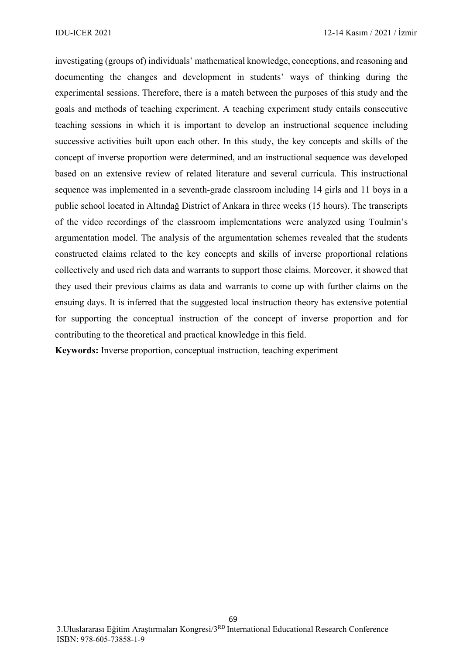investigating (groups of) individuals' mathematical knowledge, conceptions, and reasoning and documenting the changes and development in students' ways of thinking during the experimental sessions. Therefore, there is a match between the purposes of this study and the goals and methods of teaching experiment. A teaching experiment study entails consecutive teaching sessions in which it is important to develop an instructional sequence including successive activities built upon each other. In this study, the key concepts and skills of the concept of inverse proportion were determined, and an instructional sequence was developed based on an extensive review of related literature and several curricula. This instructional sequence was implemented in a seventh-grade classroom including 14 girls and 11 boys in a public school located in Altındağ District of Ankara in three weeks (15 hours). The transcripts of the video recordings of the classroom implementations were analyzed using Toulmin's argumentation model. The analysis of the argumentation schemes revealed that the students constructed claims related to the key concepts and skills of inverse proportional relations collectively and used rich data and warrants to support those claims. Moreover, it showed that they used their previous claims as data and warrants to come up with further claims on the ensuing days. It is inferred that the suggested local instruction theory has extensive potential for supporting the conceptual instruction of the concept of inverse proportion and for contributing to the theoretical and practical knowledge in this field.

**Keywords:** Inverse proportion, conceptual instruction, teaching experiment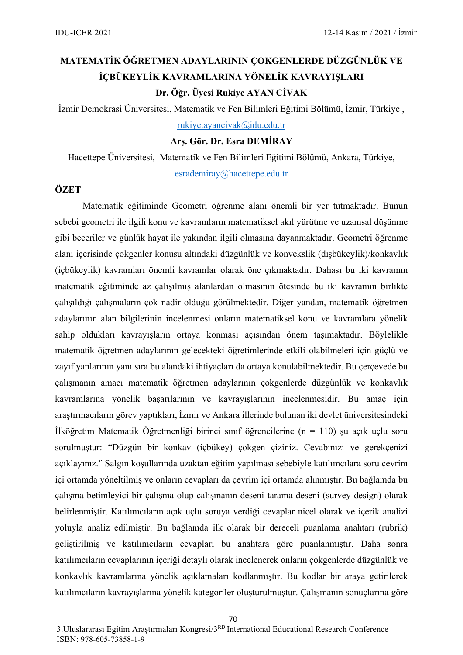# **MATEMATİK ÖĞRETMEN ADAYLARININ ÇOKGENLERDE DÜZGÜNLÜK VE İÇBÜKEYLİK KAVRAMLARINA YÖNELİK KAVRAYIŞLARI Dr. Öğr. Üyesi Rukiye AYAN CİVAK**

İzmir Demokrasi Üniversitesi, Matematik ve Fen Bilimleri Eğitimi Bölümü, İzmir, Türkiye ,

[rukiye.ayancivak@idu.edu.tr](mailto:rukiye.ayancivak@idu.edu.tr)

**Arş. Gör. Dr. Esra DEMİRAY** 

Hacettepe Üniversitesi, Matematik ve Fen Bilimleri Eğitimi Bölümü, Ankara, Türkiye, [esrademiray@hacettepe.edu.tr](mailto:esrademiray@hacettepe.edu.tr)

### **ÖZET**

Matematik eğitiminde Geometri öğrenme alanı önemli bir yer tutmaktadır. Bunun sebebi geometri ile ilgili konu ve kavramların matematiksel akıl yürütme ve uzamsal düşünme gibi beceriler ve günlük hayat ile yakından ilgili olmasına dayanmaktadır. Geometri öğrenme alanı içerisinde çokgenler konusu altındaki düzgünlük ve konvekslik (dışbükeylik)/konkavlık (içbükeylik) kavramları önemli kavramlar olarak öne çıkmaktadır. Dahası bu iki kavramın matematik eğitiminde az çalışılmış alanlardan olmasının ötesinde bu iki kavramın birlikte çalışıldığı çalışmaların çok nadir olduğu görülmektedir. Diğer yandan, matematik öğretmen adaylarının alan bilgilerinin incelenmesi onların matematiksel konu ve kavramlara yönelik sahip oldukları kavrayışların ortaya konması açısından önem taşımaktadır. Böylelikle matematik öğretmen adaylarının gelecekteki öğretimlerinde etkili olabilmeleri için güçlü ve zayıf yanlarının yanı sıra bu alandaki ihtiyaçları da ortaya konulabilmektedir. Bu çerçevede bu çalışmanın amacı matematik öğretmen adaylarının çokgenlerde düzgünlük ve konkavlık kavramlarına yönelik başarılarının ve kavrayışlarının incelenmesidir. Bu amaç için araştırmacıların görev yaptıkları, İzmir ve Ankara illerinde bulunan iki devlet üniversitesindeki İlköğretim Matematik Öğretmenliği birinci sınıf öğrencilerine (n = 110) şu açık uçlu soru sorulmuştur: "Düzgün bir konkav (içbükey) çokgen çiziniz. Cevabınızı ve gerekçenizi açıklayınız." Salgın koşullarında uzaktan eğitim yapılması sebebiyle katılımcılara soru çevrim içi ortamda yöneltilmiş ve onların cevapları da çevrim içi ortamda alınmıştır. Bu bağlamda bu çalışma betimleyici bir çalışma olup çalışmanın deseni tarama deseni (survey design) olarak belirlenmiştir. Katılımcıların açık uçlu soruya verdiği cevaplar nicel olarak ve içerik analizi yoluyla analiz edilmiştir. Bu bağlamda ilk olarak bir dereceli puanlama anahtarı (rubrik) geliştirilmiş ve katılımcıların cevapları bu anahtara göre puanlanmıştır. Daha sonra katılımcıların cevaplarının içeriği detaylı olarak incelenerek onların çokgenlerde düzgünlük ve konkavlık kavramlarına yönelik açıklamaları kodlanmıştır. Bu kodlar bir araya getirilerek katılımcıların kavrayışlarına yönelik kategoriler oluşturulmuştur. Çalışmanın sonuçlarına göre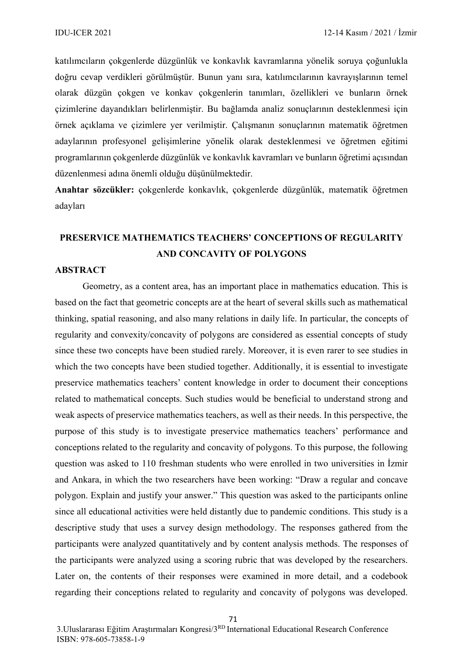katılımcıların çokgenlerde düzgünlük ve konkavlık kavramlarına yönelik soruya çoğunlukla doğru cevap verdikleri görülmüştür. Bunun yanı sıra, katılımcılarının kavrayışlarının temel olarak düzgün çokgen ve konkav çokgenlerin tanımları, özellikleri ve bunların örnek çizimlerine dayandıkları belirlenmiştir. Bu bağlamda analiz sonuçlarının desteklenmesi için örnek açıklama ve çizimlere yer verilmiştir. Çalışmanın sonuçlarının matematik öğretmen adaylarının profesyonel gelişimlerine yönelik olarak desteklenmesi ve öğretmen eğitimi programlarının çokgenlerde düzgünlük ve konkavlık kavramları ve bunların öğretimi açısından düzenlenmesi adına önemli olduğu düşünülmektedir.

**Anahtar sözcükler:** çokgenlerde konkavlık, çokgenlerde düzgünlük, matematik öğretmen adayları

### **PRESERVICE MATHEMATICS TEACHERS' CONCEPTIONS OF REGULARITY AND CONCAVITY OF POLYGONS**

#### **ABSTRACT**

Geometry, as a content area, has an important place in mathematics education. This is based on the fact that geometric concepts are at the heart of several skills such as mathematical thinking, spatial reasoning, and also many relations in daily life. In particular, the concepts of regularity and convexity/concavity of polygons are considered as essential concepts of study since these two concepts have been studied rarely. Moreover, it is even rarer to see studies in which the two concepts have been studied together. Additionally, it is essential to investigate preservice mathematics teachers' content knowledge in order to document their conceptions related to mathematical concepts. Such studies would be beneficial to understand strong and weak aspects of preservice mathematics teachers, as well as their needs. In this perspective, the purpose of this study is to investigate preservice mathematics teachers' performance and conceptions related to the regularity and concavity of polygons. To this purpose, the following question was asked to 110 freshman students who were enrolled in two universities in İzmir and Ankara, in which the two researchers have been working: "Draw a regular and concave polygon. Explain and justify your answer." This question was asked to the participants online since all educational activities were held distantly due to pandemic conditions. This study is a descriptive study that uses a survey design methodology. The responses gathered from the participants were analyzed quantitatively and by content analysis methods. The responses of the participants were analyzed using a scoring rubric that was developed by the researchers. Later on, the contents of their responses were examined in more detail, and a codebook regarding their conceptions related to regularity and concavity of polygons was developed.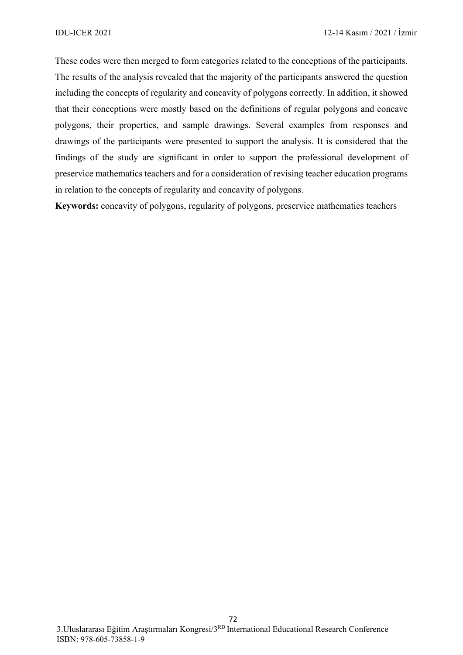These codes were then merged to form categories related to the conceptions of the participants. The results of the analysis revealed that the majority of the participants answered the question including the concepts of regularity and concavity of polygons correctly. In addition, it showed that their conceptions were mostly based on the definitions of regular polygons and concave polygons, their properties, and sample drawings. Several examples from responses and drawings of the participants were presented to support the analysis. It is considered that the findings of the study are significant in order to support the professional development of preservice mathematics teachers and for a consideration of revising teacher education programs in relation to the concepts of regularity and concavity of polygons.

**Keywords:** concavity of polygons, regularity of polygons, preservice mathematics teachers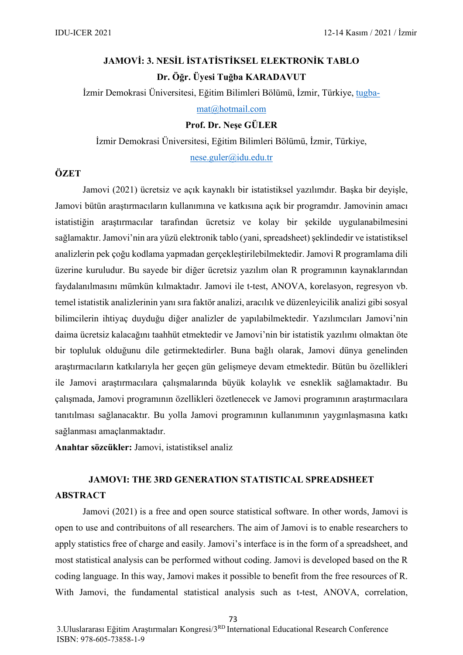# **JAMOVİ: 3. NESİL İSTATİSTİKSEL ELEKTRONİK TABLO Dr. Öğr. Üyesi Tuğba KARADAVUT**

İzmir Demokrasi Üniversitesi, Eğitim Bilimleri Bölümü, İzmir, Türkiye, [tugba](mailto:tugba-mat@hotmail.com)-

[mat@hotmail.com](mailto:tugba-mat@hotmail.com)

### **Prof. Dr. Neşe GÜLER**

İzmir Demokrasi Üniversitesi, Eğitim Bilimleri Bölümü, İzmir, Türkiye,

[nese.guler@idu.edu.tr](mailto:nese.guler@idu.edu.tr)

### **ÖZET**

Jamovi (2021) ücretsiz ve açık kaynaklı bir istatistiksel yazılımdır. Başka bir deyişle, Jamovi bütün araştırmacıların kullanımına ve katkısına açık bir programdır. Jamovinin amacı istatistiğin araştırmacılar tarafından ücretsiz ve kolay bir şekilde uygulanabilmesini sağlamaktır. Jamovi'nin ara yüzü elektronik tablo (yani, spreadsheet) şeklindedir ve istatistiksel analizlerin pek çoğu kodlama yapmadan gerçekleştirilebilmektedir. Jamovi R programlama dili üzerine kuruludur. Bu sayede bir diğer ücretsiz yazılım olan R programının kaynaklarından faydalanılmasını mümkün kılmaktadır. Jamovi ile t-test, ANOVA, korelasyon, regresyon vb. temel istatistik analizlerinin yanı sıra faktör analizi, aracılık ve düzenleyicilik analizi gibi sosyal bilimcilerin ihtiyaç duyduğu diğer analizler de yapılabilmektedir. Yazılımcıları Jamovi'nin daima ücretsiz kalacağını taahhüt etmektedir ve Jamovi'nin bir istatistik yazılımı olmaktan öte bir topluluk olduğunu dile getirmektedirler. Buna bağlı olarak, Jamovi dünya genelinden araştırmacıların katkılarıyla her geçen gün gelişmeye devam etmektedir. Bütün bu özellikleri ile Jamovi araştırmacılara çalışmalarında büyük kolaylık ve esneklik sağlamaktadır. Bu çalışmada, Jamovi programının özellikleri özetlenecek ve Jamovi programının araştırmacılara tanıtılması sağlanacaktır. Bu yolla Jamovi programının kullanımının yaygınlaşmasına katkı sağlanması amaçlanmaktadır.

**Anahtar sözcükler:** Jamovi, istatistiksel analiz

## **JAMOVI: THE 3RD GENERATION STATISTICAL SPREADSHEET ABSTRACT**

Jamovi (2021) is a free and open source statistical software. In other words, Jamovi is open to use and contribuitons of all researchers. The aim of Jamovi is to enable researchers to apply statistics free of charge and easily. Jamovi's interface is in the form of a spreadsheet, and most statistical analysis can be performed without coding. Jamovi is developed based on the R coding language. In this way, Jamovi makes it possible to benefit from the free resources of R. With Jamovi, the fundamental statistical analysis such as t-test, ANOVA, correlation,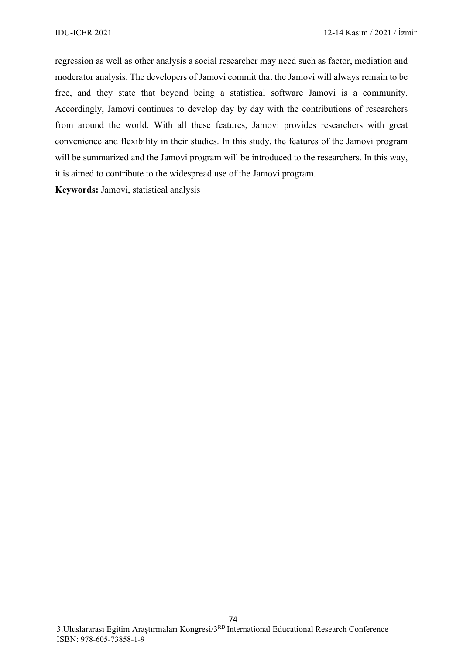regression as well as other analysis a social researcher may need such as factor, mediation and moderator analysis. The developers of Jamovi commit that the Jamovi will always remain to be free, and they state that beyond being a statistical software Jamovi is a community. Accordingly, Jamovi continues to develop day by day with the contributions of researchers from around the world. With all these features, Jamovi provides researchers with great convenience and flexibility in their studies. In this study, the features of the Jamovi program will be summarized and the Jamovi program will be introduced to the researchers. In this way, it is aimed to contribute to the widespread use of the Jamovi program.

**Keywords:** Jamovi, statistical analysis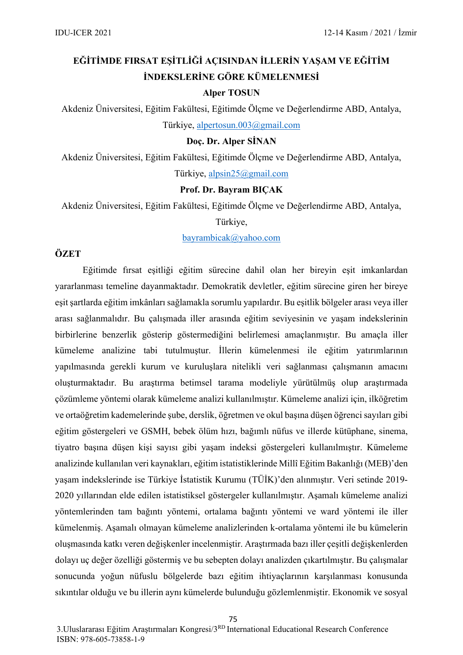# **EĞİTİMDE FIRSAT EŞİTLİĞİ AÇISINDAN İLLERİN YAŞAM VE EĞİTİM İNDEKSLERİNE GÖRE KÜMELENMESİ**

### **Alper TOSUN**

Akdeniz Üniversitesi, Eğitim Fakültesi, Eğitimde Ölçme ve Değerlendirme ABD, Antalya,

Türkiye, [alpertosun.003@gmail.com](mailto:alpertosun.003@gmail.com)

### **Doç. Dr. Alper SİNAN**

Akdeniz Üniversitesi, Eğitim Fakültesi, Eğitimde Ölçme ve Değerlendirme ABD, Antalya, Türkiye, [alpsin25@gmail.com](mailto:alpsin25@gmail.com)

#### **Prof. Dr. Bayram BIÇAK**

Akdeniz Üniversitesi, Eğitim Fakültesi, Eğitimde Ölçme ve Değerlendirme ABD, Antalya,

#### Türkiye,

[bayrambicak@yahoo.com](mailto:bayrambicak@yahoo.com)

### **ÖZET**

Eğitimde fırsat eşitliği eğitim sürecine dahil olan her bireyin eşit imkanlardan yararlanması temeline dayanmaktadır. Demokratik devletler, eğitim sürecine giren her bireye eşit şartlarda eğitim imkânları sağlamakla sorumlu yapılardır. Bu eşitlik bölgeler arası veya iller arası sağlanmalıdır. Bu çalışmada iller arasında eğitim seviyesinin ve yaşam indekslerinin birbirlerine benzerlik gösterip göstermediğini belirlemesi amaçlanmıştır. Bu amaçla iller kümeleme analizine tabi tutulmuştur. İllerin kümelenmesi ile eğitim yatırımlarının yapılmasında gerekli kurum ve kuruluşlara nitelikli veri sağlanması çalışmanın amacını oluşturmaktadır. Bu araştırma betimsel tarama modeliyle yürütülmüş olup araştırmada çözümleme yöntemi olarak kümeleme analizi kullanılmıştır. Kümeleme analizi için, ilköğretim ve ortaöğretim kademelerinde şube, derslik, öğretmen ve okul başına düşen öğrenci sayıları gibi eğitim göstergeleri ve GSMH, bebek ölüm hızı, bağımlı nüfus ve illerde kütüphane, sinema, tiyatro başına düşen kişi sayısı gibi yaşam indeksi göstergeleri kullanılmıştır. Kümeleme analizinde kullanılan veri kaynakları, eğitim istatistiklerinde Millî Eğitim Bakanlığı (MEB)'den yaşam indekslerinde ise Türkiye İstatistik Kurumu (TÜİK)'den alınmıştır. Veri setinde 2019- 2020 yıllarından elde edilen istatistiksel göstergeler kullanılmıştır. Aşamalı kümeleme analizi yöntemlerinden tam bağıntı yöntemi, ortalama bağıntı yöntemi ve ward yöntemi ile iller kümelenmiş. Aşamalı olmayan kümeleme analizlerinden k-ortalama yöntemi ile bu kümelerin oluşmasında katkı veren değişkenler incelenmiştir. Araştırmada bazı iller çeşitli değişkenlerden dolayı uç değer özelliği göstermiş ve bu sebepten dolayı analizden çıkartılmıştır. Bu çalışmalar sonucunda yoğun nüfuslu bölgelerde bazı eğitim ihtiyaçlarının karşılanması konusunda sıkıntılar olduğu ve bu illerin aynı kümelerde bulunduğu gözlemlenmiştir. Ekonomik ve sosyal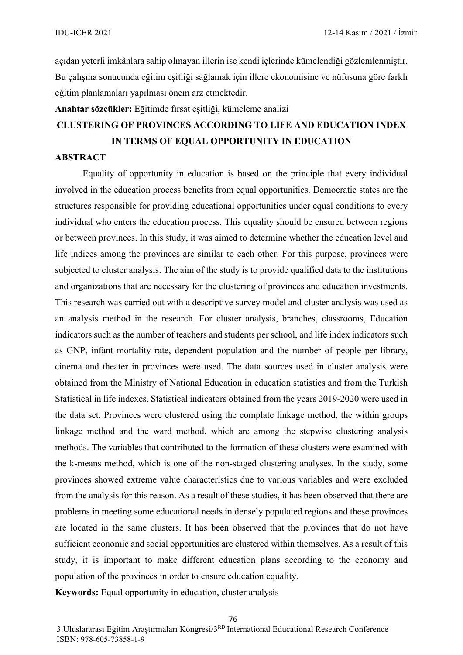açıdan yeterli imkânlara sahip olmayan illerin ise kendi içlerinde kümelendiği gözlemlenmiştir. Bu çalışma sonucunda eğitim eşitliği sağlamak için illere ekonomisine ve nüfusuna göre farklı eğitim planlamaları yapılması önem arz etmektedir.

**Anahtar sözcükler:** Eğitimde fırsat eşitliği, kümeleme analizi

# **CLUSTERING OF PROVINCES ACCORDING TO LIFE AND EDUCATION INDEX IN TERMS OF EQUAL OPPORTUNITY IN EDUCATION**

#### **ABSTRACT**

Equality of opportunity in education is based on the principle that every individual involved in the education process benefits from equal opportunities. Democratic states are the structures responsible for providing educational opportunities under equal conditions to every individual who enters the education process. This equality should be ensured between regions or between provinces. In this study, it was aimed to determine whether the education level and life indices among the provinces are similar to each other. For this purpose, provinces were subjected to cluster analysis. The aim of the study is to provide qualified data to the institutions and organizations that are necessary for the clustering of provinces and education investments. This research was carried out with a descriptive survey model and cluster analysis was used as an analysis method in the research. For cluster analysis, branches, classrooms, Education indicators such as the number of teachers and students per school, and life index indicators such as GNP, infant mortality rate, dependent population and the number of people per library, cinema and theater in provinces were used. The data sources used in cluster analysis were obtained from the Ministry of National Education in education statistics and from the Turkish Statistical in life indexes. Statistical indicators obtained from the years 2019-2020 were used in the data set. Provinces were clustered using the complate linkage method, the within groups linkage method and the ward method, which are among the stepwise clustering analysis methods. The variables that contributed to the formation of these clusters were examined with the k-means method, which is one of the non-staged clustering analyses. In the study, some provinces showed extreme value characteristics due to various variables and were excluded from the analysis for this reason. As a result of these studies, it has been observed that there are problems in meeting some educational needs in densely populated regions and these provinces are located in the same clusters. It has been observed that the provinces that do not have sufficient economic and social opportunities are clustered within themselves. As a result of this study, it is important to make different education plans according to the economy and population of the provinces in order to ensure education equality.

**Keywords:** Equal opportunity in education, cluster analysis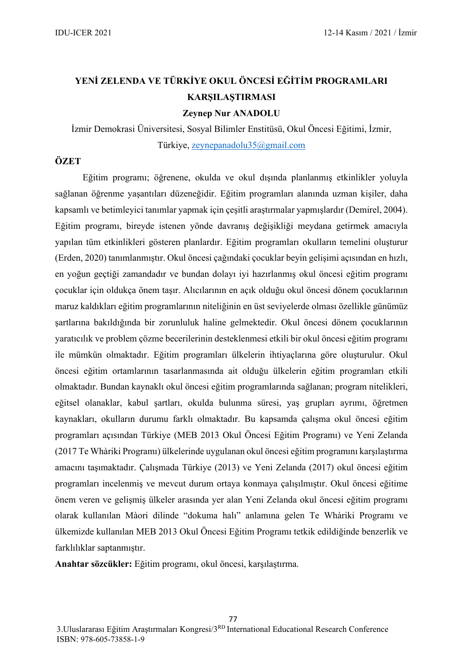# **YENİ ZELENDA VE TÜRKİYE OKUL ÖNCESİ EĞİTİM PROGRAMLARI KARŞILAŞTIRMASI**

**Zeynep Nur ANADOLU**

İzmir Demokrasi Üniversitesi, Sosyal Bilimler Enstitüsü, Okul Öncesi Eğitimi, İzmir, Türkiye, [zeynepanadolu35@gmail.com](mailto:zeynepanadolu35@gmail.com)

## **ÖZET**

Eğitim programı; öğrenene, okulda ve okul dışında planlanmış etkinlikler yoluyla sağlanan öğrenme yaşantıları düzeneğidir. Eğitim programları alanında uzman kişiler, daha kapsamlı ve betimleyici tanımlar yapmak için çeşitli araştırmalar yapmışlardır (Demirel, 2004). Eğitim programı, bireyde istenen yönde davranış değişikliği meydana getirmek amacıyla yapılan tüm etkinlikleri gösteren planlardır. Eğitim programları okulların temelini oluşturur (Erden, 2020) tanımlanmıştır. Okul öncesi çağındaki çocuklar beyin gelişimi açısından en hızlı, en yoğun geçtiği zamandadır ve bundan dolayı iyi hazırlanmış okul öncesi eğitim programı çocuklar için oldukça önem taşır. Alıcılarının en açık olduğu okul öncesi dönem çocuklarının maruz kaldıkları eğitim programlarının niteliğinin en üst seviyelerde olması özellikle günümüz şartlarına bakıldığında bir zorunluluk haline gelmektedir. Okul öncesi dönem çocuklarının yaratıcılık ve problem çözme becerilerinin desteklenmesi etkili bir okul öncesi eğitim programı ile mümkün olmaktadır. Eğitim programları ülkelerin ihtiyaçlarına göre oluşturulur. Okul öncesi eğitim ortamlarının tasarlanmasında ait olduğu ülkelerin eğitim programları etkili olmaktadır. Bundan kaynaklı okul öncesi eğitim programlarında sağlanan; program nitelikleri, eğitsel olanaklar, kabul şartları, okulda bulunma süresi, yaş grupları ayrımı, öğretmen kaynakları, okulların durumu farklı olmaktadır. Bu kapsamda çalışma okul öncesi eğitim programları açısından Türkiye (MEB 2013 Okul Öncesi Eğitim Programı) ve Yeni Zelanda (2017 Te Whàriki Programı) ülkelerinde uygulanan okul öncesi eğitim programını karşılaştırma amacını taşımaktadır. Çalışmada Türkiye (2013) ve Yeni Zelanda (2017) okul öncesi eğitim programları incelenmiş ve mevcut durum ortaya konmaya çalışılmıştır. Okul öncesi eğitime önem veren ve gelişmiş ülkeler arasında yer alan Yeni Zelanda okul öncesi eğitim programı olarak kullanılan Màori dilinde "dokuma halı" anlamına gelen Te Whàriki Programı ve ülkemizde kullanılan MEB 2013 Okul Öncesi Eğitim Programı tetkik edildiğinde benzerlik ve farklılıklar saptanmıştır.

**Anahtar sözcükler:** Eğitim programı, okul öncesi, karşılaştırma.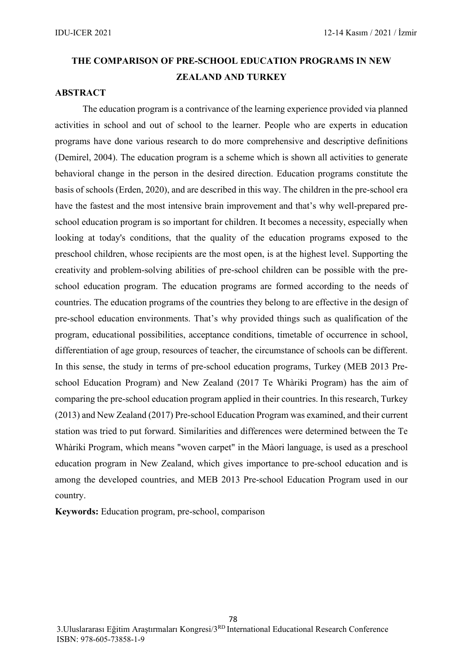# **THE COMPARISON OF PRE-SCHOOL EDUCATION PROGRAMS IN NEW ZEALAND AND TURKEY**

### **ABSTRACT**

The education program is a contrivance of the learning experience provided via planned activities in school and out of school to the learner. People who are experts in education programs have done various research to do more comprehensive and descriptive definitions (Demirel, 2004). The education program is a scheme which is shown all activities to generate behavioral change in the person in the desired direction. Education programs constitute the basis of schools (Erden, 2020), and are described in this way. The children in the pre-school era have the fastest and the most intensive brain improvement and that's why well-prepared preschool education program is so important for children. It becomes a necessity, especially when looking at today's conditions, that the quality of the education programs exposed to the preschool children, whose recipients are the most open, is at the highest level. Supporting the creativity and problem-solving abilities of pre-school children can be possible with the preschool education program. The education programs are formed according to the needs of countries. The education programs of the countries they belong to are effective in the design of pre-school education environments. That's why provided things such as qualification of the program, educational possibilities, acceptance conditions, timetable of occurrence in school, differentiation of age group, resources of teacher, the circumstance of schools can be different. In this sense, the study in terms of pre-school education programs, Turkey (MEB 2013 Preschool Education Program) and New Zealand (2017 Te Whàriki Program) has the aim of comparing the pre-school education program applied in their countries. In this research, Turkey (2013) and New Zealand (2017) Pre-school Education Program was examined, and their current station was tried to put forward. Similarities and differences were determined between the Te Whàriki Program, which means "woven carpet" in the Màori language, is used as a preschool education program in New Zealand, which gives importance to pre-school education and is among the developed countries, and MEB 2013 Pre-school Education Program used in our country.

**Keywords:** Education program, pre-school, comparison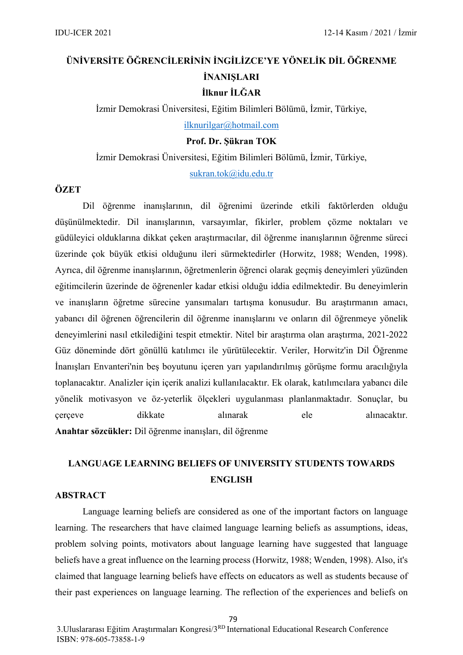# **ÜNİVERSİTE ÖĞRENCİLERİNİN İNGİLİZCE'YE YÖNELİK DİL ÖĞRENME İNANIŞLARI İlknur İLĞAR**

İzmir Demokrasi Üniversitesi, Eğitim Bilimleri Bölümü, İzmir, Türkiye,

[ilknurilgar@hotmail.com](mailto:ilknurilgar@hotmail.com)

#### **Prof. Dr. Şükran TOK**

İzmir Demokrasi Üniversitesi, Eğitim Bilimleri Bölümü, İzmir, Türkiye[,](mailto:sukran.tok@idu.edu.tr)

[sukran.tok@idu.edu.tr](mailto:sukran.tok@idu.edu.tr)

### **ÖZET**

Dil öğrenme inanışlarının, dil öğrenimi üzerinde etkili faktörlerden olduğu düşünülmektedir. Dil inanışlarının, varsayımlar, fikirler, problem çözme noktaları ve güdüleyici olduklarına dikkat çeken araştırmacılar, dil öğrenme inanışlarının öğrenme süreci üzerinde çok büyük etkisi olduğunu ileri sürmektedirler (Horwitz, 1988; Wenden, 1998). Ayrıca, dil öğrenme inanışlarının, öğretmenlerin öğrenci olarak geçmiş deneyimleri yüzünden eğitimcilerin üzerinde de öğrenenler kadar etkisi olduğu iddia edilmektedir. Bu deneyimlerin ve inanışların öğretme sürecine yansımaları tartışma konusudur. Bu araştırmanın amacı, yabancı dil öğrenen öğrencilerin dil öğrenme inanışlarını ve onların dil öğrenmeye yönelik deneyimlerini nasıl etkilediğini tespit etmektir. Nitel bir araştırma olan araştırma, 2021-2022 Güz döneminde dört gönüllü katılımcı ile yürütülecektir. Veriler, Horwitz'in Dil Öğrenme İnanışları Envanteri'nin beş boyutunu içeren yarı yapılandırılmış görüşme formu aracılığıyla toplanacaktır. Analizler için içerik analizi kullanılacaktır. Ek olarak, katılımcılara yabancı dile yönelik motivasyon ve öz-yeterlik ölçekleri uygulanması planlanmaktadır. Sonuçlar, bu çerçeve dikkate alınarak ele alınacaktır. **Anahtar sözcükler:** Dil öğrenme inanışları, dil öğrenme

# **LANGUAGE LEARNING BELIEFS OF UNIVERSITY STUDENTS TOWARDS ENGLISH**

#### **ABSTRACT**

Language learning beliefs are considered as one of the important factors on language learning. The researchers that have claimed language learning beliefs as assumptions, ideas, problem solving points, motivators about language learning have suggested that language beliefs have a great influence on the learning process (Horwitz, 1988; Wenden, 1998). Also, it's claimed that language learning beliefs have effects on educators as well as students because of their past experiences on language learning. The reflection of the experiences and beliefs on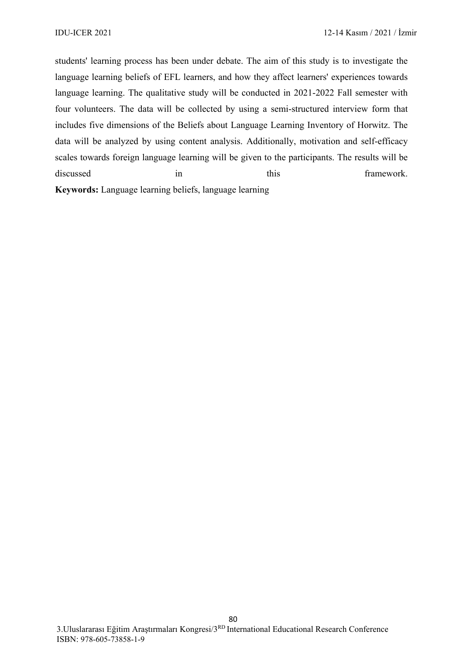students' learning process has been under debate. The aim of this study is to investigate the language learning beliefs of EFL learners, and how they affect learners' experiences towards language learning. The qualitative study will be conducted in 2021-2022 Fall semester with four volunteers. The data will be collected by using a semi-structured interview form that includes five dimensions of the Beliefs about Language Learning Inventory of Horwitz. The data will be analyzed by using content analysis. Additionally, motivation and self-efficacy scales towards foreign language learning will be given to the participants. The results will be discussed in this this framework. **Keywords:** Language learning beliefs, language learning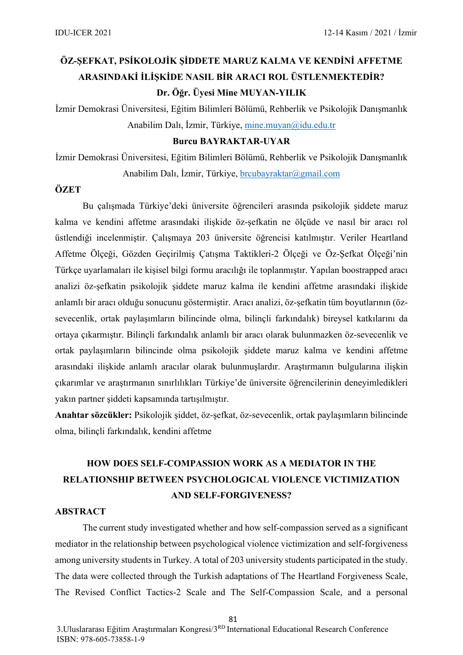# **ÖZ-ŞEFKAT, PSİKOLOJİK ŞİDDETE MARUZ KALMA VE KENDİNİ AFFETME ARASINDAKİ İLİŞKİDE NASIL BİR ARACI ROL ÜSTLENMEKTEDİR? Dr. Öğr. Üyesi Mine MUYAN-YILIK**

İzmir Demokrasi Üniversitesi, Eğitim Bilimleri Bölümü, Rehberlik ve Psikolojik Danışmanlık Anabilim Dalı, İzmir, Türkiye, [mine.muyan@idu.edu.tr](mailto:mine.muyan@idu.edu.tr)

### **Burcu BAYRAKTAR-UYAR**

İzmir Demokrasi Üniversitesi, Eğitim Bilimleri Bölümü, Rehberlik ve Psikolojik Danışmanlık Anabilim Dalı, İzmir, Türkiye, brcubayraktar $\omega$ gmail.com

#### **ÖZET**

Bu çalışmada Türkiye'deki üniversite öğrencileri arasında psikolojik şiddete maruz kalma ve kendini affetme arasındaki ilişkide öz-şefkatin ne ölçüde ve nasıl bir aracı rol üstlendiği incelenmiştir. Çalışmaya 203 üniversite öğrencisi katılmıştır. Veriler Heartland Affetme Ölçeği, Gözden Geçirilmiş Çatışma Taktikleri-2 Ölçeği ve Öz-Şefkat Ölçeği'nin Türkçe uyarlamaları ile kişisel bilgi formu aracılığı ile toplanmıştır. Yapılan boostrapped aracı analizi öz-şefkatin psikolojik şiddete maruz kalma ile kendini affetme arasındaki ilişkide anlamlı bir aracı olduğu sonucunu göstermiştir. Aracı analizi, öz-şefkatin tüm boyutlarının (özsevecenlik, ortak paylaşımların bilincinde olma, bilinçli farkındalık) bireysel katkılarını da ortaya çıkarmıştır. Bilinçli farkındalık anlamlı bir aracı olarak bulunmazken öz-sevecenlik ve ortak paylaşımların bilincinde olma psikolojik şiddete maruz kalma ve kendini affetme arasındaki ilişkide anlamlı aracılar olarak bulunmuşlardır. Araştırmanın bulgularına ilişkin çıkarımlar ve araştırmanın sınırlılıkları Türkiye'de üniversite öğrencilerinin deneyimledikleri yakın partner şiddeti kapsamında tartışılmıştır.

**Anahtar sözcükler:** Psikolojik şiddet, öz-şefkat, öz-sevecenlik, ortak paylaşımların bilincinde olma, bilinçli farkındalık, kendini affetme

# **HOW DOES SELF-COMPASSION WORK AS A MEDIATOR IN THE RELATIONSHIP BETWEEN PSYCHOLOGICAL VIOLENCE VICTIMIZATION AND SELF-FORGIVENESS?**

#### **ABSTRACT**

The current study investigated whether and how self-compassion served as a significant mediator in the relationship between psychological violence victimization and self-forgiveness among university students in Turkey. A total of 203 university students participated in the study. The data were collected through the Turkish adaptations of The Heartland Forgiveness Scale, The Revised Conflict Tactics-2 Scale and The Self-Compassion Scale, and a personal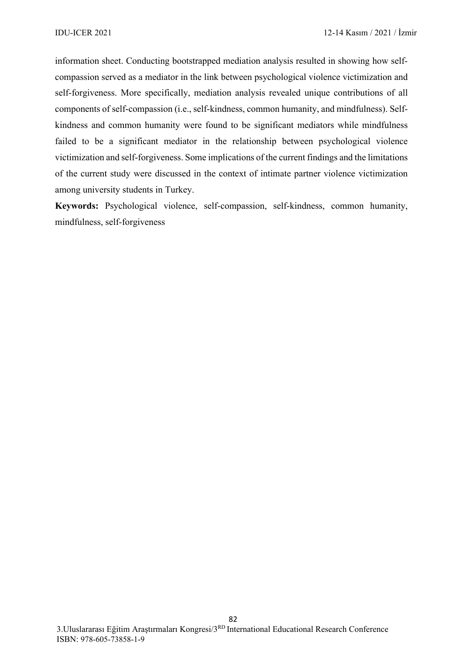information sheet. Conducting bootstrapped mediation analysis resulted in showing how selfcompassion served as a mediator in the link between psychological violence victimization and self-forgiveness. More specifically, mediation analysis revealed unique contributions of all components of self-compassion (i.e., self-kindness, common humanity, and mindfulness). Selfkindness and common humanity were found to be significant mediators while mindfulness failed to be a significant mediator in the relationship between psychological violence victimization and self-forgiveness. Some implications of the current findings and the limitations of the current study were discussed in the context of intimate partner violence victimization among university students in Turkey.

**Keywords:** Psychological violence, self-compassion, self-kindness, common humanity, mindfulness, self-forgiveness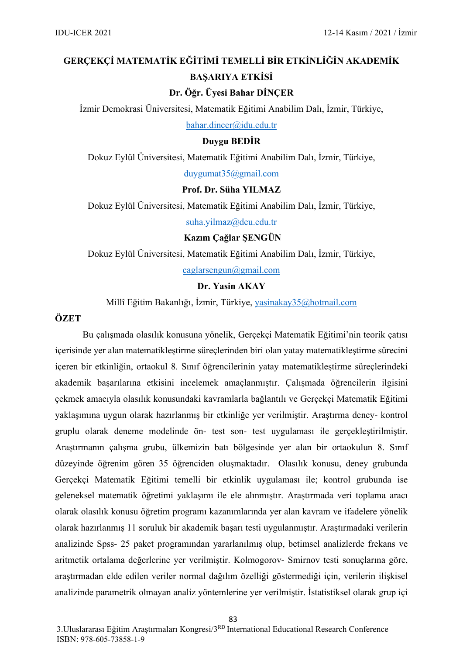# **GERÇEKÇİ MATEMATİK EĞİTİMİ TEMELLİ BİR ETKİNLİĞİN AKADEMİK BAŞARIYA ETKİSİ**

### **Dr. Öğr. Üyesi Bahar DİNÇER**

İzmir Demokrasi Üniversitesi, Matematik Eğitimi Anabilim Dalı, İzmir, Türkiye,

[bahar.dincer@idu.edu.tr](mailto:bahar.dincer@idu.edu.tr)

### **Duygu BEDİR**

Dokuz Eylül Üniversitesi, Matematik Eğitimi Anabilim Dalı, İzmir, Türkiye,

[duygumat35@gmail.com](mailto:duygumat35@gmail.com)

#### **Prof. Dr. Süha YILMAZ**

Dokuz Eylül Üniversitesi, Matematik Eğitimi Anabilim Dalı, İzmir, Türkiye,

[suha.yilmaz@deu.edu.tr](mailto:suha.yilmaz@deu.edu.tr)

#### **Kazım Çağlar ŞENGÜN**

Dokuz Eylül Üniversitesi, Matematik Eğitimi Anabilim Dalı, İzmir, Türkiye, [caglarsengun@gmail.com](mailto:caglarsengun@gmail.com)

#### **Dr. Yasin AKAY**

Millî Eğitim Bakanlığı, İzmir, Türkiye, [yasinakay35@hotmail.com](mailto:yasinakay35@hotmail.com)

### **ÖZET**

Bu çalışmada olasılık konusuna yönelik, Gerçekçi Matematik Eğitimi'nin teorik çatısı içerisinde yer alan matematikleştirme süreçlerinden biri olan yatay matematikleştirme sürecini içeren bir etkinliğin, ortaokul 8. Sınıf öğrencilerinin yatay matematikleştirme süreçlerindeki akademik başarılarına etkisini incelemek amaçlanmıştır. Çalışmada öğrencilerin ilgisini çekmek amacıyla olasılık konusundaki kavramlarla bağlantılı ve Gerçekçi Matematik Eğitimi yaklaşımına uygun olarak hazırlanmış bir etkinliğe yer verilmiştir. Araştırma deney- kontrol gruplu olarak deneme modelinde ön- test son- test uygulaması ile gerçekleştirilmiştir. Araştırmanın çalışma grubu, ülkemizin batı bölgesinde yer alan bir ortaokulun 8. Sınıf düzeyinde öğrenim gören 35 öğrenciden oluşmaktadır. Olasılık konusu, deney grubunda Gerçekçi Matematik Eğitimi temelli bir etkinlik uygulaması ile; kontrol grubunda ise geleneksel matematik öğretimi yaklaşımı ile ele alınmıştır. Araştırmada veri toplama aracı olarak olasılık konusu öğretim programı kazanımlarında yer alan kavram ve ifadelere yönelik olarak hazırlanmış 11 soruluk bir akademik başarı testi uygulanmıştır. Araştırmadaki verilerin analizinde Spss- 25 paket programından yararlanılmış olup, betimsel analizlerde frekans ve aritmetik ortalama değerlerine yer verilmiştir. Kolmogorov- Smirnov testi sonuçlarına göre, araştırmadan elde edilen veriler normal dağılım özelliği göstermediği için, verilerin ilişkisel analizinde parametrik olmayan analiz yöntemlerine yer verilmiştir. İstatistiksel olarak grup içi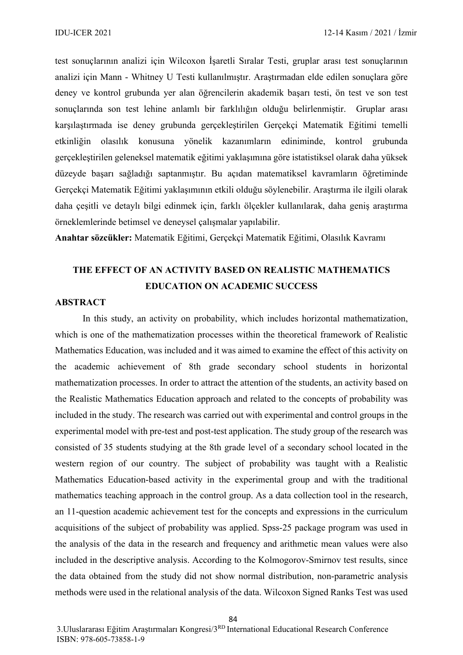test sonuçlarının analizi için Wilcoxon İşaretli Sıralar Testi, gruplar arası test sonuçlarının analizi için Mann - Whitney U Testi kullanılmıştır. Araştırmadan elde edilen sonuçlara göre deney ve kontrol grubunda yer alan öğrencilerin akademik başarı testi, ön test ve son test sonuçlarında son test lehine anlamlı bir farklılığın olduğu belirlenmiştir. Gruplar arası karşılaştırmada ise deney grubunda gerçekleştirilen Gerçekçi Matematik Eğitimi temelli etkinliğin olasılık konusuna yönelik kazanımların ediniminde, kontrol grubunda gerçekleştirilen geleneksel matematik eğitimi yaklaşımına göre istatistiksel olarak daha yüksek düzeyde başarı sağladığı saptanmıştır. Bu açıdan matematiksel kavramların öğretiminde Gerçekçi Matematik Eğitimi yaklaşımının etkili olduğu söylenebilir. Araştırma ile ilgili olarak daha çeşitli ve detaylı bilgi edinmek için, farklı ölçekler kullanılarak, daha geniş araştırma örneklemlerinde betimsel ve deneysel çalışmalar yapılabilir.

**Anahtar sözcükler:** Matematik Eğitimi, Gerçekçi Matematik Eğitimi, Olasılık Kavramı

# **THE EFFECT OF AN ACTIVITY BASED ON REALISTIC MATHEMATICS EDUCATION ON ACADEMIC SUCCESS**

#### **ABSTRACT**

In this study, an activity on probability, which includes horizontal mathematization, which is one of the mathematization processes within the theoretical framework of Realistic Mathematics Education, was included and it was aimed to examine the effect of this activity on the academic achievement of 8th grade secondary school students in horizontal mathematization processes. In order to attract the attention of the students, an activity based on the Realistic Mathematics Education approach and related to the concepts of probability was included in the study. The research was carried out with experimental and control groups in the experimental model with pre-test and post-test application. The study group of the research was consisted of 35 students studying at the 8th grade level of a secondary school located in the western region of our country. The subject of probability was taught with a Realistic Mathematics Education-based activity in the experimental group and with the traditional mathematics teaching approach in the control group. As a data collection tool in the research, an 11-question academic achievement test for the concepts and expressions in the curriculum acquisitions of the subject of probability was applied. Spss-25 package program was used in the analysis of the data in the research and frequency and arithmetic mean values were also included in the descriptive analysis. According to the Kolmogorov-Smirnov test results, since the data obtained from the study did not show normal distribution, non-parametric analysis methods were used in the relational analysis of the data. Wilcoxon Signed Ranks Test was used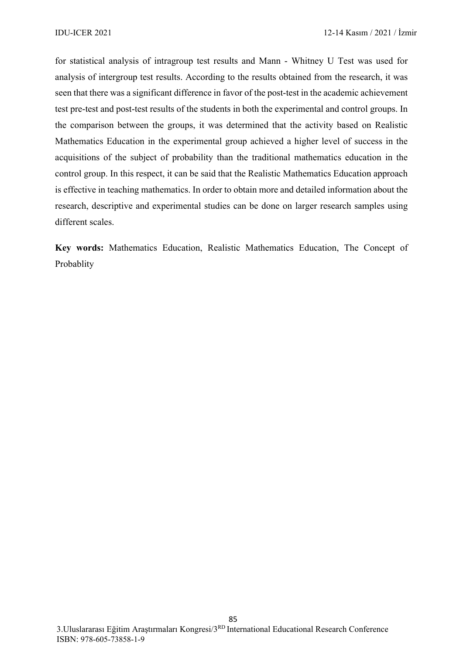for statistical analysis of intragroup test results and Mann - Whitney U Test was used for analysis of intergroup test results. According to the results obtained from the research, it was seen that there was a significant difference in favor of the post-test in the academic achievement test pre-test and post-test results of the students in both the experimental and control groups. In the comparison between the groups, it was determined that the activity based on Realistic Mathematics Education in the experimental group achieved a higher level of success in the acquisitions of the subject of probability than the traditional mathematics education in the control group. In this respect, it can be said that the Realistic Mathematics Education approach is effective in teaching mathematics. In order to obtain more and detailed information about the research, descriptive and experimental studies can be done on larger research samples using different scales.

**Key words:** Mathematics Education, Realistic Mathematics Education, The Concept of Probablity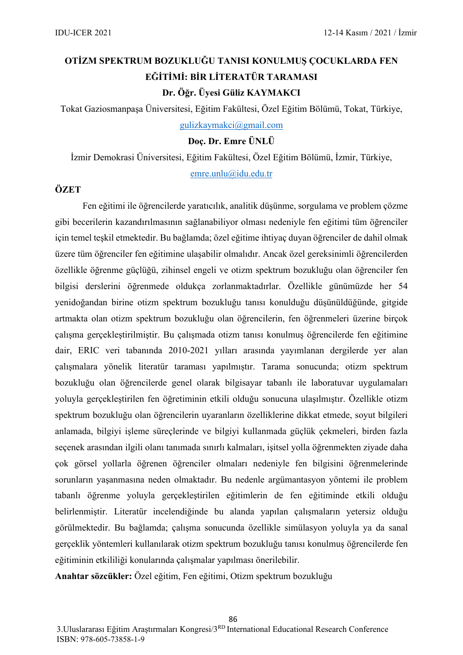# **OTİZM SPEKTRUM BOZUKLUĞU TANISI KONULMUŞ ÇOCUKLARDA FEN EĞİTİMİ: BİR LİTERATÜR TARAMASI Dr. Öğr. Üyesi Güliz KAYMAKCI**

Tokat Gaziosmanpaşa Üniversitesi, Eğitim Fakültesi, Özel Eğitim Bölümü, Tokat, Türkiye,

[gulizkaymakci@gmail.com](mailto:gulizkaymakci@gmail.com)

**Doç. Dr. Emre ÜNLÜ**

İzmir Demokrasi Üniversitesi, Eğitim Fakültesi, Özel Eğitim Bölümü, İzmir, Türkiye,

[emre.unlu@idu.edu.tr](mailto:emre.unlu@idu.edu.tr)

### **ÖZET**

Fen eğitimi ile öğrencilerde yaratıcılık, analitik düşünme, sorgulama ve problem çözme gibi becerilerin kazandırılmasının sağlanabiliyor olması nedeniyle fen eğitimi tüm öğrenciler için temel teşkil etmektedir. Bu bağlamda; özel eğitime ihtiyaç duyan öğrenciler de dahil olmak üzere tüm öğrenciler fen eğitimine ulaşabilir olmalıdır. Ancak özel gereksinimli öğrencilerden özellikle öğrenme güçlüğü, zihinsel engeli ve otizm spektrum bozukluğu olan öğrenciler fen bilgisi derslerini öğrenmede oldukça zorlanmaktadırlar. Özellikle günümüzde her 54 yenidoğandan birine otizm spektrum bozukluğu tanısı konulduğu düşünüldüğünde, gitgide artmakta olan otizm spektrum bozukluğu olan öğrencilerin, fen öğrenmeleri üzerine birçok çalışma gerçekleştirilmiştir. Bu çalışmada otizm tanısı konulmuş öğrencilerde fen eğitimine dair, ERIC veri tabanında 2010-2021 yılları arasında yayımlanan dergilerde yer alan çalışmalara yönelik literatür taraması yapılmıştır. Tarama sonucunda; otizm spektrum bozukluğu olan öğrencilerde genel olarak bilgisayar tabanlı ile laboratuvar uygulamaları yoluyla gerçekleştirilen fen öğretiminin etkili olduğu sonucuna ulaşılmıştır. Özellikle otizm spektrum bozukluğu olan öğrencilerin uyaranların özelliklerine dikkat etmede, soyut bilgileri anlamada, bilgiyi işleme süreçlerinde ve bilgiyi kullanmada güçlük çekmeleri, birden fazla seçenek arasından ilgili olanı tanımada sınırlı kalmaları, işitsel yolla öğrenmekten ziyade daha çok görsel yollarla öğrenen öğrenciler olmaları nedeniyle fen bilgisini öğrenmelerinde sorunların yaşanmasına neden olmaktadır. Bu nedenle argümantasyon yöntemi ile problem tabanlı öğrenme yoluyla gerçekleştirilen eğitimlerin de fen eğitiminde etkili olduğu belirlenmiştir. Literatür incelendiğinde bu alanda yapılan çalışmaların yetersiz olduğu görülmektedir. Bu bağlamda; çalışma sonucunda özellikle simülasyon yoluyla ya da sanal gerçeklik yöntemleri kullanılarak otizm spektrum bozukluğu tanısı konulmuş öğrencilerde fen eğitiminin etkililiği konularında çalışmalar yapılması önerilebilir.

**Anahtar sözcükler:** Özel eğitim, Fen eğitimi, Otizm spektrum bozukluğu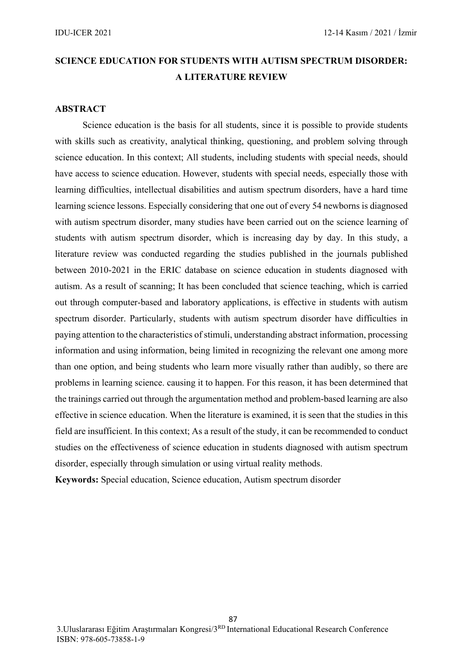# **SCIENCE EDUCATION FOR STUDENTS WITH AUTISM SPECTRUM DISORDER: A LITERATURE REVIEW**

#### **ABSTRACT**

Science education is the basis for all students, since it is possible to provide students with skills such as creativity, analytical thinking, questioning, and problem solving through science education. In this context; All students, including students with special needs, should have access to science education. However, students with special needs, especially those with learning difficulties, intellectual disabilities and autism spectrum disorders, have a hard time learning science lessons. Especially considering that one out of every 54 newborns is diagnosed with autism spectrum disorder, many studies have been carried out on the science learning of students with autism spectrum disorder, which is increasing day by day. In this study, a literature review was conducted regarding the studies published in the journals published between 2010-2021 in the ERIC database on science education in students diagnosed with autism. As a result of scanning; It has been concluded that science teaching, which is carried out through computer-based and laboratory applications, is effective in students with autism spectrum disorder. Particularly, students with autism spectrum disorder have difficulties in paying attention to the characteristics of stimuli, understanding abstract information, processing information and using information, being limited in recognizing the relevant one among more than one option, and being students who learn more visually rather than audibly, so there are problems in learning science. causing it to happen. For this reason, it has been determined that the trainings carried out through the argumentation method and problem-based learning are also effective in science education. When the literature is examined, it is seen that the studies in this field are insufficient. In this context; As a result of the study, it can be recommended to conduct studies on the effectiveness of science education in students diagnosed with autism spectrum disorder, especially through simulation or using virtual reality methods.

**Keywords:** Special education, Science education, Autism spectrum disorder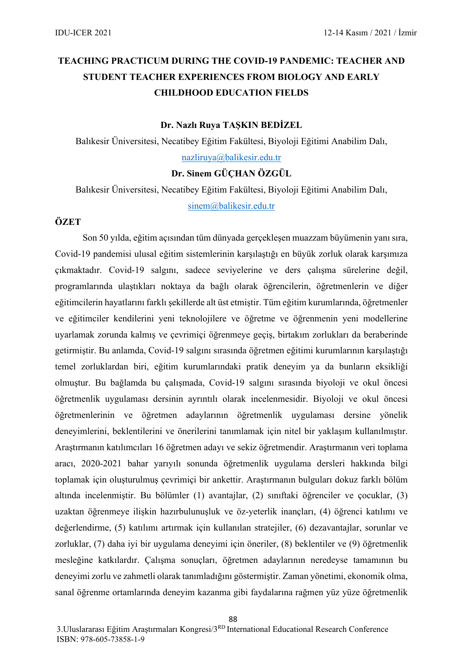# **TEACHING PRACTICUM DURING THE COVID-19 PANDEMIC: TEACHER AND STUDENT TEACHER EXPERIENCES FROM BIOLOGY AND EARLY CHILDHOOD EDUCATION FIELDS**

#### **Dr. Nazlı Ruya TAŞKIN BEDİZEL**

Balıkesir Üniversitesi, Necatibey Eğitim Fakültesi, Biyoloji Eğitimi Anabilim Dalı, [nazliruya@balikesir.edu.tr](mailto:nazliruya@balikesir.edu.tr)

### **Dr. Sinem GÜÇHAN ÖZGÜL**

Balıkesir Üniversitesi, Necatibey Eğitim Fakültesi, Biyoloji Eğitimi Anabilim Dalı, [sinem@balikesir.edu.tr](mailto:sinem@balikesir.edu.tr)

#### **ÖZET**

Son 50 yılda, eğitim açısından tüm dünyada gerçekleşen muazzam büyümenin yanı sıra, Covid-19 pandemisi ulusal eğitim sistemlerinin karşılaştığı en büyük zorluk olarak karşımıza çıkmaktadır. Covid-19 salgını, sadece seviyelerine ve ders çalışma sürelerine değil, programlarında ulaştıkları noktaya da bağlı olarak öğrencilerin, öğretmenlerin ve diğer eğitimcilerin hayatlarını farklı şekillerde alt üst etmiştir. Tüm eğitim kurumlarında, öğretmenler ve eğitimciler kendilerini yeni teknolojilere ve öğretme ve öğrenmenin yeni modellerine uyarlamak zorunda kalmış ve çevrimiçi öğrenmeye geçiş, birtakım zorlukları da beraberinde getirmiştir. Bu anlamda, Covid-19 salgını sırasında öğretmen eğitimi kurumlarının karşılaştığı temel zorluklardan biri, eğitim kurumlarındaki pratik deneyim ya da bunların eksikliği olmuştur. Bu bağlamda bu çalışmada, Covid-19 salgını sırasında biyoloji ve okul öncesi öğretmenlik uygulaması dersinin ayrıntılı olarak incelenmesidir. Biyoloji ve okul öncesi öğretmenlerinin ve öğretmen adaylarının öğretmenlik uygulaması dersine yönelik deneyimlerini, beklentilerini ve önerilerini tanımlamak için nitel bir yaklaşım kullanılmıştır. Araştırmanın katılımcıları 16 öğretmen adayı ve sekiz öğretmendir. Araştırmanın veri toplama aracı, 2020-2021 bahar yarıyılı sonunda öğretmenlik uygulama dersleri hakkında bilgi toplamak için oluşturulmuş çevrimiçi bir ankettir. Araştırmanın bulguları dokuz farklı bölüm altında incelenmiştir. Bu bölümler (1) avantajlar, (2) sınıftaki öğrenciler ve çocuklar, (3) uzaktan öğrenmeye ilişkin hazırbulunuşluk ve öz-yeterlik inançları, (4) öğrenci katılımı ve değerlendirme, (5) katılımı artırmak için kullanılan stratejiler, (6) dezavantajlar, sorunlar ve zorluklar, (7) daha iyi bir uygulama deneyimi için öneriler, (8) beklentiler ve (9) öğretmenlik mesleğine katkılardır. Çalışma sonuçları, öğretmen adaylarının neredeyse tamamının bu deneyimi zorlu ve zahmetli olarak tanımladığını göstermiştir. Zaman yönetimi, ekonomik olma, sanal öğrenme ortamlarında deneyim kazanma gibi faydalarına rağmen yüz yüze öğretmenlik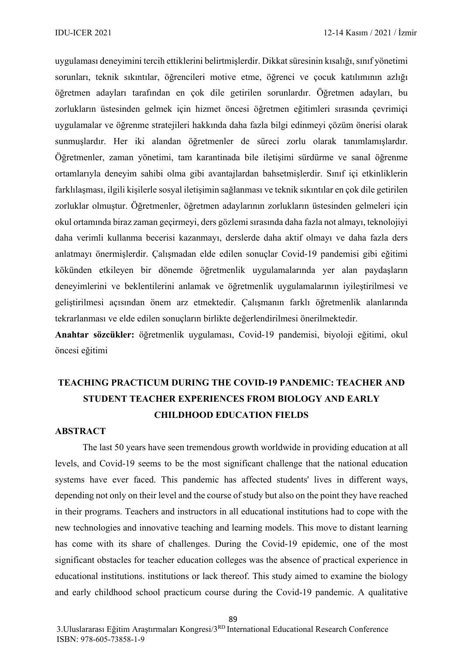uygulaması deneyimini tercih ettiklerini belirtmişlerdir. Dikkat süresinin kısalığı, sınıf yönetimi sorunları, teknik sıkıntılar, öğrencileri motive etme, öğrenci ve çocuk katılımının azlığı öğretmen adayları tarafından en çok dile getirilen sorunlardır. Öğretmen adayları, bu zorlukların üstesinden gelmek için hizmet öncesi öğretmen eğitimleri sırasında çevrimiçi uygulamalar ve öğrenme stratejileri hakkında daha fazla bilgi edinmeyi çözüm önerisi olarak sunmuşlardır. Her iki alandan öğretmenler de süreci zorlu olarak tanımlamışlardır. Öğretmenler, zaman yönetimi, tam karantinada bile iletişimi sürdürme ve sanal öğrenme ortamlarıyla deneyim sahibi olma gibi avantajlardan bahsetmişlerdir. Sınıf içi etkinliklerin farklılaşması, ilgili kişilerle sosyal iletişimin sağlanması ve teknik sıkıntılar en çok dile getirilen zorluklar olmuştur. Öğretmenler, öğretmen adaylarının zorlukların üstesinden gelmeleri için okul ortamında biraz zaman geçirmeyi, ders gözlemi sırasında daha fazla not almayı, teknolojiyi daha verimli kullanma becerisi kazanmayı, derslerde daha aktif olmayı ve daha fazla ders anlatmayı önermişlerdir. Çalışmadan elde edilen sonuçlar Covid-19 pandemisi gibi eğitimi kökünden etkileyen bir dönemde öğretmenlik uygulamalarında yer alan paydaşların deneyimlerini ve beklentilerini anlamak ve öğretmenlik uygulamalarının iyileştirilmesi ve geliştirilmesi açısından önem arz etmektedir. Çalışmanın farklı öğretmenlik alanlarında tekrarlanması ve elde edilen sonuçların birlikte değerlendirilmesi önerilmektedir.

**Anahtar sözcükler:** öğretmenlik uygulaması, Covid-19 pandemisi, biyoloji eğitimi, okul öncesi eğitimi

# **TEACHING PRACTICUM DURING THE COVID-19 PANDEMIC: TEACHER AND STUDENT TEACHER EXPERIENCES FROM BIOLOGY AND EARLY CHILDHOOD EDUCATION FIELDS**

### **ABSTRACT**

The last 50 years have seen tremendous growth worldwide in providing education at all levels, and Covid-19 seems to be the most significant challenge that the national education systems have ever faced. This pandemic has affected students' lives in different ways, depending not only on their level and the course of study but also on the point they have reached in their programs. Teachers and instructors in all educational institutions had to cope with the new technologies and innovative teaching and learning models. This move to distant learning has come with its share of challenges. During the Covid-19 epidemic, one of the most significant obstacles for teacher education colleges was the absence of practical experience in educational institutions. institutions or lack thereof. This study aimed to examine the biology and early childhood school practicum course during the Covid-19 pandemic. A qualitative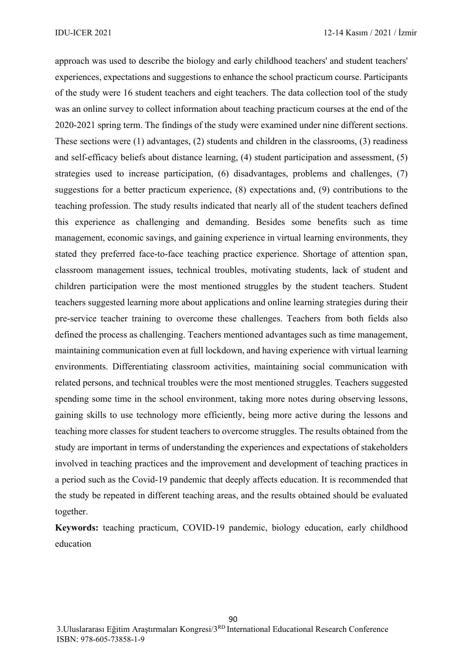approach was used to describe the biology and early childhood teachers' and student teachers' experiences, expectations and suggestions to enhance the school practicum course. Participants of the study were 16 student teachers and eight teachers. The data collection tool of the study was an online survey to collect information about teaching practicum courses at the end of the 2020-2021 spring term. The findings of the study were examined under nine different sections. These sections were (1) advantages, (2) students and children in the classrooms, (3) readiness and self-efficacy beliefs about distance learning, (4) student participation and assessment, (5) strategies used to increase participation, (6) disadvantages, problems and challenges, (7) suggestions for a better practicum experience, (8) expectations and, (9) contributions to the teaching profession. The study results indicated that nearly all of the student teachers defined this experience as challenging and demanding. Besides some benefits such as time management, economic savings, and gaining experience in virtual learning environments, they stated they preferred face-to-face teaching practice experience. Shortage of attention span, classroom management issues, technical troubles, motivating students, lack of student and children participation were the most mentioned struggles by the student teachers. Student teachers suggested learning more about applications and online learning strategies during their pre-service teacher training to overcome these challenges. Teachers from both fields also defined the process as challenging. Teachers mentioned advantages such as time management, maintaining communication even at full lockdown, and having experience with virtual learning environments. Differentiating classroom activities, maintaining social communication with related persons, and technical troubles were the most mentioned struggles. Teachers suggested spending some time in the school environment, taking more notes during observing lessons, gaining skills to use technology more efficiently, being more active during the lessons and teaching more classes for student teachers to overcome struggles. The results obtained from the study are important in terms of understanding the experiences and expectations of stakeholders involved in teaching practices and the improvement and development of teaching practices in a period such as the Covid-19 pandemic that deeply affects education. It is recommended that the study be repeated in different teaching areas, and the results obtained should be evaluated together.

**Keywords:** teaching practicum, COVID-19 pandemic, biology education, early childhood education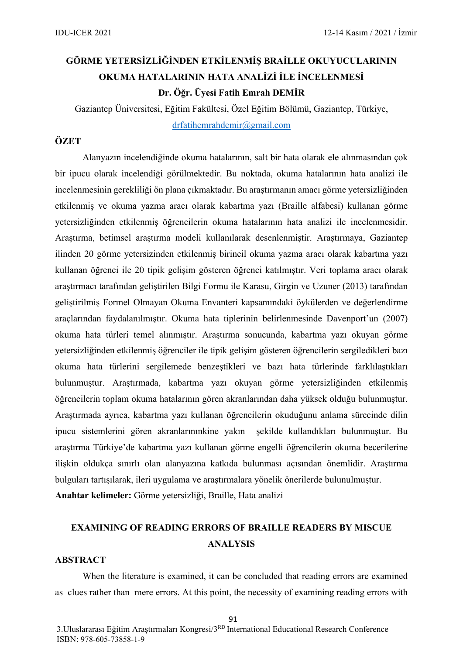# **GÖRME YETERSİZLİĞİNDEN ETKİLENMİŞ BRAİLLE OKUYUCULARININ OKUMA HATALARININ HATA ANALİZİ İLE İNCELENMESİ Dr. Öğr. Üyesi Fatih Emrah DEMİR**

Gaziantep Üniversitesi, Eğitim Fakültesi, Özel Eğitim Bölümü, Gaziantep, Türkiye, [drfatihemrahdemir@gmail.com](mailto:drfatihemrahdemir@gmail.com)

## **ÖZET**

Alanyazın incelendiğinde okuma hatalarının, salt bir hata olarak ele alınmasından çok bir ipucu olarak incelendiği görülmektedir. Bu noktada, okuma hatalarının hata analizi ile incelenmesinin gerekliliği ön plana çıkmaktadır. Bu araştırmanın amacı görme yetersizliğinden etkilenmiş ve okuma yazma aracı olarak kabartma yazı (Braille alfabesi) kullanan görme yetersizliğinden etkilenmiş öğrencilerin okuma hatalarının hata analizi ile incelenmesidir. Araştırma, betimsel araştırma modeli kullanılarak desenlenmiştir. Araştırmaya, Gaziantep ilinden 20 görme yetersizinden etkilenmiş birincil okuma yazma aracı olarak kabartma yazı kullanan öğrenci ile 20 tipik gelişim gösteren öğrenci katılmıştır. Veri toplama aracı olarak araştırmacı tarafından geliştirilen Bilgi Formu ile Karasu, Girgin ve Uzuner (2013) tarafından geliştirilmiş Formel Olmayan Okuma Envanteri kapsamındaki öykülerden ve değerlendirme araçlarından faydalanılmıştır. Okuma hata tiplerinin belirlenmesinde Davenport'un (2007) okuma hata türleri temel alınmıştır. Araştırma sonucunda, kabartma yazı okuyan görme yetersizliğinden etkilenmiş öğrenciler ile tipik gelişim gösteren öğrencilerin sergiledikleri bazı okuma hata türlerini sergilemede benzeştikleri ve bazı hata türlerinde farklılaştıkları bulunmuştur. Araştırmada, kabartma yazı okuyan görme yetersizliğinden etkilenmiş öğrencilerin toplam okuma hatalarının gören akranlarından daha yüksek olduğu bulunmuştur. Araştırmada ayrıca, kabartma yazı kullanan öğrencilerin okuduğunu anlama sürecinde dilin ipucu sistemlerini gören akranlarınınkine yakın şekilde kullandıkları bulunmuştur. Bu araştırma Türkiye'de kabartma yazı kullanan görme engelli öğrencilerin okuma becerilerine ilişkin oldukça sınırlı olan alanyazına katkıda bulunması açısından önemlidir. Araştırma bulguları tartışılarak, ileri uygulama ve araştırmalara yönelik önerilerde bulunulmuştur.

**Anahtar kelimeler:** Görme yetersizliği, Braille, Hata analizi

# **EXAMINING OF READING ERRORS OF BRAILLE READERS BY MISCUE ANALYSIS**

#### **ABSTRACT**

When the literature is examined, it can be concluded that reading errors are examined as clues rather than mere errors. At this point, the necessity of examining reading errors with

3.Uluslararası Eğitim Araştırmaları Kongresi/3RD International Educational Research Conference ISBN: [978-605-73858-1-9](callto:978-605-73858-1-9)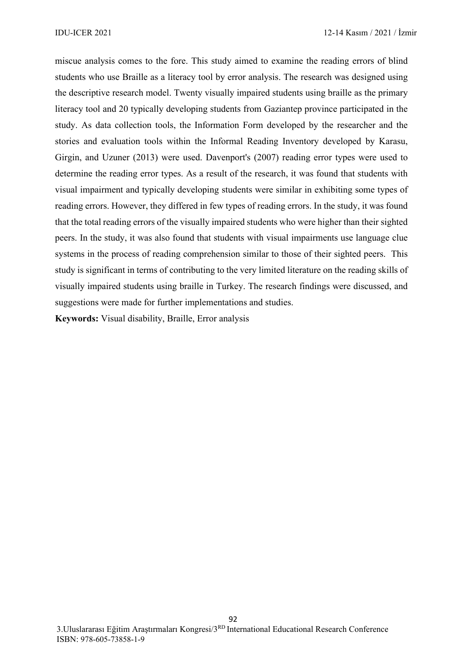miscue analysis comes to the fore. This study aimed to examine the reading errors of blind students who use Braille as a literacy tool by error analysis. The research was designed using the descriptive research model. Twenty visually impaired students using braille as the primary literacy tool and 20 typically developing students from Gaziantep province participated in the study. As data collection tools, the Information Form developed by the researcher and the stories and evaluation tools within the Informal Reading Inventory developed by Karasu, Girgin, and Uzuner (2013) were used. Davenport's (2007) reading error types were used to determine the reading error types. As a result of the research, it was found that students with visual impairment and typically developing students were similar in exhibiting some types of reading errors. However, they differed in few types of reading errors. In the study, it was found that the total reading errors of the visually impaired students who were higher than their sighted peers. In the study, it was also found that students with visual impairments use language clue systems in the process of reading comprehension similar to those of their sighted peers. This study is significant in terms of contributing to the very limited literature on the reading skills of visually impaired students using braille in Turkey. The research findings were discussed, and suggestions were made for further implementations and studies.

**Keywords:** Visual disability, Braille, Error analysis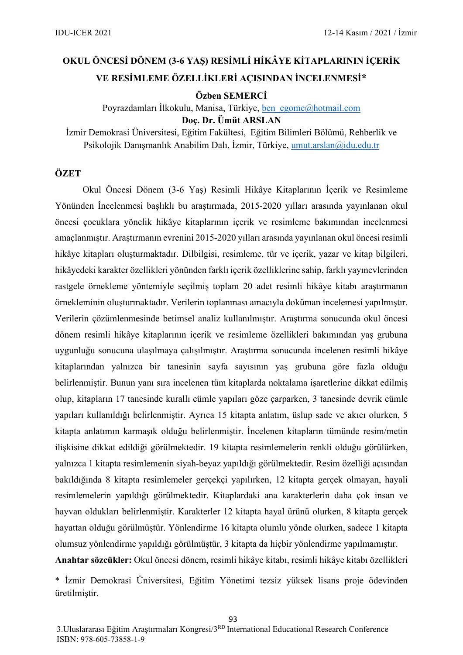# **OKUL ÖNCESİ DÖNEM (3-6 YAŞ) RESİMLİ HİKÂYE KİTAPLARININ İÇERİK VE RESİMLEME ÖZELLİKLERİ AÇISINDAN İNCELENMESİ\***

**Özben SEMERCİ** 

Poyrazdamları İlkokulu, Manisa, Türkiye, [ben\\_egome@hotmail.com](mailto:ben_egome@hotmail.com)

**Doç. Dr. Ümüt ARSLAN**

İzmir Demokrasi Üniversitesi, Eğitim Fakültesi, Eğitim Bilimleri Bölümü, Rehberlik ve Psikolojik Danışmanlık Anabilim Dalı, İzmir, Türkiye, [umut.arslan@idu.edu.tr](mailto:umut.arslan@idu.edu.tr)

### **ÖZET**

Okul Öncesi Dönem (3-6 Yaş) Resimli Hikâye Kitaplarının İçerik ve Resimleme Yönünden İncelenmesi başlıklı bu araştırmada, 2015-2020 yılları arasında yayınlanan okul öncesi çocuklara yönelik hikâye kitaplarının içerik ve resimleme bakımından incelenmesi amaçlanmıştır. Araştırmanın evrenini 2015-2020 yılları arasında yayınlanan okul öncesi resimli hikâye kitapları oluşturmaktadır. Dilbilgisi, resimleme, tür ve içerik, yazar ve kitap bilgileri, hikâyedeki karakter özellikleri yönünden farklı içerik özelliklerine sahip, farklı yayınevlerinden rastgele örnekleme yöntemiyle seçilmiş toplam 20 adet resimli hikâye kitabı araştırmanın örnekleminin oluşturmaktadır. Verilerin toplanması amacıyla doküman incelemesi yapılmıştır. Verilerin çözümlenmesinde betimsel analiz kullanılmıştır. Araştırma sonucunda okul öncesi dönem resimli hikâye kitaplarının içerik ve resimleme özellikleri bakımından yaş grubuna uygunluğu sonucuna ulaşılmaya çalışılmıştır. Araştırma sonucunda incelenen resimli hikâye kitaplarından yalnızca bir tanesinin sayfa sayısının yaş grubuna göre fazla olduğu belirlenmiştir. Bunun yanı sıra incelenen tüm kitaplarda noktalama işaretlerine dikkat edilmiş olup, kitapların 17 tanesinde kurallı cümle yapıları göze çarparken, 3 tanesinde devrik cümle yapıları kullanıldığı belirlenmiştir. Ayrıca 15 kitapta anlatım, üslup sade ve akıcı olurken, 5 kitapta anlatımın karmaşık olduğu belirlenmiştir. İncelenen kitapların tümünde resim/metin ilişkisine dikkat edildiği görülmektedir. 19 kitapta resimlemelerin renkli olduğu görülürken, yalnızca 1 kitapta resimlemenin siyah-beyaz yapıldığı görülmektedir. Resim özelliği açısından bakıldığında 8 kitapta resimlemeler gerçekçi yapılırken, 12 kitapta gerçek olmayan, hayali resimlemelerin yapıldığı görülmektedir. Kitaplardaki ana karakterlerin daha çok insan ve hayvan oldukları belirlenmiştir. Karakterler 12 kitapta hayal ürünü olurken, 8 kitapta gerçek hayattan olduğu görülmüştür. Yönlendirme 16 kitapta olumlu yönde olurken, sadece 1 kitapta olumsuz yönlendirme yapıldığı görülmüştür, 3 kitapta da hiçbir yönlendirme yapılmamıştır. **Anahtar sözcükler:** Okul öncesi dönem, resimli hikâye kitabı, resimli hikâye kitabı özellikleri

\* İzmir Demokrasi Üniversitesi, Eğitim Yönetimi tezsiz yüksek lisans proje ödevinden üretilmiştir.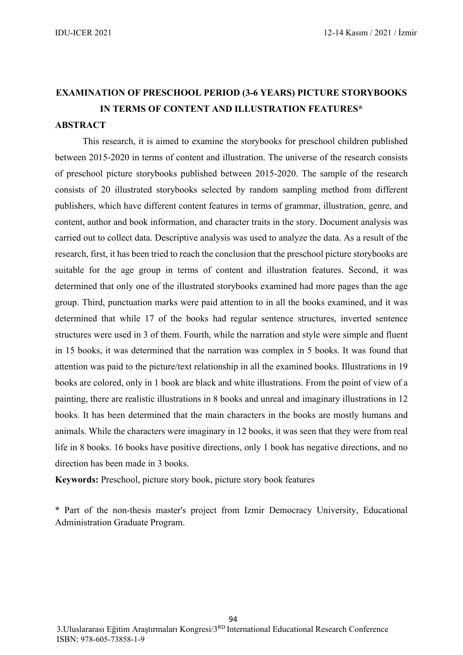# **EXAMINATION OF PRESCHOOL PERIOD (3-6 YEARS) PICTURE STORYBOOKS IN TERMS OF CONTENT AND ILLUSTRATION FEATURES\***

### **ABSTRACT**

This research, it is aimed to examine the storybooks for preschool children published between 2015-2020 in terms of content and illustration. The universe of the research consists of preschool picture storybooks published between 2015-2020. The sample of the research consists of 20 illustrated storybooks selected by random sampling method from different publishers, which have different content features in terms of grammar, illustration, genre, and content, author and book information, and character traits in the story. Document analysis was carried out to collect data. Descriptive analysis was used to analyze the data. As a result of the research, first, it has been tried to reach the conclusion that the preschool picture storybooks are suitable for the age group in terms of content and illustration features. Second, it was determined that only one of the illustrated storybooks examined had more pages than the age group. Third, punctuation marks were paid attention to in all the books examined, and it was determined that while 17 of the books had regular sentence structures, inverted sentence structures were used in 3 of them. Fourth, while the narration and style were simple and fluent in 15 books, it was determined that the narration was complex in 5 books. It was found that attention was paid to the picture/text relationship in all the examined books. Illustrations in 19 books are colored, only in 1 book are black and white illustrations. From the point of view of a painting, there are realistic illustrations in 8 books and unreal and imaginary illustrations in 12 books. It has been determined that the main characters in the books are mostly humans and animals. While the characters were imaginary in 12 books, it was seen that they were from real life in 8 books. 16 books have positive directions, only 1 book has negative directions, and no direction has been made in 3 books.

**Keywords:** Preschool, picture story book, picture story book features

\* Part of the non-thesis master's project from Izmir Democracy University, Educational Administration Graduate Program.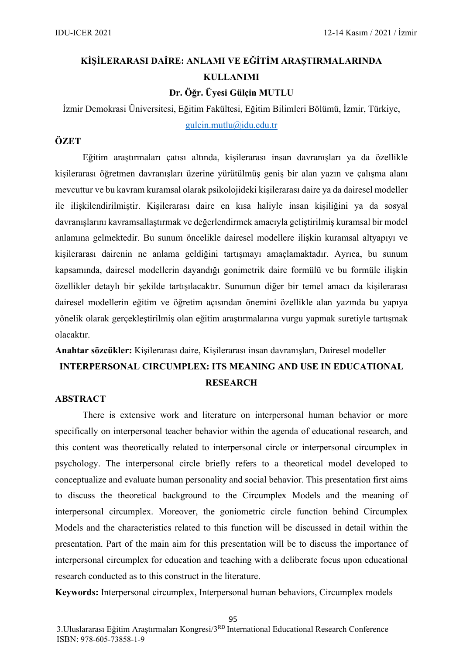# **KİŞİLERARASI DAİRE: ANLAMI VE EĞİTİM ARAŞTIRMALARINDA KULLANIMI**

**Dr. Öğr. Üyesi Gülçin MUTLU**

İzmir Demokrasi Üniversitesi, Eğitim Fakültesi, Eğitim Bilimleri Bölümü, İzmir, Türkiye,

[gulcin.mutlu@idu.edu.tr](mailto:gulcin.mutlu@idu.edu.tr)

### **ÖZET**

Eğitim araştırmaları çatısı altında, kişilerarası insan davranışları ya da özellikle kişilerarası öğretmen davranışları üzerine yürütülmüş geniş bir alan yazın ve çalışma alanı mevcuttur ve bu kavram kuramsal olarak psikolojideki kişilerarası daire ya da dairesel modeller ile ilişkilendirilmiştir. Kişilerarası daire en kısa haliyle insan kişiliğini ya da sosyal davranışlarını kavramsallaştırmak ve değerlendirmek amacıyla geliştirilmiş kuramsal bir model anlamına gelmektedir. Bu sunum öncelikle dairesel modellere ilişkin kuramsal altyapıyı ve kişilerarası dairenin ne anlama geldiğini tartışmayı amaçlamaktadır. Ayrıca, bu sunum kapsamında, dairesel modellerin dayandığı gonimetrik daire formülü ve bu formüle ilişkin özellikler detaylı bir şekilde tartışılacaktır. Sunumun diğer bir temel amacı da kişilerarası dairesel modellerin eğitim ve öğretim açısından önemini özellikle alan yazında bu yapıya yönelik olarak gerçekleştirilmiş olan eğitim araştırmalarına vurgu yapmak suretiyle tartışmak olacaktır.

# **Anahtar sözcükler:** Kişilerarası daire, Kişilerarası insan davranışları, Dairesel modeller **INTERPERSONAL CIRCUMPLEX: ITS MEANING AND USE IN EDUCATIONAL RESEARCH**

### **ABSTRACT**

There is extensive work and literature on interpersonal human behavior or more specifically on interpersonal teacher behavior within the agenda of educational research, and this content was theoretically related to interpersonal circle or interpersonal circumplex in psychology. The interpersonal circle briefly refers to a theoretical model developed to conceptualize and evaluate human personality and social behavior. This presentation first aims to discuss the theoretical background to the Circumplex Models and the meaning of interpersonal circumplex. Moreover, the goniometric circle function behind Circumplex Models and the characteristics related to this function will be discussed in detail within the presentation. Part of the main aim for this presentation will be to discuss the importance of interpersonal circumplex for education and teaching with a deliberate focus upon educational research conducted as to this construct in the literature.

**Keywords:** Interpersonal circumplex, Interpersonal human behaviors, Circumplex models

3.Uluslararası Eğitim Araştırmaları Kongresi/3RD International Educational Research Conference ISBN: [978-605-73858-1-9](callto:978-605-73858-1-9)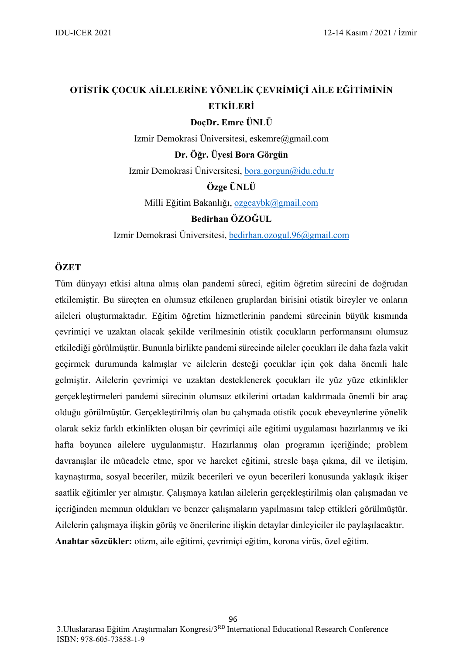# **OTİSTİK ÇOCUK AİLELERİNE YÖNELİK ÇEVRİMİÇİ AİLE EĞİTİMİNİN ETKİLERİ**

**DoçDr. Emre ÜNLÜ**

Izmir Demokrasi Üniversitesi, eskemre@gmail.com

**Dr. Öğr. Üyesi Bora Görgün**

Izmir Demokrasi Üniversitesi, [bora.gorgun@idu.edu.tr](mailto:bora.gorgun@idu.edu.tr)

**Özge ÜNLÜ**

Milli Eğitim Bakanlığı, [ozgeaybk@gmail.com](mailto:ozgeaybk@gmail.com)

### **Bedirhan ÖZOĞUL**

Izmir Demokrasi Üniversitesi, [bedirhan.ozogul.96@gmail.com](mailto:bedirhan.ozogul.96@gmail.com)

### **ÖZET**

Tüm dünyayı etkisi altına almış olan pandemi süreci, eğitim öğretim sürecini de doğrudan etkilemiştir. Bu süreçten en olumsuz etkilenen gruplardan birisini otistik bireyler ve onların aileleri oluşturmaktadır. Eğitim öğretim hizmetlerinin pandemi sürecinin büyük kısmında çevrimiçi ve uzaktan olacak şekilde verilmesinin otistik çocukların performansını olumsuz etkilediği görülmüştür. Bununla birlikte pandemi sürecinde aileler çocukları ile daha fazla vakit geçirmek durumunda kalmışlar ve ailelerin desteği çocuklar için çok daha önemli hale gelmiştir. Ailelerin çevrimiçi ve uzaktan desteklenerek çocukları ile yüz yüze etkinlikler gerçekleştirmeleri pandemi sürecinin olumsuz etkilerini ortadan kaldırmada önemli bir araç olduğu görülmüştür. Gerçekleştirilmiş olan bu çalışmada otistik çocuk ebeveynlerine yönelik olarak sekiz farklı etkinlikten oluşan bir çevrimiçi aile eğitimi uygulaması hazırlanmış ve iki hafta boyunca ailelere uygulanmıştır. Hazırlanmış olan programın içeriğinde; problem davranışlar ile mücadele etme, spor ve hareket eğitimi, stresle başa çıkma, dil ve iletişim, kaynaştırma, sosyal beceriler, müzik becerileri ve oyun becerileri konusunda yaklaşık ikişer saatlik eğitimler yer almıştır. Çalışmaya katılan ailelerin gerçekleştirilmiş olan çalışmadan ve içeriğinden memnun oldukları ve benzer çalışmaların yapılmasını talep ettikleri görülmüştür. Ailelerin çalışmaya ilişkin görüş ve önerilerine ilişkin detaylar dinleyiciler ile paylaşılacaktır. **Anahtar sözcükler:** otizm, aile eğitimi, çevrimiçi eğitim, korona virüs, özel eğitim.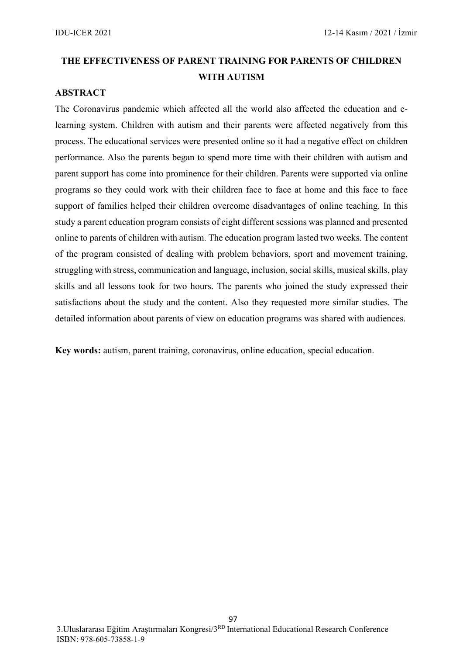# **THE EFFECTIVENESS OF PARENT TRAINING FOR PARENTS OF CHILDREN WITH AUTISM**

### **ABSTRACT**

The Coronavirus pandemic which affected all the world also affected the education and elearning system. Children with autism and their parents were affected negatively from this process. The educational services were presented online so it had a negative effect on children performance. Also the parents began to spend more time with their children with autism and parent support has come into prominence for their children. Parents were supported via online programs so they could work with their children face to face at home and this face to face support of families helped their children overcome disadvantages of online teaching. In this study a parent education program consists of eight different sessions was planned and presented online to parents of children with autism. The education program lasted two weeks. The content of the program consisted of dealing with problem behaviors, sport and movement training, struggling with stress, communication and language, inclusion, social skills, musical skills, play skills and all lessons took for two hours. The parents who joined the study expressed their satisfactions about the study and the content. Also they requested more similar studies. The detailed information about parents of view on education programs was shared with audiences.

**Key words:** autism, parent training, coronavirus, online education, special education.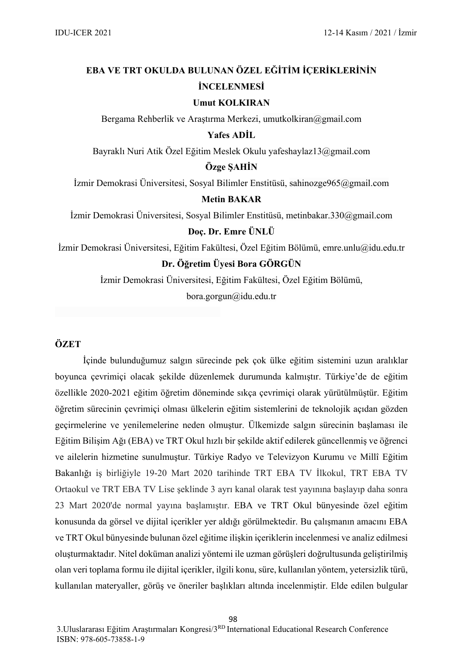# **EBA VE TRT OKULDA BULUNAN ÖZEL EĞİTİM İÇERİKLERİNİN İNCELENMESİ**

#### **Umut KOLKIRAN**

Bergama Rehberlik ve Araştırma Merkezi, umutkolkiran@gmail.com

### **Yafes ADİL**

Bayraklı Nuri Atik Özel Eğitim Meslek Okulu yafeshaylaz13@gmail.com

### **Özge ŞAHİN**

İzmir Demokrasi Üniversitesi, Sosyal Bilimler Enstitüsü, sahinozge965@gmail.com

#### **Metin BAKAR**

İzmir Demokrasi Üniversitesi, Sosyal Bilimler Enstitüsü, metinbakar.330@gmail.com

### **Doç. Dr. Emre ÜNLÜ**

İzmir Demokrasi Üniversitesi, Eğitim Fakültesi, Özel Eğitim Bölümü, [emre.unlu@idu.edu.tr](mailto:emre.unlu@idu.edu.tr)

### **Dr. Öğretim Üyesi Bora GÖRGÜN**

İzmir Demokrasi Üniversitesi, Eğitim Fakültesi, Özel Eğitim Bölümü, [bora.gorgun@idu.edu.tr](mailto:bora.gorgun@idu.edu.tr)

**ÖZET**

İçinde bulunduğumuz salgın sürecinde pek çok ülke eğitim sistemini uzun aralıklar boyunca çevrimiçi olacak şekilde düzenlemek durumunda kalmıştır. Türkiye'de de eğitim özellikle 2020-2021 eğitim öğretim döneminde sıkça çevrimiçi olarak yürütülmüştür. Eğitim öğretim sürecinin çevrimiçi olması ülkelerin eğitim sistemlerini de teknolojik açıdan gözden geçirmelerine ve yenilemelerine neden olmuştur. Ülkemizde salgın sürecinin başlaması ile Eğitim Bilişim Ağı (EBA) ve TRT Okul hızlı bir şekilde aktif edilerek güncellenmiş ve öğrenci ve ailelerin hizmetine sunulmuştur. Türkiye Radyo ve Televizyon Kurumu ve Millî Eğitim Bakanlığı iş birliğiyle 19-20 Mart 2020 tarihinde TRT EBA TV İlkokul, TRT EBA TV Ortaokul ve TRT EBA TV Lise şeklinde 3 ayrı kanal olarak test yayınına başlayıp daha sonra 23 Mart 2020'de normal yayına başlamıştır. EBA ve TRT Okul bünyesinde özel eğitim konusunda da görsel ve dijital içerikler yer aldığı görülmektedir. Bu çalışmanın amacını EBA ve TRT Okul bünyesinde bulunan özel eğitime ilişkin içeriklerin incelenmesi ve analiz edilmesi oluşturmaktadır. Nitel doküman analizi yöntemi ile uzman görüşleri doğrultusunda geliştirilmiş olan veri toplama formu ile dijital içerikler, ilgili konu, süre, kullanılan yöntem, yetersizlik türü, kullanılan materyaller, görüş ve öneriler başlıkları altında incelenmiştir. Elde edilen bulgular